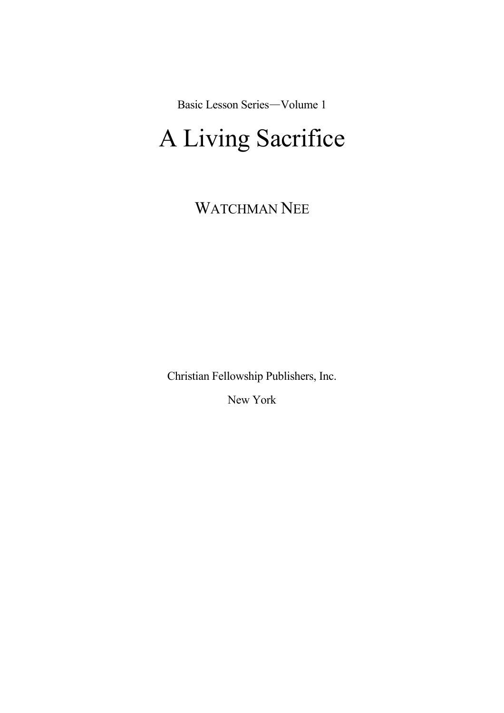Basic Lesson Series—Volume 1

# A Living Sacrifice

WATCHMAN NEE

Christian Fellowship Publishers, Inc.

New York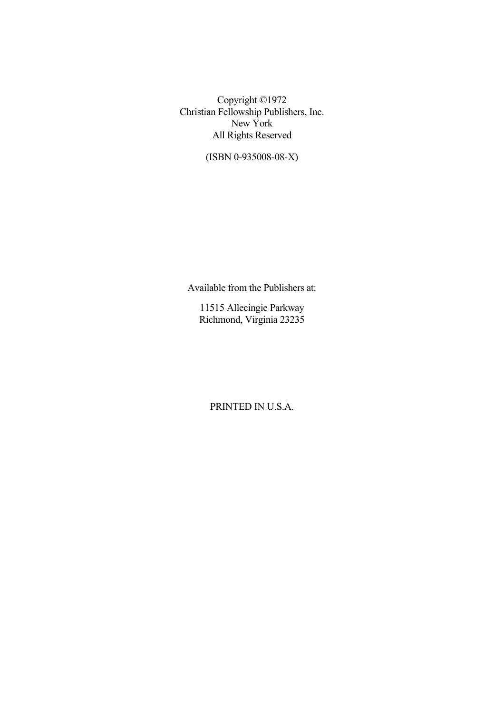Copyright ©1972 Christian Fellowship Publishers, Inc. New York All Rights Reserved

(ISBN 0-935008-08-X)

Available from the Publishers at:

11515 Allecingie Parkway Richmond, Virginia 23235

PRINTED IN U.S.A.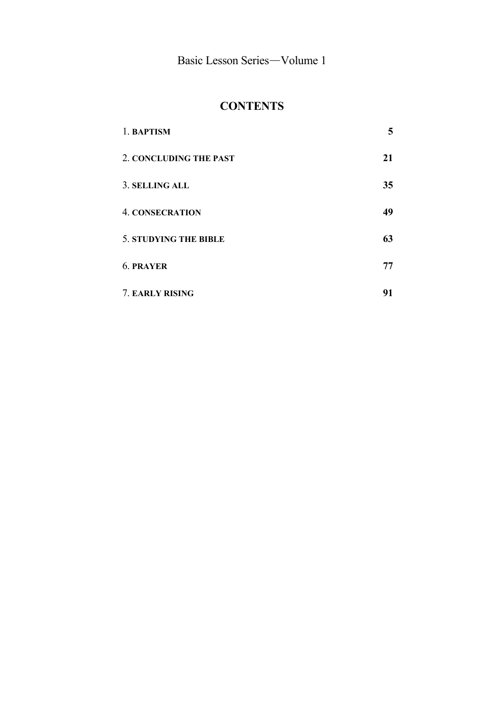Basic Lesson Series—Volume 1

# **CONTENTS**

| 1. BAPTISM             | 5  |
|------------------------|----|
| 2. CONCLUDING THE PAST | 21 |
| 3. SELLING ALL         | 35 |
| <b>4. CONSECRATION</b> | 49 |
| 5. STUDYING THE BIBLE  | 63 |
| 6. PRAYER              | 77 |
| 7. EARLY RISING        | 91 |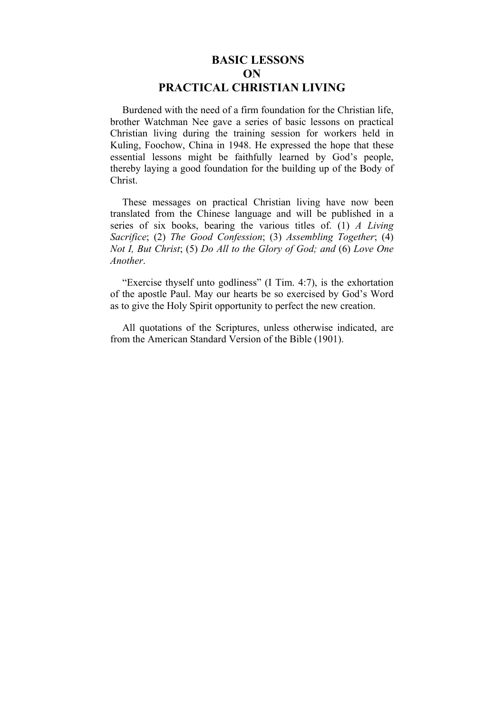# **BASIC LESSONS ON PRACTICAL CHRISTIAN LIVING**

Burdened with the need of a firm foundation for the Christian life, brother Watchman Nee gave a series of basic lessons on practical Christian living during the training session for workers held in Kuling, Foochow, China in 1948. He expressed the hope that these essential lessons might be faithfully learned by God's people, thereby laying a good foundation for the building up of the Body of Christ.

These messages on practical Christian living have now been translated from the Chinese language and will be published in a series of six books, bearing the various titles of. (1) *A Living Sacrifice*; (2) *The Good Confession*; (3) *Assembling Together*; (4) *Not I, But Christ*; (5) *Do All to the Glory of God; and* (6) *Love One Another*.

"Exercise thyself unto godliness" (I Tim. 4:7), is the exhortation of the apostle Paul. May our hearts be so exercised by God's Word as to give the Holy Spirit opportunity to perfect the new creation.

All quotations of the Scriptures, unless otherwise indicated, are from the American Standard Version of the Bible (1901).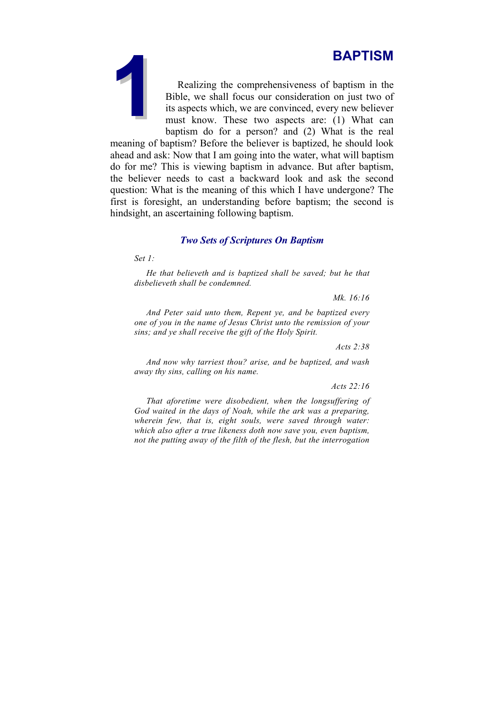

<span id="page-4-0"></span>**18 BAPTISM**<br> **18 BAPTISM**<br> **18 Bible, we shall focus our consideration on just two of its aspects which, we are convinced, every new believer must know. These two aspects are: (1) What is the real** Realizing the comprehensiveness of baptism in the Bible, we shall focus our consideration on just two of its aspects which, we are convinced, every new believer must know. These two aspects are: (1) What can baptism do for a person? and (2) What is the real

meaning of baptism? Before the believer is baptized, he should look ahead and ask: Now that I am going into the water, what will baptism do for me? This is viewing baptism in advance. But after baptism, the believer needs to cast a backward look and ask the second question: What is the meaning of this which I have undergone? The first is foresight, an understanding before baptism; the second is hindsight, an ascertaining following baptism.

# *Two Sets of Scriptures On Baptism*

*Set 1:* 

*He that believeth and is baptized shall be saved; but he that disbelieveth shall be condemned.* 

*Mk. 16:16* 

*And Peter said unto them, Repent ye, and be baptized every one of you in the name of Jesus Christ unto the remission of your sins; and ye shall receive the gift of the Holy Spirit.*

*Acts 2:38* 

*And now why tarriest thou? arise, and be baptized, and wash away thy sins, calling on his name.* 

*Acts 22:16* 

*That aforetime were disobedient, when the longsuffering of God waited in the days of Noah, while the ark was a preparing, wherein few, that is, eight souls, were saved through water: which also after a true likeness doth now save you, even baptism, not the putting away of the filth of the flesh, but the interrogation*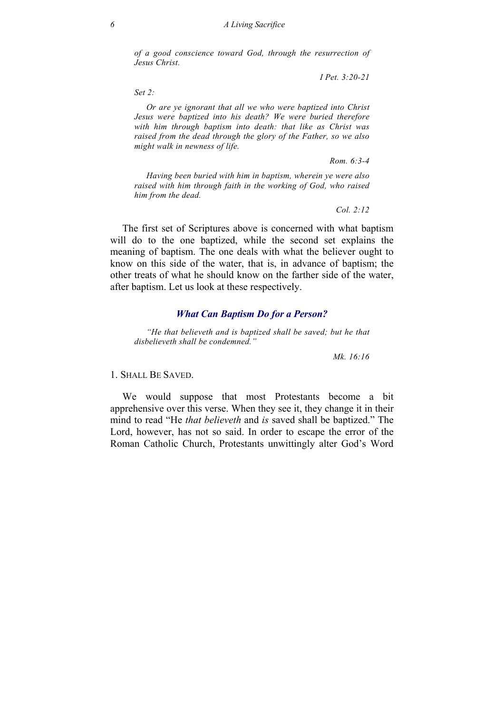*of a good conscience toward God, through the resurrection of Jesus Christ.* 

*I Pet. 3:20-21* 

*Set 2:* 

*Or are ye ignorant that all we who were baptized into Christ Jesus were baptized into his death? We were buried therefore with him through baptism into death: that like as Christ was raised from the dead through the glory of the Father, so we also might walk in newness of life.* 

*Rom. 6:3-4* 

*Having been buried with him in baptism, wherein ye were also raised with him through faith in the working of God, who raised him from the dead.* 

*Col. 2:12* 

The first set of Scriptures above is concerned with what baptism will do to the one baptized, while the second set explains the meaning of baptism. The one deals with what the believer ought to know on this side of the water, that is, in advance of baptism; the other treats of what he should know on the farther side of the water, after baptism. Let us look at these respectively.

# *What Can Baptism Do for a Person?*

*"He that believeth and is baptized shall be saved; but he that disbelieveth shall be condemned."* 

*Mk. 16:16* 

1. SHALL BE SAVED.

We would suppose that most Protestants become a bit apprehensive over this verse. When they see it, they change it in their mind to read "He *that believeth* and *is* saved shall be baptized." The Lord, however, has not so said. In order to escape the error of the Roman Catholic Church, Protestants unwittingly alter God's Word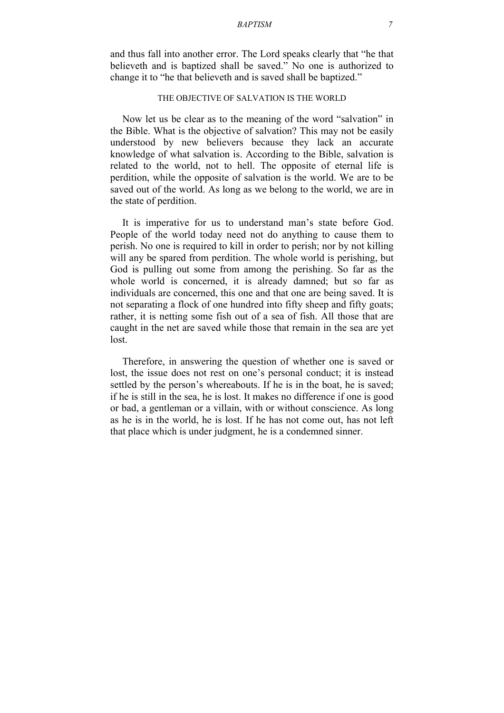and thus fall into another error. The Lord speaks clearly that "he that believeth and is baptized shall be saved." No one is authorized to change it to "he that believeth and is saved shall be baptized."

#### THE OBJECTIVE OF SALVATION IS THE WORLD

Now let us be clear as to the meaning of the word "salvation" in the Bible. What is the objective of salvation? This may not be easily understood by new believers because they lack an accurate knowledge of what salvation is. According to the Bible, salvation is related to the world, not to hell. The opposite of eternal life is perdition, while the opposite of salvation is the world. We are to be saved out of the world. As long as we belong to the world, we are in the state of perdition.

It is imperative for us to understand man's state before God. People of the world today need not do anything to cause them to perish. No one is required to kill in order to perish; nor by not killing will any be spared from perdition. The whole world is perishing, but God is pulling out some from among the perishing. So far as the whole world is concerned, it is already damned; but so far as individuals are concerned, this one and that one are being saved. It is not separating a flock of one hundred into fifty sheep and fifty goats; rather, it is netting some fish out of a sea of fish. All those that are caught in the net are saved while those that remain in the sea are yet lost.

Therefore, in answering the question of whether one is saved or lost, the issue does not rest on one's personal conduct; it is instead settled by the person's whereabouts. If he is in the boat, he is saved; if he is still in the sea, he is lost. It makes no difference if one is good or bad, a gentleman or a villain, with or without conscience. As long as he is in the world, he is lost. If he has not come out, has not left that place which is under judgment, he is a condemned sinner.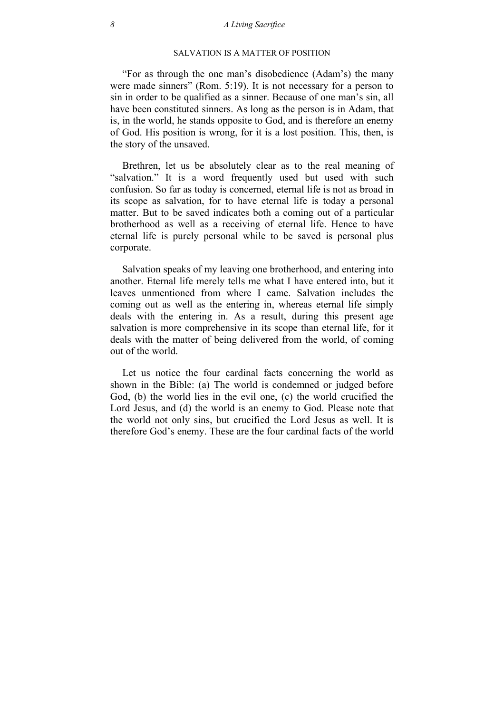#### *8 A Living Sacrifice*

#### SALVATION IS A MATTER OF POSITION

"For as through the one man's disobedience (Adam's) the many were made sinners" (Rom. 5:19). It is not necessary for a person to sin in order to be qualified as a sinner. Because of one man's sin, all have been constituted sinners. As long as the person is in Adam, that is, in the world, he stands opposite to God, and is therefore an enemy of God. His position is wrong, for it is a lost position. This, then, is the story of the unsaved.

Brethren, let us be absolutely clear as to the real meaning of "salvation." It is a word frequently used but used with such confusion. So far as today is concerned, eternal life is not as broad in its scope as salvation, for to have eternal life is today a personal matter. But to be saved indicates both a coming out of a particular brotherhood as well as a receiving of eternal life. Hence to have eternal life is purely personal while to be saved is personal plus corporate.

Salvation speaks of my leaving one brotherhood, and entering into another. Eternal life merely tells me what I have entered into, but it leaves unmentioned from where I came. Salvation includes the coming out as well as the entering in, whereas eternal life simply deals with the entering in. As a result, during this present age salvation is more comprehensive in its scope than eternal life, for it deals with the matter of being delivered from the world, of coming out of the world.

Let us notice the four cardinal facts concerning the world as shown in the Bible: (a) The world is condemned or judged before God, (b) the world lies in the evil one, (c) the world crucified the Lord Jesus, and (d) the world is an enemy to God. Please note that the world not only sins, but crucified the Lord Jesus as well. It is therefore God's enemy. These are the four cardinal facts of the world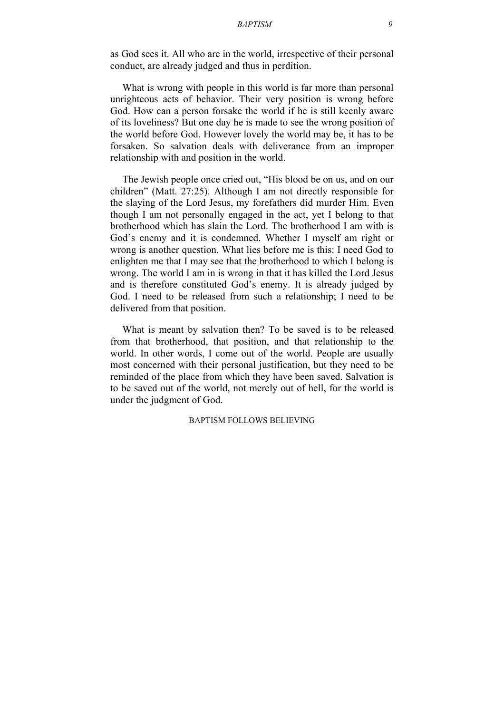#### *BAPTISM 9*

as God sees it. All who are in the world, irrespective of their personal conduct, are already judged and thus in perdition.

What is wrong with people in this world is far more than personal unrighteous acts of behavior. Their very position is wrong before God. How can a person forsake the world if he is still keenly aware of its loveliness? But one day he is made to see the wrong position of the world before God. However lovely the world may be, it has to be forsaken. So salvation deals with deliverance from an improper relationship with and position in the world.

The Jewish people once cried out, "His blood be on us, and on our children" (Matt. 27:25). Although I am not directly responsible for the slaying of the Lord Jesus, my forefathers did murder Him. Even though I am not personally engaged in the act, yet I belong to that brotherhood which has slain the Lord. The brotherhood I am with is God's enemy and it is condemned. Whether I myself am right or wrong is another question. What lies before me is this: I need God to enlighten me that I may see that the brotherhood to which I belong is wrong. The world I am in is wrong in that it has killed the Lord Jesus and is therefore constituted God's enemy. It is already judged by God. I need to be released from such a relationship; I need to be delivered from that position.

What is meant by salvation then? To be saved is to be released from that brotherhood, that position, and that relationship to the world. In other words, I come out of the world. People are usually most concerned with their personal justification, but they need to be reminded of the place from which they have been saved. Salvation is to be saved out of the world, not merely out of hell, for the world is under the judgment of God.

#### BAPTISM FOLLOWS BELIEVING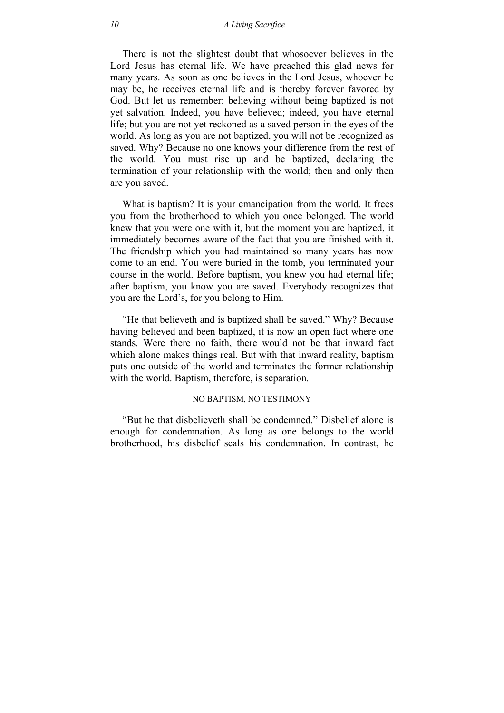There is not the slightest doubt that whosoever believes in the Lord Jesus has eternal life. We have preached this glad news for many years. As soon as one believes in the Lord Jesus, whoever he may be, he receives eternal life and is thereby forever favored by God. But let us remember: believing without being baptized is not yet salvation. Indeed, you have believed; indeed, you have eternal life; but you are not yet reckoned as a saved person in the eyes of the world. As long as you are not baptized, you will not be recognized as saved. Why? Because no one knows your difference from the rest of the world. You must rise up and be baptized, declaring the termination of your relationship with the world; then and only then are you saved.

What is baptism? It is your emancipation from the world. It frees you from the brotherhood to which you once belonged. The world knew that you were one with it, but the moment you are baptized, it immediately becomes aware of the fact that you are finished with it. The friendship which you had maintained so many years has now come to an end. You were buried in the tomb, you terminated your course in the world. Before baptism, you knew you had eternal life; after baptism, you know you are saved. Everybody recognizes that you are the Lord's, for you belong to Him.

"He that believeth and is baptized shall be saved." Why? Because having believed and been baptized, it is now an open fact where one stands. Were there no faith, there would not be that inward fact which alone makes things real. But with that inward reality, baptism puts one outside of the world and terminates the former relationship with the world. Baptism, therefore, is separation.

#### NO BAPTISM, NO TESTIMONY

"But he that disbelieveth shall be condemned." Disbelief alone is enough for condemnation. As long as one belongs to the world brotherhood, his disbelief seals his condemnation. In contrast, he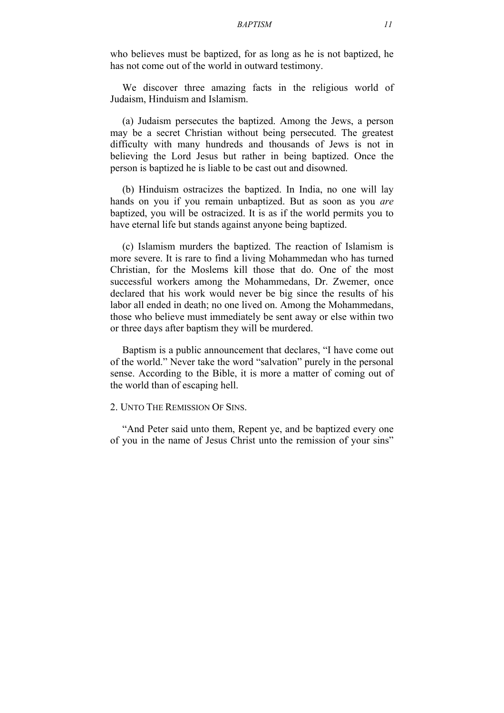#### *BAPTISM 11*

who believes must be baptized, for as long as he is not baptized, he has not come out of the world in outward testimony.

We discover three amazing facts in the religious world of Judaism, Hinduism and Islamism.

(a) Judaism persecutes the baptized. Among the Jews, a person may be a secret Christian without being persecuted. The greatest difficulty with many hundreds and thousands of Jews is not in believing the Lord Jesus but rather in being baptized. Once the person is baptized he is liable to be cast out and disowned.

(b) Hinduism ostracizes the baptized. In India, no one will lay hands on you if you remain unbaptized. But as soon as you *are* baptized, you will be ostracized. It is as if the world permits you to have eternal life but stands against anyone being baptized.

(c) Islamism murders the baptized. The reaction of Islamism is more severe. It is rare to find a living Mohammedan who has turned Christian, for the Moslems kill those that do. One of the most successful workers among the Mohammedans, Dr. Zwemer, once declared that his work would never be big since the results of his labor all ended in death; no one lived on. Among the Mohammedans, those who believe must immediately be sent away or else within two or three days after baptism they will be murdered.

Baptism is a public announcement that declares, "I have come out of the world." Never take the word "salvation" purely in the personal sense. According to the Bible, it is more a matter of coming out of the world than of escaping hell.

### 2. UNTO THE REMISSION OF SINS.

"And Peter said unto them, Repent ye, and be baptized every one of you in the name of Jesus Christ unto the remission of your sins"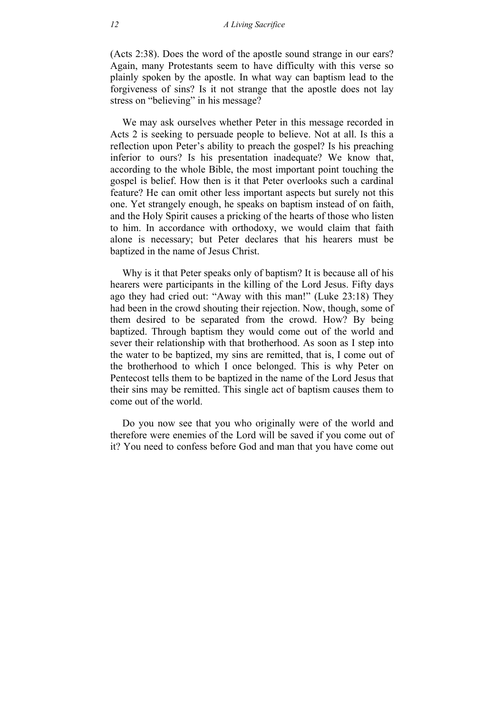(Acts 2:38). Does the word of the apostle sound strange in our ears? Again, many Protestants seem to have difficulty with this verse so plainly spoken by the apostle. In what way can baptism lead to the forgiveness of sins? Is it not strange that the apostle does not lay stress on "believing" in his message?

We may ask ourselves whether Peter in this message recorded in Acts 2 is seeking to persuade people to believe. Not at all. Is this a reflection upon Peter's ability to preach the gospel? Is his preaching inferior to ours? Is his presentation inadequate? We know that, according to the whole Bible, the most important point touching the gospel is belief. How then is it that Peter overlooks such a cardinal feature? He can omit other less important aspects but surely not this one. Yet strangely enough, he speaks on baptism instead of on faith, and the Holy Spirit causes a pricking of the hearts of those who listen to him. In accordance with orthodoxy, we would claim that faith alone is necessary; but Peter declares that his hearers must be baptized in the name of Jesus Christ.

Why is it that Peter speaks only of baptism? It is because all of his hearers were participants in the killing of the Lord Jesus. Fifty days ago they had cried out: "Away with this man!" (Luke 23:18) They had been in the crowd shouting their rejection. Now, though, some of them desired to be separated from the crowd. How? By being baptized. Through baptism they would come out of the world and sever their relationship with that brotherhood. As soon as I step into the water to be baptized, my sins are remitted, that is, I come out of the brotherhood to which I once belonged. This is why Peter on Pentecost tells them to be baptized in the name of the Lord Jesus that their sins may be remitted. This single act of baptism causes them to come out of the world.

Do you now see that you who originally were of the world and therefore were enemies of the Lord will be saved if you come out of it? You need to confess before God and man that you have come out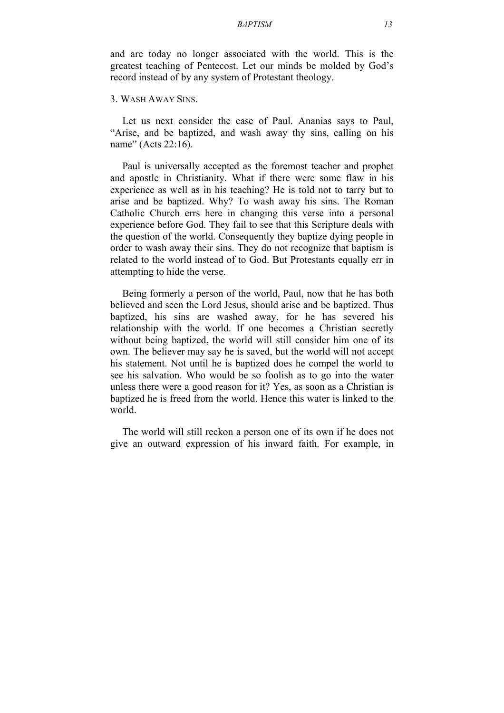#### *BAPTISM 13*

and are today no longer associated with the world. This is the greatest teaching of Pentecost. Let our minds be molded by God's record instead of by any system of Protestant theology.

3. WASH AWAY SINS.

Let us next consider the case of Paul. Ananias says to Paul, "Arise, and be baptized, and wash away thy sins, calling on his name" (Acts 22:16).

Paul is universally accepted as the foremost teacher and prophet and apostle in Christianity. What if there were some flaw in his experience as well as in his teaching? He is told not to tarry but to arise and be baptized. Why? To wash away his sins. The Roman Catholic Church errs here in changing this verse into a personal experience before God. They fail to see that this Scripture deals with the question of the world. Consequently they baptize dying people in order to wash away their sins. They do not recognize that baptism is related to the world instead of to God. But Protestants equally err in attempting to hide the verse.

Being formerly a person of the world, Paul, now that he has both believed and seen the Lord Jesus, should arise and be baptized. Thus baptized, his sins are washed away, for he has severed his relationship with the world. If one becomes a Christian secretly without being baptized, the world will still consider him one of its own. The believer may say he is saved, but the world will not accept his statement. Not until he is baptized does he compel the world to see his salvation. Who would be so foolish as to go into the water unless there were a good reason for it? Yes, as soon as a Christian is baptized he is freed from the world. Hence this water is linked to the world.

The world will still reckon a person one of its own if he does not give an outward expression of his inward faith. For example, in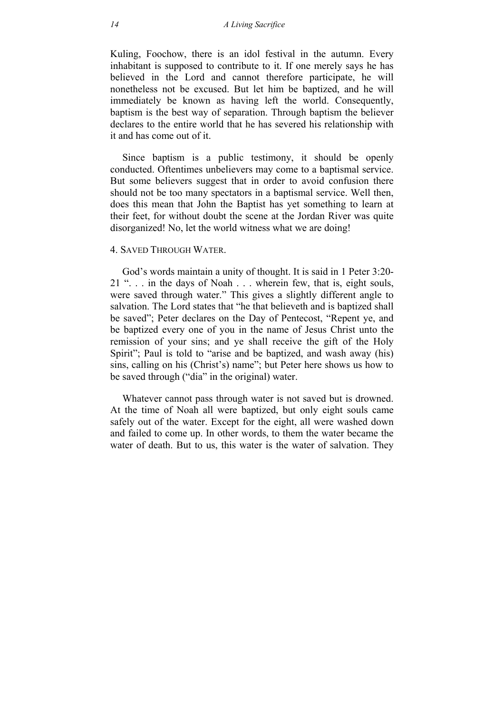Kuling, Foochow, there is an idol festival in the autumn. Every inhabitant is supposed to contribute to it. If one merely says he has believed in the Lord and cannot therefore participate, he will nonetheless not be excused. But let him be baptized, and he will immediately be known as having left the world. Consequently, baptism is the best way of separation. Through baptism the believer declares to the entire world that he has severed his relationship with it and has come out of it.

Since baptism is a public testimony, it should be openly conducted. Oftentimes unbelievers may come to a baptismal service. But some believers suggest that in order to avoid confusion there should not be too many spectators in a baptismal service. Well then, does this mean that John the Baptist has yet something to learn at their feet, for without doubt the scene at the Jordan River was quite disorganized! No, let the world witness what we are doing!

## 4. SAVED THROUGH WATER.

God's words maintain a unity of thought. It is said in 1 Peter 3:20- 21 ". . . in the days of Noah . . . wherein few, that is, eight souls, were saved through water." This gives a slightly different angle to salvation. The Lord states that "he that believeth and is baptized shall be saved"; Peter declares on the Day of Pentecost, "Repent ye, and be baptized every one of you in the name of Jesus Christ unto the remission of your sins; and ye shall receive the gift of the Holy Spirit"; Paul is told to "arise and be baptized, and wash away (his) sins, calling on his (Christ's) name"; but Peter here shows us how to be saved through ("dia" in the original) water.

Whatever cannot pass through water is not saved but is drowned. At the time of Noah all were baptized, but only eight souls came safely out of the water. Except for the eight, all were washed down and failed to come up. In other words, to them the water became the water of death. But to us, this water is the water of salvation. They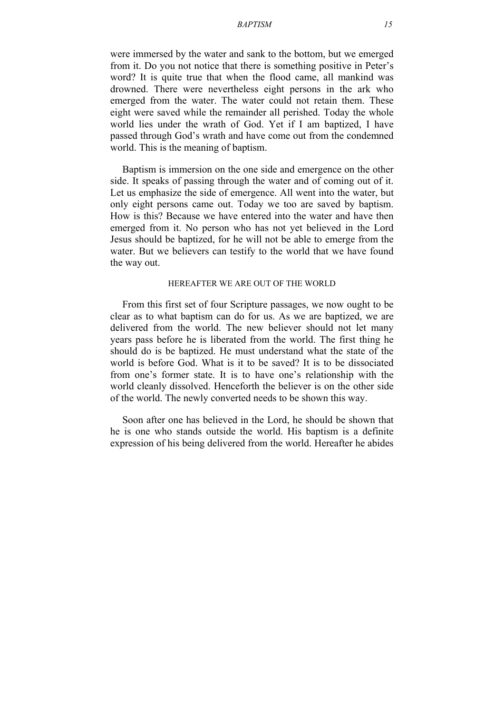#### *BAPTISM 15*

were immersed by the water and sank to the bottom, but we emerged from it. Do you not notice that there is something positive in Peter's word? It is quite true that when the flood came, all mankind was drowned. There were nevertheless eight persons in the ark who emerged from the water. The water could not retain them. These eight were saved while the remainder all perished. Today the whole world lies under the wrath of God. Yet if I am baptized, I have passed through God's wrath and have come out from the condemned world. This is the meaning of baptism.

Baptism is immersion on the one side and emergence on the other side. It speaks of passing through the water and of coming out of it. Let us emphasize the side of emergence. All went into the water, but only eight persons came out. Today we too are saved by baptism. How is this? Because we have entered into the water and have then emerged from it. No person who has not yet believed in the Lord Jesus should be baptized, for he will not be able to emerge from the water. But we believers can testify to the world that we have found the way out.

#### HEREAFTER WE ARE OUT OF THE WORLD

From this first set of four Scripture passages, we now ought to be clear as to what baptism can do for us. As we are baptized, we are delivered from the world. The new believer should not let many years pass before he is liberated from the world. The first thing he should do is be baptized. He must understand what the state of the world is before God. What is it to be saved? It is to be dissociated from one's former state. It is to have one's relationship with the world cleanly dissolved. Henceforth the believer is on the other side of the world. The newly converted needs to be shown this way.

Soon after one has believed in the Lord, he should be shown that he is one who stands outside the world. His baptism is a definite expression of his being delivered from the world. Hereafter he abides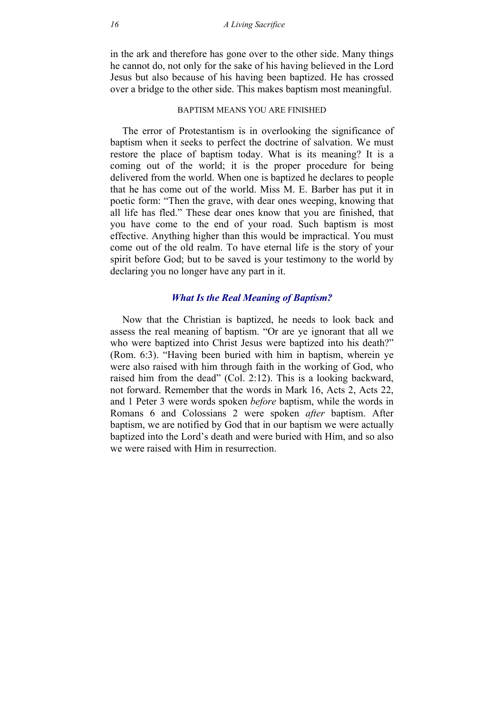in the ark and therefore has gone over to the other side. Many things he cannot do, not only for the sake of his having believed in the Lord Jesus but also because of his having been baptized. He has crossed over a bridge to the other side. This makes baptism most meaningful.

#### BAPTISM MEANS YOU ARE FINISHED

The error of Protestantism is in overlooking the significance of baptism when it seeks to perfect the doctrine of salvation. We must restore the place of baptism today. What is its meaning? It is a coming out of the world; it is the proper procedure for being delivered from the world. When one is baptized he declares to people that he has come out of the world. Miss M. E. Barber has put it in poetic form: "Then the grave, with dear ones weeping, knowing that all life has fled." These dear ones know that you are finished, that you have come to the end of your road. Such baptism is most effective. Anything higher than this would be impractical. You must come out of the old realm. To have eternal life is the story of your spirit before God; but to be saved is your testimony to the world by declaring you no longer have any part in it.

# *What Is the Real Meaning of Baptism?*

Now that the Christian is baptized, he needs to look back and assess the real meaning of baptism. "Or are ye ignorant that all we who were baptized into Christ Jesus were baptized into his death?" (Rom. 6:3). "Having been buried with him in baptism, wherein ye were also raised with him through faith in the working of God, who raised him from the dead" (Col. 2:12). This is a looking backward, not forward. Remember that the words in Mark 16, Acts 2, Acts 22, and 1 Peter 3 were words spoken *before* baptism, while the words in Romans 6 and Colossians 2 were spoken *after* baptism. After baptism, we are notified by God that in our baptism we were actually baptized into the Lord's death and were buried with Him, and so also we were raised with Him in resurrection.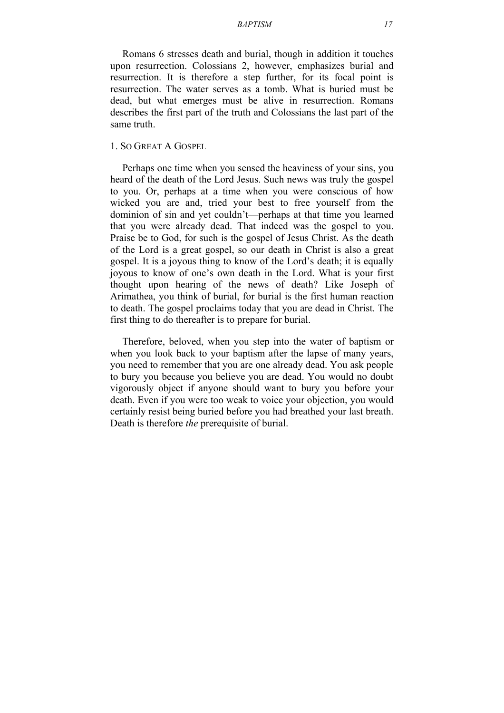*BAPTISM 17* 

Romans 6 stresses death and burial, though in addition it touches upon resurrection. Colossians 2, however, emphasizes burial and resurrection. It is therefore a step further, for its focal point is resurrection. The water serves as a tomb. What is buried must be dead, but what emerges must be alive in resurrection. Romans describes the first part of the truth and Colossians the last part of the same truth.

1. SO GREAT A GOSPEL

Perhaps one time when you sensed the heaviness of your sins, you heard of the death of the Lord Jesus. Such news was truly the gospel to you. Or, perhaps at a time when you were conscious of how wicked you are and, tried your best to free yourself from the dominion of sin and yet couldn't—perhaps at that time you learned that you were already dead. That indeed was the gospel to you. Praise be to God, for such is the gospel of Jesus Christ. As the death of the Lord is a great gospel, so our death in Christ is also a great gospel. It is a joyous thing to know of the Lord's death; it is equally joyous to know of one's own death in the Lord. What is your first thought upon hearing of the news of death? Like Joseph of Arimathea, you think of burial, for burial is the first human reaction to death. The gospel proclaims today that you are dead in Christ. The first thing to do thereafter is to prepare for burial.

Therefore, beloved, when you step into the water of baptism or when you look back to your baptism after the lapse of many years, you need to remember that you are one already dead. You ask people to bury you because you believe you are dead. You would no doubt vigorously object if anyone should want to bury you before your death. Even if you were too weak to voice your objection, you would certainly resist being buried before you had breathed your last breath. Death is therefore *the* prerequisite of burial.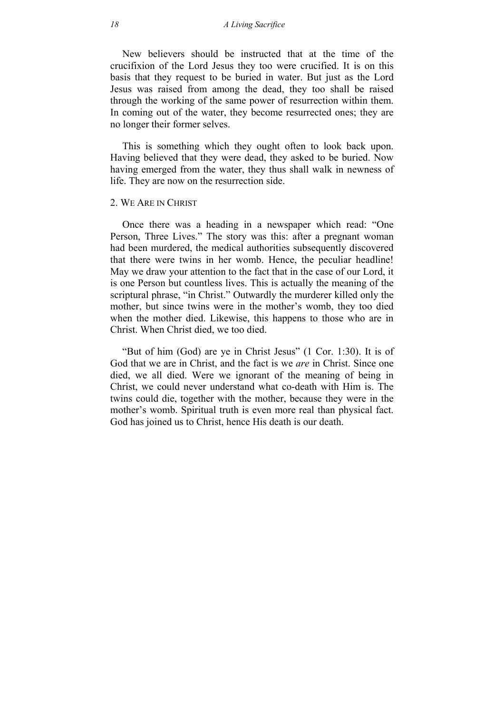New believers should be instructed that at the time of the crucifixion of the Lord Jesus they too were crucified. It is on this basis that they request to be buried in water. But just as the Lord Jesus was raised from among the dead, they too shall be raised through the working of the same power of resurrection within them. In coming out of the water, they become resurrected ones; they are no longer their former selves.

This is something which they ought often to look back upon. Having believed that they were dead, they asked to be buried. Now having emerged from the water, they thus shall walk in newness of life. They are now on the resurrection side.

#### 2. WE ARE IN CHRIST

Once there was a heading in a newspaper which read: "One Person, Three Lives." The story was this: after a pregnant woman had been murdered, the medical authorities subsequently discovered that there were twins in her womb. Hence, the peculiar headline! May we draw your attention to the fact that in the case of our Lord, it is one Person but countless lives. This is actually the meaning of the scriptural phrase, "in Christ." Outwardly the murderer killed only the mother, but since twins were in the mother's womb, they too died when the mother died. Likewise, this happens to those who are in Christ. When Christ died, we too died.

"But of him (God) are ye in Christ Jesus" (1 Cor. 1:30). It is of God that we are in Christ, and the fact is we *are* in Christ. Since one died, we all died. Were we ignorant of the meaning of being in Christ, we could never understand what co-death with Him is. The twins could die, together with the mother, because they were in the mother's womb. Spiritual truth is even more real than physical fact. God has joined us to Christ, hence His death is our death.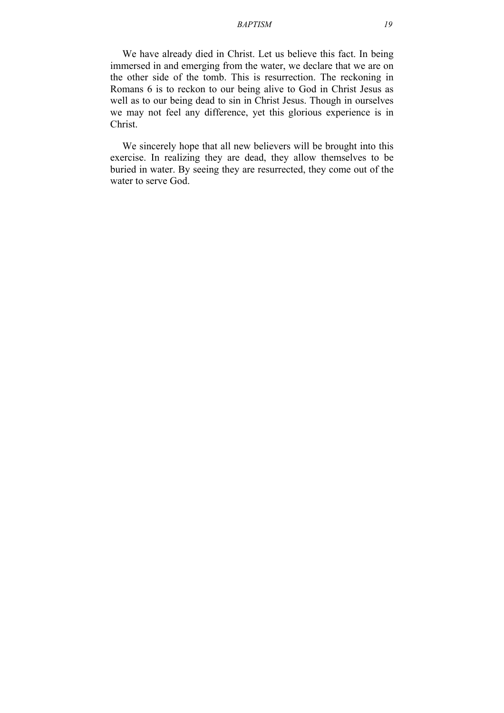#### *BAPTISM 19*

We have already died in Christ. Let us believe this fact. In being immersed in and emerging from the water, we declare that we are on the other side of the tomb. This is resurrection. The reckoning in Romans 6 is to reckon to our being alive to God in Christ Jesus as well as to our being dead to sin in Christ Jesus. Though in ourselves we may not feel any difference, yet this glorious experience is in Christ.

We sincerely hope that all new believers will be brought into this exercise. In realizing they are dead, they allow themselves to be buried in water. By seeing they are resurrected, they come out of the water to serve God.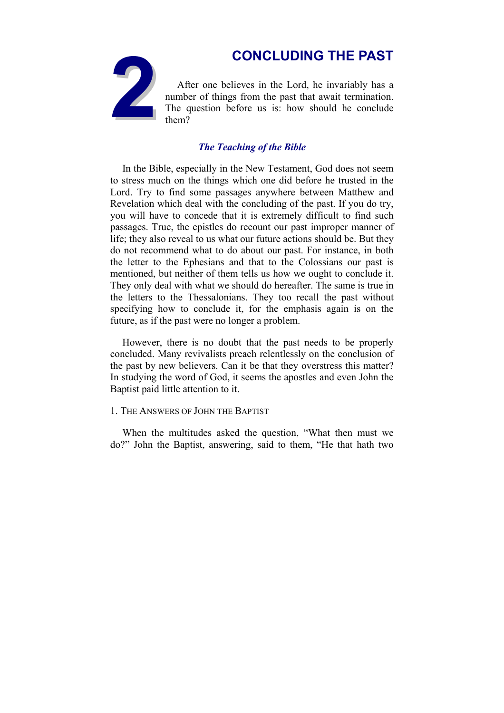<span id="page-20-0"></span>

**2CONCLUDING THE PAST**<br>After one believes in the Lord, he invariably has a number of things from the past that await termination.<br>The question before us is: how should he conclude them? After one believes in the Lord, he invariably has a number of things from the past that await termination. The question before us is: how should he conclude them?

# *The Teaching of the Bible*

In the Bible, especially in the New Testament, God does not seem to stress much on the things which one did before he trusted in the Lord. Try to find some passages anywhere between Matthew and Revelation which deal with the concluding of the past. If you do try, you will have to concede that it is extremely difficult to find such passages. True, the epistles do recount our past improper manner of life; they also reveal to us what our future actions should be. But they do not recommend what to do about our past. For instance, in both the letter to the Ephesians and that to the Colossians our past is mentioned, but neither of them tells us how we ought to conclude it. They only deal with what we should do hereafter. The same is true in the letters to the Thessalonians. They too recall the past without specifying how to conclude it, for the emphasis again is on the future, as if the past were no longer a problem.

However, there is no doubt that the past needs to be properly concluded. Many revivalists preach relentlessly on the conclusion of the past by new believers. Can it be that they overstress this matter? In studying the word of God, it seems the apostles and even John the Baptist paid little attention to it.

# 1. THE ANSWERS OF JOHN THE BAPTIST

When the multitudes asked the question, "What then must we do?" John the Baptist, answering, said to them, "He that hath two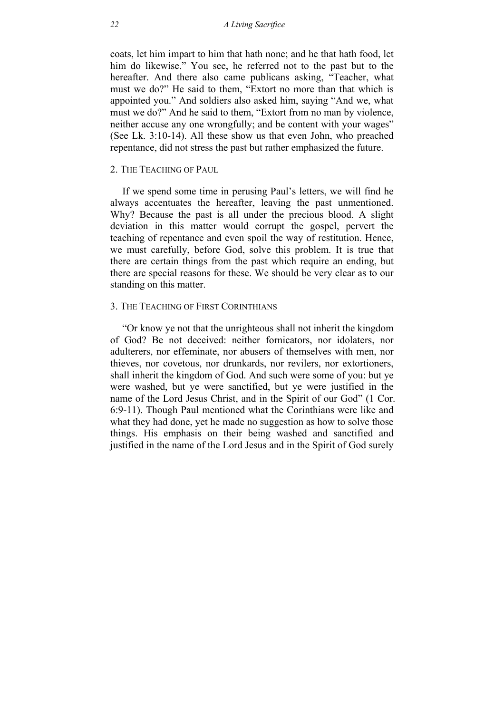coats, let him impart to him that hath none; and he that hath food, let him do likewise." You see, he referred not to the past but to the hereafter. And there also came publicans asking, "Teacher, what must we do?" He said to them, "Extort no more than that which is appointed you." And soldiers also asked him, saying "And we, what must we do?" And he said to them, "Extort from no man by violence, neither accuse any one wrongfully; and be content with your wages" (See Lk. 3:10-14). All these show us that even John, who preached repentance, did not stress the past but rather emphasized the future.

# 2. THE TEACHING OF PAUL.

If we spend some time in perusing Paul's letters, we will find he always accentuates the hereafter, leaving the past unmentioned. Why? Because the past is all under the precious blood. A slight deviation in this matter would corrupt the gospel, pervert the teaching of repentance and even spoil the way of restitution. Hence, we must carefully, before God, solve this problem. It is true that there are certain things from the past which require an ending, but there are special reasons for these. We should be very clear as to our standing on this matter.

# 3. THE TEACHING OF FIRST CORINTHIANS

"Or know ye not that the unrighteous shall not inherit the kingdom of God? Be not deceived: neither fornicators, nor idolaters, nor adulterers, nor effeminate, nor abusers of themselves with men, nor thieves, nor covetous, nor drunkards, nor revilers, nor extortioners, shall inherit the kingdom of God. And such were some of you: but ye were washed, but ye were sanctified, but ye were justified in the name of the Lord Jesus Christ, and in the Spirit of our God" (1 Cor. 6:9-11). Though Paul mentioned what the Corinthians were like and what they had done, yet he made no suggestion as how to solve those things. His emphasis on their being washed and sanctified and justified in the name of the Lord Jesus and in the Spirit of God surely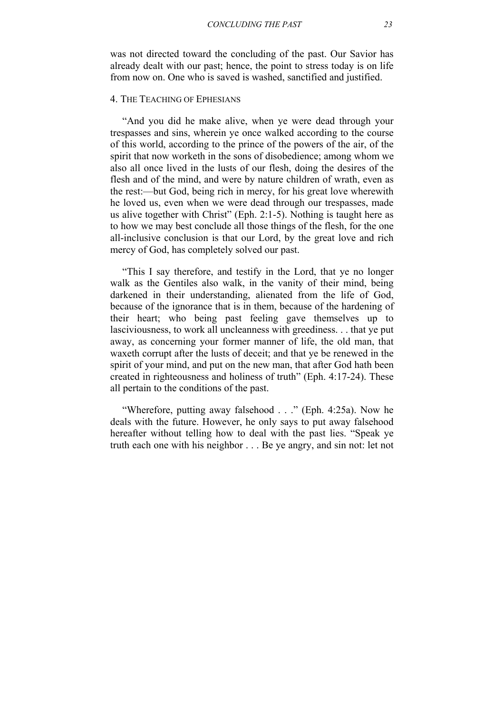was not directed toward the concluding of the past. Our Savior has already dealt with our past; hence, the point to stress today is on life from now on. One who is saved is washed, sanctified and justified.

#### 4. THE TEACHING OF EPHESIANS

"And you did he make alive, when ye were dead through your trespasses and sins, wherein ye once walked according to the course of this world, according to the prince of the powers of the air, of the spirit that now worketh in the sons of disobedience; among whom we also all once lived in the lusts of our flesh, doing the desires of the flesh and of the mind, and were by nature children of wrath, even as the rest:—but God, being rich in mercy, for his great love wherewith he loved us, even when we were dead through our trespasses, made us alive together with Christ" (Eph. 2:1-5). Nothing is taught here as to how we may best conclude all those things of the flesh, for the one all-inclusive conclusion is that our Lord, by the great love and rich mercy of God, has completely solved our past.

"This I say therefore, and testify in the Lord, that ye no longer walk as the Gentiles also walk, in the vanity of their mind, being darkened in their understanding, alienated from the life of God, because of the ignorance that is in them, because of the hardening of their heart; who being past feeling gave themselves up to lasciviousness, to work all uncleanness with greediness. . . that ye put away, as concerning your former manner of life, the old man, that waxeth corrupt after the lusts of deceit; and that ye be renewed in the spirit of your mind, and put on the new man, that after God hath been created in righteousness and holiness of truth" (Eph. 4:17-24). These all pertain to the conditions of the past.

"Wherefore, putting away falsehood . . ." (Eph. 4:25a). Now he deals with the future. However, he only says to put away falsehood hereafter without telling how to deal with the past lies. "Speak ye truth each one with his neighbor . . . Be ye angry, and sin not: let not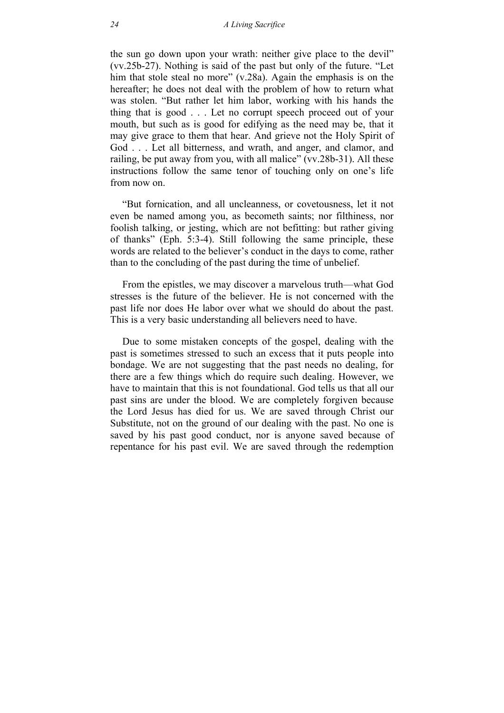the sun go down upon your wrath: neither give place to the devil" (vv.25b-27). Nothing is said of the past but only of the future. "Let him that stole steal no more" (v.28a). Again the emphasis is on the hereafter; he does not deal with the problem of how to return what was stolen. "But rather let him labor, working with his hands the thing that is good . . . Let no corrupt speech proceed out of your mouth, but such as is good for edifying as the need may be, that it may give grace to them that hear. And grieve not the Holy Spirit of God . . . Let all bitterness, and wrath, and anger, and clamor, and railing, be put away from you, with all malice" (vv.28b-31). All these instructions follow the same tenor of touching only on one's life from now on.

"But fornication, and all uncleanness, or covetousness, let it not even be named among you, as becometh saints; nor filthiness, nor foolish talking, or jesting, which are not befitting: but rather giving of thanks" (Eph. 5:3-4). Still following the same principle, these words are related to the believer's conduct in the days to come, rather than to the concluding of the past during the time of unbelief.

From the epistles, we may discover a marvelous truth—what God stresses is the future of the believer. He is not concerned with the past life nor does He labor over what we should do about the past. This is a very basic understanding all believers need to have.

Due to some mistaken concepts of the gospel, dealing with the past is sometimes stressed to such an excess that it puts people into bondage. We are not suggesting that the past needs no dealing, for there are a few things which do require such dealing. However, we have to maintain that this is not foundational. God tells us that all our past sins are under the blood. We are completely forgiven because the Lord Jesus has died for us. We are saved through Christ our Substitute, not on the ground of our dealing with the past. No one is saved by his past good conduct, nor is anyone saved because of repentance for his past evil. We are saved through the redemption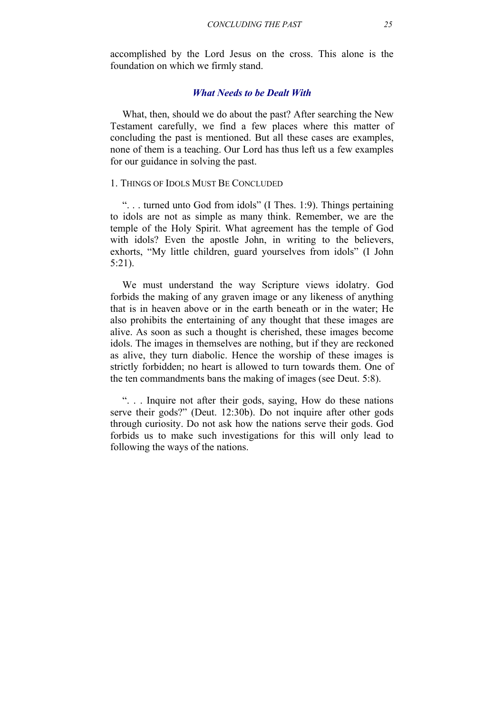accomplished by the Lord Jesus on the cross. This alone is the foundation on which we firmly stand.

### *What Needs to be Dealt With*

What, then, should we do about the past? After searching the New Testament carefully, we find a few places where this matter of concluding the past is mentioned. But all these cases are examples, none of them is a teaching. Our Lord has thus left us a few examples for our guidance in solving the past.

#### 1. THINGS OF IDOLS MUST BE CONCLUDED

". . . turned unto God from idols" (I Thes. 1:9). Things pertaining to idols are not as simple as many think. Remember, we are the temple of the Holy Spirit. What agreement has the temple of God with idols? Even the apostle John, in writing to the believers, exhorts, "My little children, guard yourselves from idols" (I John 5:21).

We must understand the way Scripture views idolatry. God forbids the making of any graven image or any likeness of anything that is in heaven above or in the earth beneath or in the water; He also prohibits the entertaining of any thought that these images are alive. As soon as such a thought is cherished, these images become idols. The images in themselves are nothing, but if they are reckoned as alive, they turn diabolic. Hence the worship of these images is strictly forbidden; no heart is allowed to turn towards them. One of the ten commandments bans the making of images (see Deut. 5:8).

". . . Inquire not after their gods, saying, How do these nations serve their gods?" (Deut. 12:30b). Do not inquire after other gods through curiosity. Do not ask how the nations serve their gods. God forbids us to make such investigations for this will only lead to following the ways of the nations.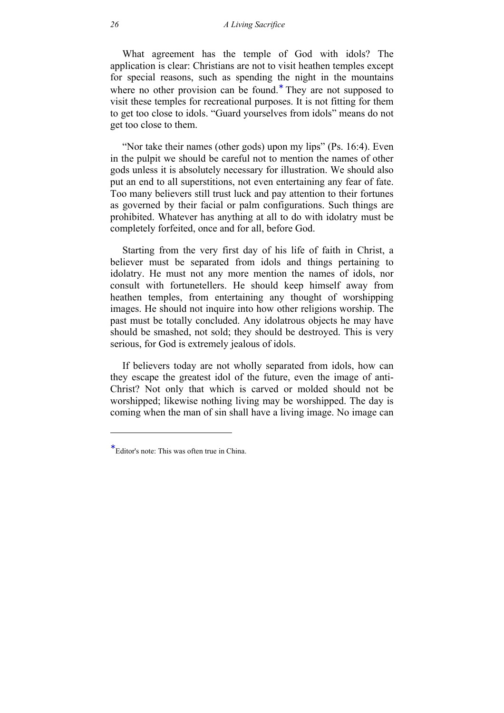What agreement has the temple of God with idols? The application is clear: Christians are not to visit heathen temples except for special reasons, such as spending the night in the mountains where no other provision can be found.<sup>\*</sup> They are not supposed to visit these temples for recreational purposes. It is not fitting for them to get too close to idols. "Guard yourselves from idols" means do not get too close to them.

"Nor take their names (other gods) upon my lips" (Ps. 16:4). Even in the pulpit we should be careful not to mention the names of other gods unless it is absolutely necessary for illustration. We should also put an end to all superstitions, not even entertaining any fear of fate. Too many believers still trust luck and pay attention to their fortunes as governed by their facial or palm configurations. Such things are prohibited. Whatever has anything at all to do with idolatry must be completely forfeited, once and for all, before God.

Starting from the very first day of his life of faith in Christ, a believer must be separated from idols and things pertaining to idolatry. He must not any more mention the names of idols, nor consult with fortunetellers. He should keep himself away from heathen temples, from entertaining any thought of worshipping images. He should not inquire into how other religions worship. The past must be totally concluded. Any idolatrous objects he may have should be smashed, not sold; they should be destroyed. This is very serious, for God is extremely jealous of idols.

If believers today are not wholly separated from idols, how can they escape the greatest idol of the future, even the image of anti-Christ? Not only that which is carved or molded should not be worshipped; likewise nothing living may be worshipped. The day is coming when the man of sin shall have a living image. No image can

-

<sup>∗</sup> Editor's note: This was often true in China.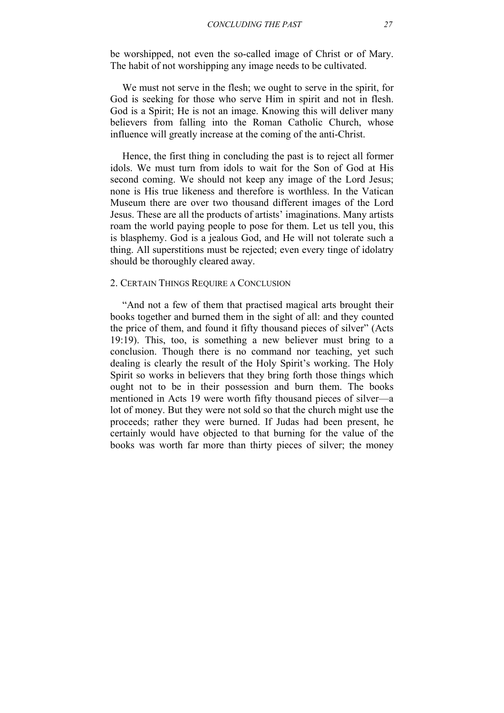be worshipped, not even the so-called image of Christ or of Mary. The habit of not worshipping any image needs to be cultivated.

We must not serve in the flesh; we ought to serve in the spirit, for God is seeking for those who serve Him in spirit and not in flesh. God is a Spirit; He is not an image. Knowing this will deliver many believers from falling into the Roman Catholic Church, whose influence will greatly increase at the coming of the anti-Christ.

Hence, the first thing in concluding the past is to reject all former idols. We must turn from idols to wait for the Son of God at His second coming. We should not keep any image of the Lord Jesus; none is His true likeness and therefore is worthless. In the Vatican Museum there are over two thousand different images of the Lord Jesus. These are all the products of artists' imaginations. Many artists roam the world paying people to pose for them. Let us tell you, this is blasphemy. God is a jealous God, and He will not tolerate such a thing. All superstitions must be rejected; even every tinge of idolatry should be thoroughly cleared away.

# 2. CERTAIN THINGS REQUIRE A CONCLUSION

"And not a few of them that practised magical arts brought their books together and burned them in the sight of all: and they counted the price of them, and found it fifty thousand pieces of silver" (Acts 19:19). This, too, is something a new believer must bring to a conclusion. Though there is no command nor teaching, yet such dealing is clearly the result of the Holy Spirit's working. The Holy Spirit so works in believers that they bring forth those things which ought not to be in their possession and burn them. The books mentioned in Acts 19 were worth fifty thousand pieces of silver—a lot of money. But they were not sold so that the church might use the proceeds; rather they were burned. If Judas had been present, he certainly would have objected to that burning for the value of the books was worth far more than thirty pieces of silver; the money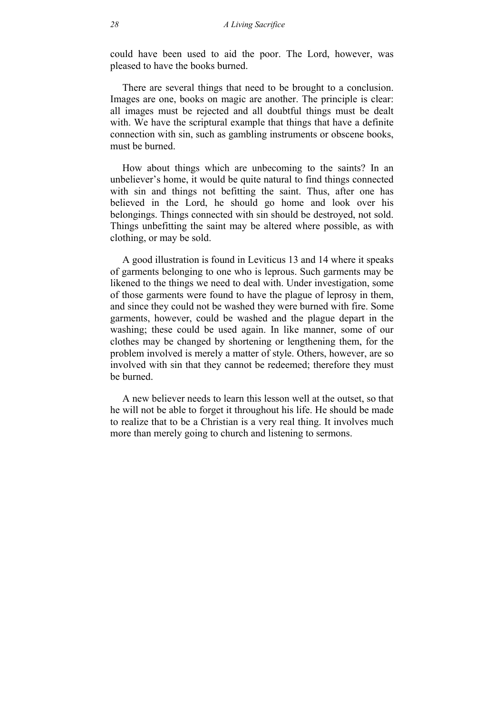could have been used to aid the poor. The Lord, however, was pleased to have the books burned.

There are several things that need to be brought to a conclusion. Images are one, books on magic are another. The principle is clear: all images must be rejected and all doubtful things must be dealt with. We have the scriptural example that things that have a definite connection with sin, such as gambling instruments or obscene books, must be burned.

How about things which are unbecoming to the saints? In an unbeliever's home, it would be quite natural to find things connected with sin and things not befitting the saint. Thus, after one has believed in the Lord, he should go home and look over his belongings. Things connected with sin should be destroyed, not sold. Things unbefitting the saint may be altered where possible, as with clothing, or may be sold.

A good illustration is found in Leviticus 13 and 14 where it speaks of garments belonging to one who is leprous. Such garments may be likened to the things we need to deal with. Under investigation, some of those garments were found to have the plague of leprosy in them, and since they could not be washed they were burned with fire. Some garments, however, could be washed and the plague depart in the washing; these could be used again. In like manner, some of our clothes may be changed by shortening or lengthening them, for the problem involved is merely a matter of style. Others, however, are so involved with sin that they cannot be redeemed; therefore they must be burned.

A new believer needs to learn this lesson well at the outset, so that he will not be able to forget it throughout his life. He should be made to realize that to be a Christian is a very real thing. It involves much more than merely going to church and listening to sermons.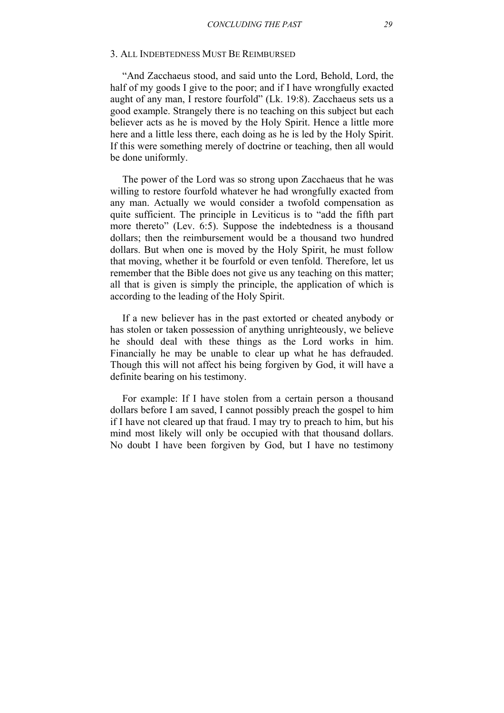### 3. ALL INDEBTEDNESS MUST BE REIMBURSED

"And Zacchaeus stood, and said unto the Lord, Behold, Lord, the half of my goods I give to the poor; and if I have wrongfully exacted aught of any man, I restore fourfold" (Lk. 19:8). Zacchaeus sets us a good example. Strangely there is no teaching on this subject but each believer acts as he is moved by the Holy Spirit. Hence a little more here and a little less there, each doing as he is led by the Holy Spirit. If this were something merely of doctrine or teaching, then all would be done uniformly.

The power of the Lord was so strong upon Zacchaeus that he was willing to restore fourfold whatever he had wrongfully exacted from any man. Actually we would consider a twofold compensation as quite sufficient. The principle in Leviticus is to "add the fifth part more thereto" (Lev. 6:5). Suppose the indebtedness is a thousand dollars; then the reimbursement would be a thousand two hundred dollars. But when one is moved by the Holy Spirit, he must follow that moving, whether it be fourfold or even tenfold. Therefore, let us remember that the Bible does not give us any teaching on this matter; all that is given is simply the principle, the application of which is according to the leading of the Holy Spirit.

If a new believer has in the past extorted or cheated anybody or has stolen or taken possession of anything unrighteously, we believe he should deal with these things as the Lord works in him. Financially he may be unable to clear up what he has defrauded. Though this will not affect his being forgiven by God, it will have a definite bearing on his testimony.

For example: If I have stolen from a certain person a thousand dollars before I am saved, I cannot possibly preach the gospel to him if I have not cleared up that fraud. I may try to preach to him, but his mind most likely will only be occupied with that thousand dollars. No doubt I have been forgiven by God, but I have no testimony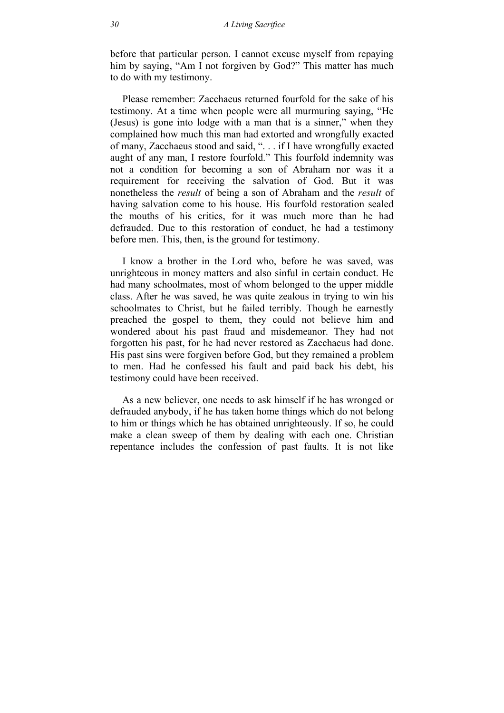before that particular person. I cannot excuse myself from repaying him by saying, "Am I not forgiven by God?" This matter has much to do with my testimony.

Please remember: Zacchaeus returned fourfold for the sake of his testimony. At a time when people were all murmuring saying, "He (Jesus) is gone into lodge with a man that is a sinner," when they complained how much this man had extorted and wrongfully exacted of many, Zacchaeus stood and said, ". . . if I have wrongfully exacted aught of any man, I restore fourfold." This fourfold indemnity was not a condition for becoming a son of Abraham nor was it a requirement for receiving the salvation of God. But it was nonetheless the *result* of being a son of Abraham and the *result* of having salvation come to his house. His fourfold restoration sealed the mouths of his critics, for it was much more than he had defrauded. Due to this restoration of conduct, he had a testimony before men. This, then, is the ground for testimony.

I know a brother in the Lord who, before he was saved, was unrighteous in money matters and also sinful in certain conduct. He had many schoolmates, most of whom belonged to the upper middle class. After he was saved, he was quite zealous in trying to win his schoolmates to Christ, but he failed terribly. Though he earnestly preached the gospel to them, they could not believe him and wondered about his past fraud and misdemeanor. They had not forgotten his past, for he had never restored as Zacchaeus had done. His past sins were forgiven before God, but they remained a problem to men. Had he confessed his fault and paid back his debt, his testimony could have been received.

As a new believer, one needs to ask himself if he has wronged or defrauded anybody, if he has taken home things which do not belong to him or things which he has obtained unrighteously. If so, he could make a clean sweep of them by dealing with each one. Christian repentance includes the confession of past faults. It is not like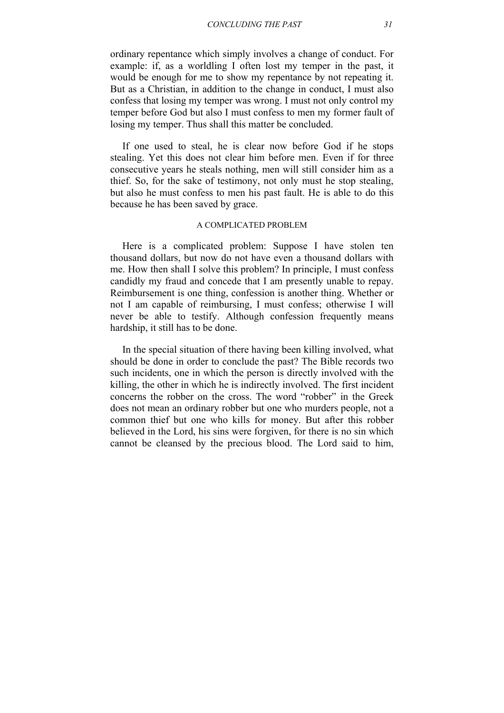ordinary repentance which simply involves a change of conduct. For example: if, as a worldling I often lost my temper in the past, it would be enough for me to show my repentance by not repeating it. But as a Christian, in addition to the change in conduct, I must also confess that losing my temper was wrong. I must not only control my temper before God but also I must confess to men my former fault of losing my temper. Thus shall this matter be concluded.

If one used to steal, he is clear now before God if he stops stealing. Yet this does not clear him before men. Even if for three consecutive years he steals nothing, men will still consider him as a thief. So, for the sake of testimony, not only must he stop stealing, but also he must confess to men his past fault. He is able to do this because he has been saved by grace.

#### A COMPLICATED PROBLEM

Here is a complicated problem: Suppose I have stolen ten thousand dollars, but now do not have even a thousand dollars with me. How then shall I solve this problem? In principle, I must confess candidly my fraud and concede that I am presently unable to repay. Reimbursement is one thing, confession is another thing. Whether or not I am capable of reimbursing, I must confess; otherwise I will never be able to testify. Although confession frequently means hardship, it still has to be done.

In the special situation of there having been killing involved, what should be done in order to conclude the past? The Bible records two such incidents, one in which the person is directly involved with the killing, the other in which he is indirectly involved. The first incident concerns the robber on the cross. The word "robber" in the Greek does not mean an ordinary robber but one who murders people, not a common thief but one who kills for money. But after this robber believed in the Lord, his sins were forgiven, for there is no sin which cannot be cleansed by the precious blood. The Lord said to him,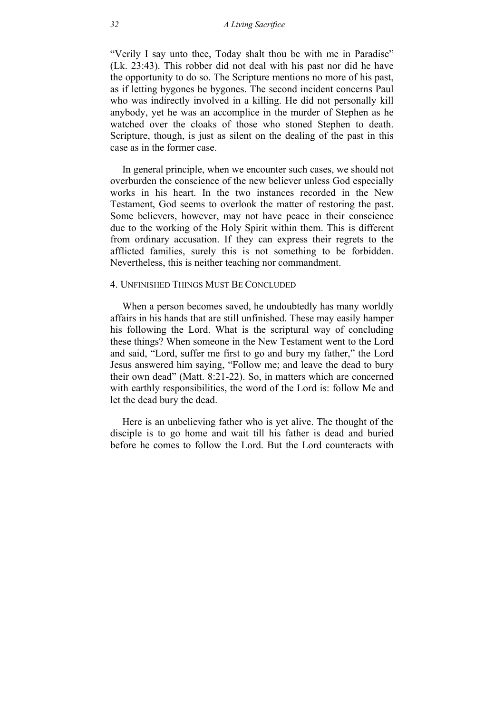"Verily I say unto thee, Today shalt thou be with me in Paradise" (Lk. 23:43). This robber did not deal with his past nor did he have the opportunity to do so. The Scripture mentions no more of his past, as if letting bygones be bygones. The second incident concerns Paul who was indirectly involved in a killing. He did not personally kill anybody, yet he was an accomplice in the murder of Stephen as he watched over the cloaks of those who stoned Stephen to death. Scripture, though, is just as silent on the dealing of the past in this case as in the former case.

In general principle, when we encounter such cases, we should not overburden the conscience of the new believer unless God especially works in his heart. In the two instances recorded in the New Testament, God seems to overlook the matter of restoring the past. Some believers, however, may not have peace in their conscience due to the working of the Holy Spirit within them. This is different from ordinary accusation. If they can express their regrets to the afflicted families, surely this is not something to be forbidden. Nevertheless, this is neither teaching nor commandment.

# 4. UNFINISHED THINGS MUST BE CONCLUDED

When a person becomes saved, he undoubtedly has many worldly affairs in his hands that are still unfinished. These may easily hamper his following the Lord. What is the scriptural way of concluding these things? When someone in the New Testament went to the Lord and said, "Lord, suffer me first to go and bury my father," the Lord Jesus answered him saying, "Follow me; and leave the dead to bury their own dead" (Matt. 8:21-22). So, in matters which are concerned with earthly responsibilities, the word of the Lord is: follow Me and let the dead bury the dead.

Here is an unbelieving father who is yet alive. The thought of the disciple is to go home and wait till his father is dead and buried before he comes to follow the Lord. But the Lord counteracts with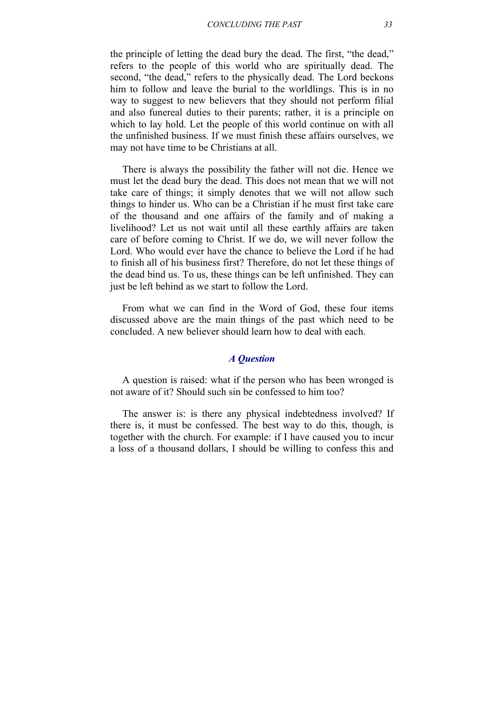the principle of letting the dead bury the dead. The first, "the dead," refers to the people of this world who are spiritually dead. The second, "the dead," refers to the physically dead. The Lord beckons him to follow and leave the burial to the worldlings. This is in no way to suggest to new believers that they should not perform filial and also funereal duties to their parents; rather, it is a principle on which to lay hold. Let the people of this world continue on with all the unfinished business. If we must finish these affairs ourselves, we may not have time to be Christians at all.

There is always the possibility the father will not die. Hence we must let the dead bury the dead. This does not mean that we will not take care of things; it simply denotes that we will not allow such things to hinder us. Who can be a Christian if he must first take care of the thousand and one affairs of the family and of making a livelihood? Let us not wait until all these earthly affairs are taken care of before coming to Christ. If we do, we will never follow the Lord. Who would ever have the chance to believe the Lord if he had to finish all of his business first? Therefore, do not let these things of the dead bind us. To us, these things can be left unfinished. They can just be left behind as we start to follow the Lord.

From what we can find in the Word of God, these four items discussed above are the main things of the past which need to be concluded. A new believer should learn how to deal with each.

# *A Question*

A question is raised: what if the person who has been wronged is not aware of it? Should such sin be confessed to him too?

The answer is: is there any physical indebtedness involved? If there is, it must be confessed. The best way to do this, though, is together with the church. For example: if I have caused you to incur a loss of a thousand dollars, I should be willing to confess this and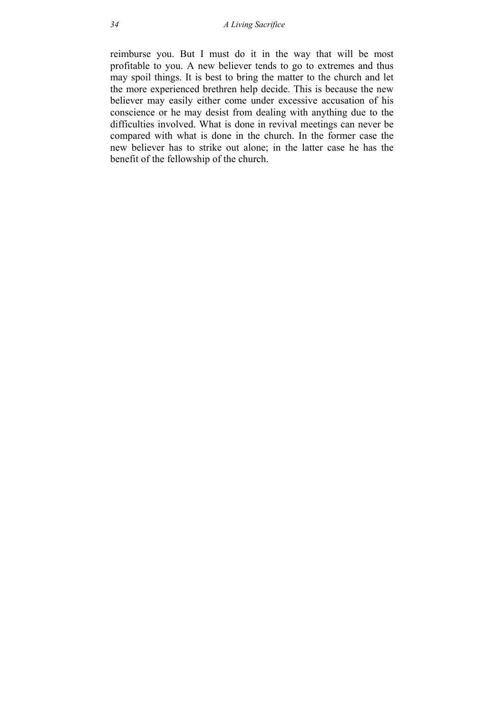reimburse you. But I must do it in the way that will be most profitable to you. A new believer tends to go to extremes and thus may spoil things. It is best to bring the matter to the church and let the more experienced brethren help decide. This is because the new believer may easily either come under excessive accusation of his conscience or he may desist from dealing with anything due to the difficulties involved. What is done in revival meetings can never be compared with what is done in the church. In the former case the new believer has to strike out alone; in the latter case he has the benefit of the fellowship of the church.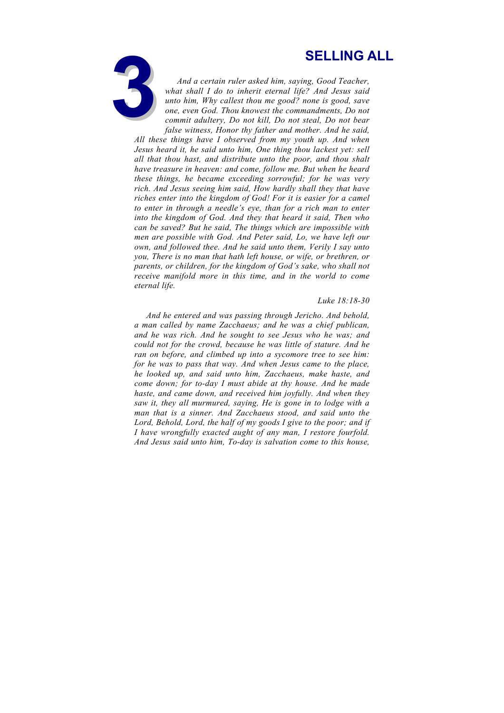

<span id="page-34-0"></span>**SELLING ALL**<br>
And a certain ruler asked him, saying, Good Teacher,<br>
what shall I do to inherit eternal life? And Jesus said<br>
unto him, Why callest thou me good? none is good, save<br>
one, even God. Thou knowest the commandm *And a certain ruler asked him, saying, Good Teacher, what shall I do to inherit eternal life? And Jesus said unto him, Why callest thou me good? none is good, save one, even God. Thou knowest the commandments, Do not commit adultery, Do not kill, Do not steal, Do not bear false witness, Honor thy father and mother. And he said,*

*All these things have I observed from my youth up. And when Jesus heard it, he said unto him, One thing thou lackest yet: sell all that thou hast, and distribute unto the poor, and thou shalt have treasure in heaven: and come, follow me. But when he heard these things, he became exceeding sorrowful; for he was very rich. And Jesus seeing him said, How hardly shall they that have riches enter into the kingdom of God! For it is easier for a camel to enter in through a needle's eye, than for a rich man to enter into the kingdom of God. And they that heard it said, Then who can be saved? But he said, The things which are impossible with men are possible with God. And Peter said, Lo, we have left our own, and followed thee. And he said unto them, Verily I say unto you, There is no man that hath left house, or wife, or brethren, or parents, or children, for the kingdom of God's sake, who shall not receive manifold more in this time, and in the world to come eternal life.* 

#### *Luke 18:18-30*

*And he entered and was passing through Jericho. And behold, a man called by name Zacchaeus; and he was a chief publican, and he was rich. And he sought to see Jesus who he was; and could not for the crowd, because he was little of stature. And he ran on before, and climbed up into a sycomore tree to see him: for he was to pass that way. And when Jesus came to the place, he looked up, and said unto him, Zacchaeus, make haste, and come down; for to-day I must abide at thy house. And he made haste, and came down, and received him joyfully. And when they saw it, they all murmured, saying, He is gone in to lodge with a man that is a sinner. And Zacchaeus stood, and said unto the Lord, Behold, Lord, the half of my goods I give to the poor; and if I have wrongfully exacted aught of any man, I restore fourfold. And Jesus said unto him, To-day is salvation come to this house,*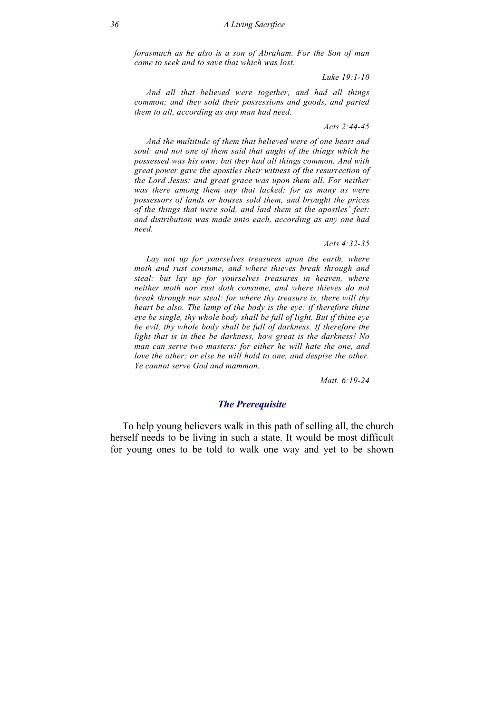*forasmuch as he also is a son of Abraham. For the Son of man came to seek and to save that which was lost.* 

*Luke 19:1-10* 

*And all that believed were together, and had all things common; and they sold their possessions and goods, and parted them to all, according as any man had need.* 

#### *Acts 2:44-45*

*And the multitude of them that believed were of one heart and soul: and not one of them said that aught of the things which he possessed was his own; but they had all things common. And with great power gave the apostles their witness of the resurrection of the Lord Jesus: and great grace was upon them all. For neither was there among them any that lacked: for as many as were possessors of lands or houses sold them, and brought the prices of the things that were sold, and laid them at the apostles' feet: and distribution was made unto each, according as any one had need.* 

 *Acts 4:32-35* 

*Lay not up for yourselves treasures upon the earth, where moth and rust consume, and where thieves break through and steal: but lay up for yourselves treasures in heaven, where neither moth nor rust doth consume, and where thieves do not break through nor steal: for where thy treasure is, there will thy heart be also. The lamp of the body is the eye: if therefore thine eye be single, thy whole body shall be full of light. But if thine eye be evil, thy whole body shall be full of darkness. If therefore the light that is in thee be darkness, how great is the darkness! No man can serve two masters: for either he will hate the one, and love the other; or else he will hold to one, and despise the other. Ye cannot serve God and mammon.* 

*Matt. 6:19-24* 

### *The Prerequisite*

To help young believers walk in this path of selling all, the church herself needs to be living in such a state. It would be most difficult for young ones to be told to walk one way and yet to be shown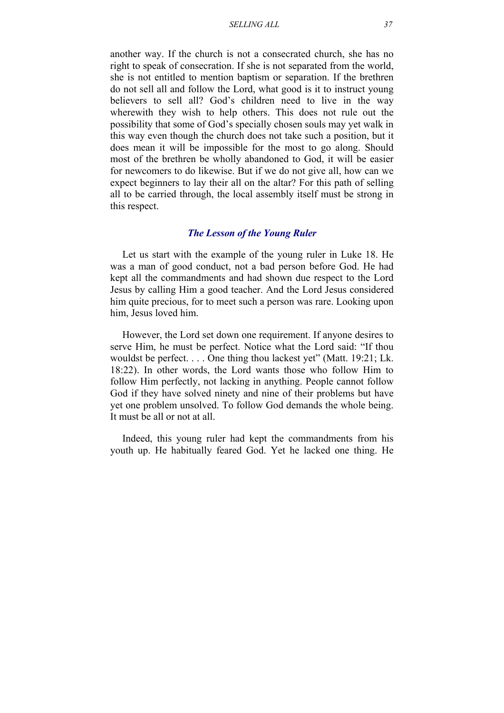another way. If the church is not a consecrated church, she has no right to speak of consecration. If she is not separated from the world, she is not entitled to mention baptism or separation. If the brethren do not sell all and follow the Lord, what good is it to instruct young believers to sell all? God's children need to live in the way wherewith they wish to help others. This does not rule out the possibility that some of God's specially chosen souls may yet walk in this way even though the church does not take such a position, but it does mean it will be impossible for the most to go along. Should most of the brethren be wholly abandoned to God, it will be easier for newcomers to do likewise. But if we do not give all, how can we expect beginners to lay their all on the altar? For this path of selling all to be carried through, the local assembly itself must be strong in this respect.

## *The Lesson of the Young Ruler*

Let us start with the example of the young ruler in Luke 18. He was a man of good conduct, not a bad person before God. He had kept all the commandments and had shown due respect to the Lord Jesus by calling Him a good teacher. And the Lord Jesus considered him quite precious, for to meet such a person was rare. Looking upon him, Jesus loved him.

However, the Lord set down one requirement. If anyone desires to serve Him, he must be perfect. Notice what the Lord said: "If thou wouldst be perfect. . . . One thing thou lackest yet" (Matt. 19:21; Lk. 18:22). In other words, the Lord wants those who follow Him to follow Him perfectly, not lacking in anything. People cannot follow God if they have solved ninety and nine of their problems but have yet one problem unsolved. To follow God demands the whole being. It must be all or not at all.

Indeed, this young ruler had kept the commandments from his youth up. He habitually feared God. Yet he lacked one thing. He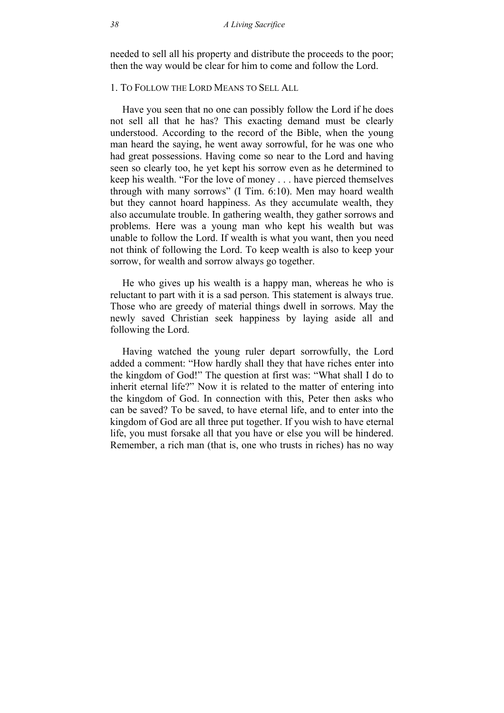needed to sell all his property and distribute the proceeds to the poor; then the way would be clear for him to come and follow the Lord.

# 1. TO FOLLOW THE LORD MEANS TO SELL ALL

Have you seen that no one can possibly follow the Lord if he does not sell all that he has? This exacting demand must be clearly understood. According to the record of the Bible, when the young man heard the saying, he went away sorrowful, for he was one who had great possessions. Having come so near to the Lord and having seen so clearly too, he yet kept his sorrow even as he determined to keep his wealth. "For the love of money . . . have pierced themselves through with many sorrows" (I Tim. 6:10). Men may hoard wealth but they cannot hoard happiness. As they accumulate wealth, they also accumulate trouble. In gathering wealth, they gather sorrows and problems. Here was a young man who kept his wealth but was unable to follow the Lord. If wealth is what you want, then you need not think of following the Lord. To keep wealth is also to keep your sorrow, for wealth and sorrow always go together.

He who gives up his wealth is a happy man, whereas he who is reluctant to part with it is a sad person. This statement is always true. Those who are greedy of material things dwell in sorrows. May the newly saved Christian seek happiness by laying aside all and following the Lord.

Having watched the young ruler depart sorrowfully, the Lord added a comment: "How hardly shall they that have riches enter into the kingdom of God!" The question at first was: "What shall I do to inherit eternal life?" Now it is related to the matter of entering into the kingdom of God. In connection with this, Peter then asks who can be saved? To be saved, to have eternal life, and to enter into the kingdom of God are all three put together. If you wish to have eternal life, you must forsake all that you have or else you will be hindered. Remember, a rich man (that is, one who trusts in riches) has no way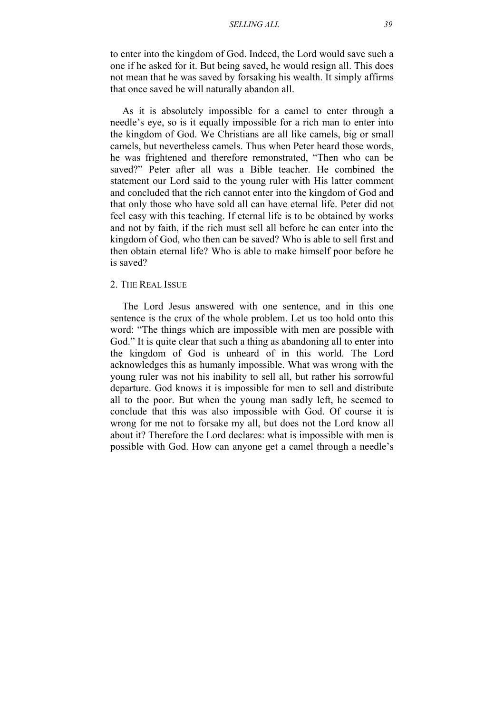to enter into the kingdom of God. Indeed, the Lord would save such a one if he asked for it. But being saved, he would resign all. This does not mean that he was saved by forsaking his wealth. It simply affirms that once saved he will naturally abandon all.

As it is absolutely impossible for a camel to enter through a needle's eye, so is it equally impossible for a rich man to enter into the kingdom of God. We Christians are all like camels, big or small camels, but nevertheless camels. Thus when Peter heard those words, he was frightened and therefore remonstrated, "Then who can be saved?" Peter after all was a Bible teacher. He combined the statement our Lord said to the young ruler with His latter comment and concluded that the rich cannot enter into the kingdom of God and that only those who have sold all can have eternal life. Peter did not feel easy with this teaching. If eternal life is to be obtained by works and not by faith, if the rich must sell all before he can enter into the kingdom of God, who then can be saved? Who is able to sell first and then obtain eternal life? Who is able to make himself poor before he is saved?

### 2. THE REAL ISSUE

The Lord Jesus answered with one sentence, and in this one sentence is the crux of the whole problem. Let us too hold onto this word: "The things which are impossible with men are possible with God." It is quite clear that such a thing as abandoning all to enter into the kingdom of God is unheard of in this world. The Lord acknowledges this as humanly impossible. What was wrong with the young ruler was not his inability to sell all, but rather his sorrowful departure. God knows it is impossible for men to sell and distribute all to the poor. But when the young man sadly left, he seemed to conclude that this was also impossible with God. Of course it is wrong for me not to forsake my all, but does not the Lord know all about it? Therefore the Lord declares: what is impossible with men is possible with God. How can anyone get a camel through a needle's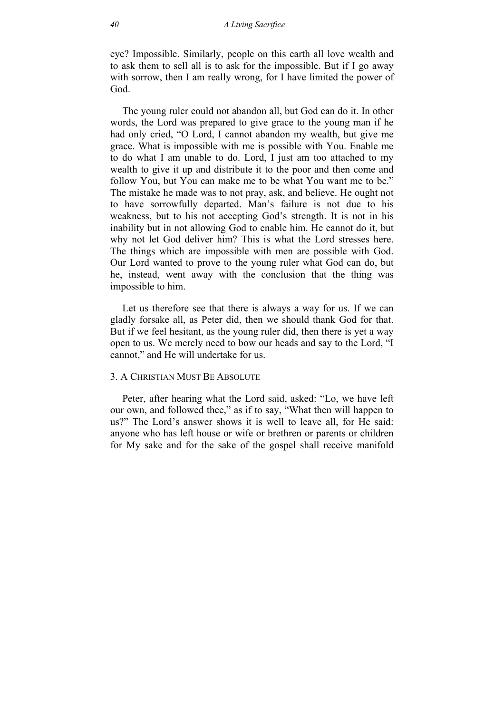eye? Impossible. Similarly, people on this earth all love wealth and to ask them to sell all is to ask for the impossible. But if I go away with sorrow, then I am really wrong, for I have limited the power of God.

The young ruler could not abandon all, but God can do it. In other words, the Lord was prepared to give grace to the young man if he had only cried, "O Lord, I cannot abandon my wealth, but give me grace. What is impossible with me is possible with You. Enable me to do what I am unable to do. Lord, I just am too attached to my wealth to give it up and distribute it to the poor and then come and follow You, but You can make me to be what You want me to be." The mistake he made was to not pray, ask, and believe. He ought not to have sorrowfully departed. Man's failure is not due to his weakness, but to his not accepting God's strength. It is not in his inability but in not allowing God to enable him. He cannot do it, but why not let God deliver him? This is what the Lord stresses here. The things which are impossible with men are possible with God. Our Lord wanted to prove to the young ruler what God can do, but he, instead, went away with the conclusion that the thing was impossible to him.

Let us therefore see that there is always a way for us. If we can gladly forsake all, as Peter did, then we should thank God for that. But if we feel hesitant, as the young ruler did, then there is yet a way open to us. We merely need to bow our heads and say to the Lord, "I cannot," and He will undertake for us.

### 3. A CHRISTIAN MUST BE ABSOLUTE

Peter, after hearing what the Lord said, asked: "Lo, we have left our own, and followed thee," as if to say, "What then will happen to us?" The Lord's answer shows it is well to leave all, for He said: anyone who has left house or wife or brethren or parents or children for My sake and for the sake of the gospel shall receive manifold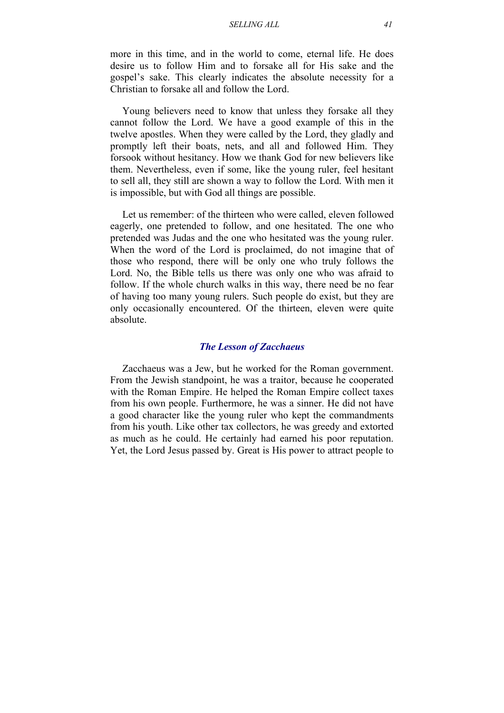more in this time, and in the world to come, eternal life. He does desire us to follow Him and to forsake all for His sake and the gospel's sake. This clearly indicates the absolute necessity for a Christian to forsake all and follow the Lord.

Young believers need to know that unless they forsake all they cannot follow the Lord. We have a good example of this in the twelve apostles. When they were called by the Lord, they gladly and promptly left their boats, nets, and all and followed Him. They forsook without hesitancy. How we thank God for new believers like them. Nevertheless, even if some, like the young ruler, feel hesitant to sell all, they still are shown a way to follow the Lord. With men it is impossible, but with God all things are possible.

Let us remember: of the thirteen who were called, eleven followed eagerly, one pretended to follow, and one hesitated. The one who pretended was Judas and the one who hesitated was the young ruler. When the word of the Lord is proclaimed, do not imagine that of those who respond, there will be only one who truly follows the Lord. No, the Bible tells us there was only one who was afraid to follow. If the whole church walks in this way, there need be no fear of having too many young rulers. Such people do exist, but they are only occasionally encountered. Of the thirteen, eleven were quite absolute.

### *The Lesson of Zacchaeus*

Zacchaeus was a Jew, but he worked for the Roman government. From the Jewish standpoint, he was a traitor, because he cooperated with the Roman Empire. He helped the Roman Empire collect taxes from his own people. Furthermore, he was a sinner. He did not have a good character like the young ruler who kept the commandments from his youth. Like other tax collectors, he was greedy and extorted as much as he could. He certainly had earned his poor reputation. Yet, the Lord Jesus passed by. Great is His power to attract people to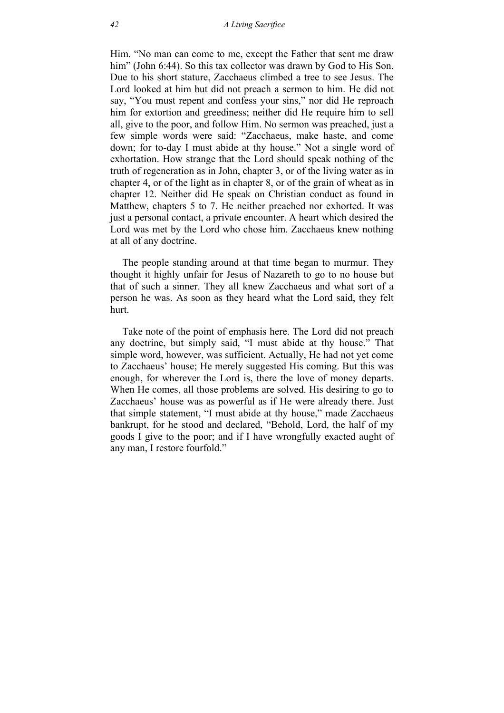Him. "No man can come to me, except the Father that sent me draw him" (John 6:44). So this tax collector was drawn by God to His Son. Due to his short stature, Zacchaeus climbed a tree to see Jesus. The Lord looked at him but did not preach a sermon to him. He did not say, "You must repent and confess your sins," nor did He reproach him for extortion and greediness; neither did He require him to sell all, give to the poor, and follow Him. No sermon was preached, just a few simple words were said: "Zacchaeus, make haste, and come down; for to-day I must abide at thy house." Not a single word of exhortation. How strange that the Lord should speak nothing of the truth of regeneration as in John, chapter 3, or of the living water as in chapter 4, or of the light as in chapter 8, or of the grain of wheat as in chapter 12. Neither did He speak on Christian conduct as found in Matthew, chapters 5 to 7. He neither preached nor exhorted. It was just a personal contact, a private encounter. A heart which desired the Lord was met by the Lord who chose him. Zacchaeus knew nothing at all of any doctrine.

The people standing around at that time began to murmur. They thought it highly unfair for Jesus of Nazareth to go to no house but that of such a sinner. They all knew Zacchaeus and what sort of a person he was. As soon as they heard what the Lord said, they felt hurt.

Take note of the point of emphasis here. The Lord did not preach any doctrine, but simply said, "I must abide at thy house." That simple word, however, was sufficient. Actually, He had not yet come to Zacchaeus' house; He merely suggested His coming. But this was enough, for wherever the Lord is, there the love of money departs. When He comes, all those problems are solved. His desiring to go to Zacchaeus' house was as powerful as if He were already there. Just that simple statement, "I must abide at thy house," made Zacchaeus bankrupt, for he stood and declared, "Behold, Lord, the half of my goods I give to the poor; and if I have wrongfully exacted aught of any man, I restore fourfold."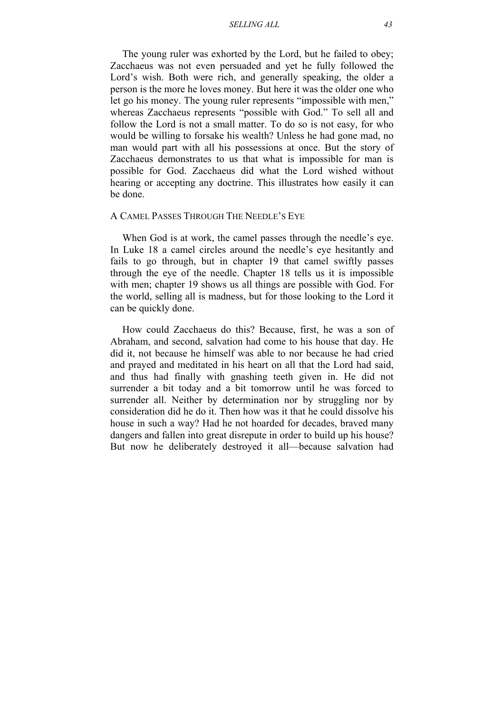The young ruler was exhorted by the Lord, but he failed to obey; Zacchaeus was not even persuaded and yet he fully followed the Lord's wish. Both were rich, and generally speaking, the older a person is the more he loves money. But here it was the older one who let go his money. The young ruler represents "impossible with men," whereas Zacchaeus represents "possible with God." To sell all and follow the Lord is not a small matter. To do so is not easy, for who would be willing to forsake his wealth? Unless he had gone mad, no man would part with all his possessions at once. But the story of Zacchaeus demonstrates to us that what is impossible for man is possible for God. Zacchaeus did what the Lord wished without hearing or accepting any doctrine. This illustrates how easily it can be done.

## A CAMEL PASSES THROUGH THE NEEDLE'S EYE

When God is at work, the camel passes through the needle's eye. In Luke 18 a camel circles around the needle's eye hesitantly and fails to go through, but in chapter 19 that camel swiftly passes through the eye of the needle. Chapter 18 tells us it is impossible with men; chapter 19 shows us all things are possible with God. For the world, selling all is madness, but for those looking to the Lord it can be quickly done.

How could Zacchaeus do this? Because, first, he was a son of Abraham, and second, salvation had come to his house that day. He did it, not because he himself was able to nor because he had cried and prayed and meditated in his heart on all that the Lord had said, and thus had finally with gnashing teeth given in. He did not surrender a bit today and a bit tomorrow until he was forced to surrender all. Neither by determination nor by struggling nor by consideration did he do it. Then how was it that he could dissolve his house in such a way? Had he not hoarded for decades, braved many dangers and fallen into great disrepute in order to build up his house? But now he deliberately destroyed it all—because salvation had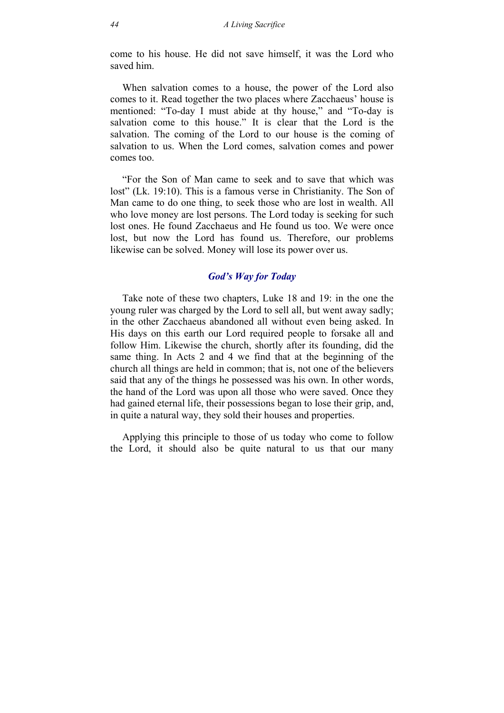come to his house. He did not save himself, it was the Lord who saved him.

When salvation comes to a house, the power of the Lord also comes to it. Read together the two places where Zacchaeus' house is mentioned: "To-day I must abide at thy house," and "To-day is salvation come to this house." It is clear that the Lord is the salvation. The coming of the Lord to our house is the coming of salvation to us. When the Lord comes, salvation comes and power comes too.

"For the Son of Man came to seek and to save that which was lost" (Lk. 19:10). This is a famous verse in Christianity. The Son of Man came to do one thing, to seek those who are lost in wealth. All who love money are lost persons. The Lord today is seeking for such lost ones. He found Zacchaeus and He found us too. We were once lost, but now the Lord has found us. Therefore, our problems likewise can be solved. Money will lose its power over us.

# *God's Way for Today*

Take note of these two chapters, Luke 18 and 19: in the one the young ruler was charged by the Lord to sell all, but went away sadly; in the other Zacchaeus abandoned all without even being asked. In His days on this earth our Lord required people to forsake all and follow Him. Likewise the church, shortly after its founding, did the same thing. In Acts 2 and 4 we find that at the beginning of the church all things are held in common; that is, not one of the believers said that any of the things he possessed was his own. In other words, the hand of the Lord was upon all those who were saved. Once they had gained eternal life, their possessions began to lose their grip, and, in quite a natural way, they sold their houses and properties.

Applying this principle to those of us today who come to follow the Lord, it should also be quite natural to us that our many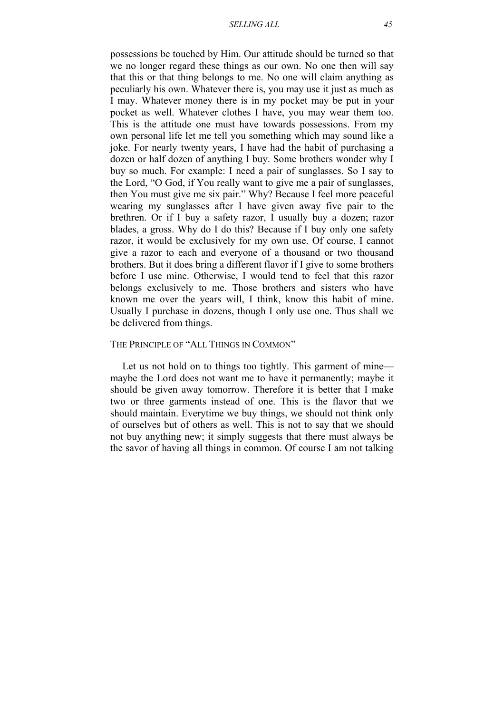possessions be touched by Him. Our attitude should be turned so that we no longer regard these things as our own. No one then will say that this or that thing belongs to me. No one will claim anything as peculiarly his own. Whatever there is, you may use it just as much as I may. Whatever money there is in my pocket may be put in your pocket as well. Whatever clothes I have, you may wear them too. This is the attitude one must have towards possessions. From my own personal life let me tell you something which may sound like a joke. For nearly twenty years, I have had the habit of purchasing a dozen or half dozen of anything I buy. Some brothers wonder why I buy so much. For example: I need a pair of sunglasses. So I say to the Lord, "O God, if You really want to give me a pair of sunglasses, then You must give me six pair." Why? Because I feel more peaceful wearing my sunglasses after I have given away five pair to the brethren. Or if I buy a safety razor, I usually buy a dozen; razor blades, a gross. Why do I do this? Because if I buy only one safety razor, it would be exclusively for my own use. Of course, I cannot give a razor to each and everyone of a thousand or two thousand brothers. But it does bring a different flavor if I give to some brothers before I use mine. Otherwise, I would tend to feel that this razor belongs exclusively to me. Those brothers and sisters who have known me over the years will, I think, know this habit of mine. Usually I purchase in dozens, though I only use one. Thus shall we be delivered from things.

THE PRINCIPLE OF "ALL THINGS IN COMMON"

Let us not hold on to things too tightly. This garment of mine maybe the Lord does not want me to have it permanently; maybe it should be given away tomorrow. Therefore it is better that I make two or three garments instead of one. This is the flavor that we should maintain. Everytime we buy things, we should not think only of ourselves but of others as well. This is not to say that we should not buy anything new; it simply suggests that there must always be the savor of having all things in common. Of course I am not talking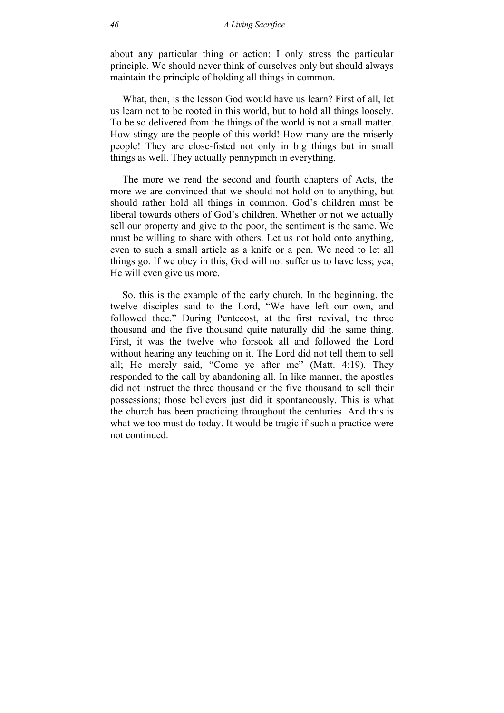about any particular thing or action; I only stress the particular principle. We should never think of ourselves only but should always maintain the principle of holding all things in common.

What, then, is the lesson God would have us learn? First of all, let us learn not to be rooted in this world, but to hold all things loosely. To be so delivered from the things of the world is not a small matter. How stingy are the people of this world! How many are the miserly people! They are close-fisted not only in big things but in small things as well. They actually pennypinch in everything.

The more we read the second and fourth chapters of Acts, the more we are convinced that we should not hold on to anything, but should rather hold all things in common. God's children must be liberal towards others of God's children. Whether or not we actually sell our property and give to the poor, the sentiment is the same. We must be willing to share with others. Let us not hold onto anything, even to such a small article as a knife or a pen. We need to let all things go. If we obey in this, God will not suffer us to have less; yea, He will even give us more.

So, this is the example of the early church. In the beginning, the twelve disciples said to the Lord, "We have left our own, and followed thee." During Pentecost, at the first revival, the three thousand and the five thousand quite naturally did the same thing. First, it was the twelve who forsook all and followed the Lord without hearing any teaching on it. The Lord did not tell them to sell all; He merely said, "Come ye after me" (Matt. 4:19). They responded to the call by abandoning all. In like manner, the apostles did not instruct the three thousand or the five thousand to sell their possessions; those believers just did it spontaneously. This is what the church has been practicing throughout the centuries. And this is what we too must do today. It would be tragic if such a practice were not continued.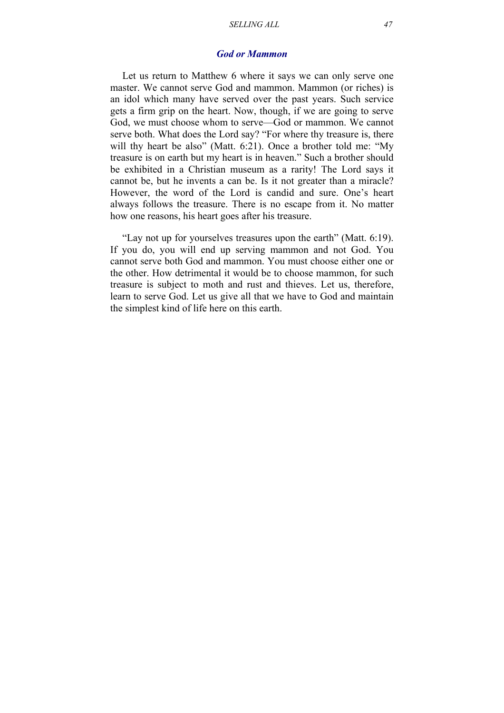#### *God or Mammon*

Let us return to Matthew 6 where it says we can only serve one master. We cannot serve God and mammon. Mammon (or riches) is an idol which many have served over the past years. Such service gets a firm grip on the heart. Now, though, if we are going to serve God, we must choose whom to serve—God or mammon. We cannot serve both. What does the Lord say? "For where thy treasure is, there will thy heart be also" (Matt. 6:21). Once a brother told me: "My treasure is on earth but my heart is in heaven." Such a brother should be exhibited in a Christian museum as a rarity! The Lord says it cannot be, but he invents a can be. Is it not greater than a miracle? However, the word of the Lord is candid and sure. One's heart always follows the treasure. There is no escape from it. No matter how one reasons, his heart goes after his treasure.

"Lay not up for yourselves treasures upon the earth" (Matt. 6:19). If you do, you will end up serving mammon and not God. You cannot serve both God and mammon. You must choose either one or the other. How detrimental it would be to choose mammon, for such treasure is subject to moth and rust and thieves. Let us, therefore, learn to serve God. Let us give all that we have to God and maintain the simplest kind of life here on this earth.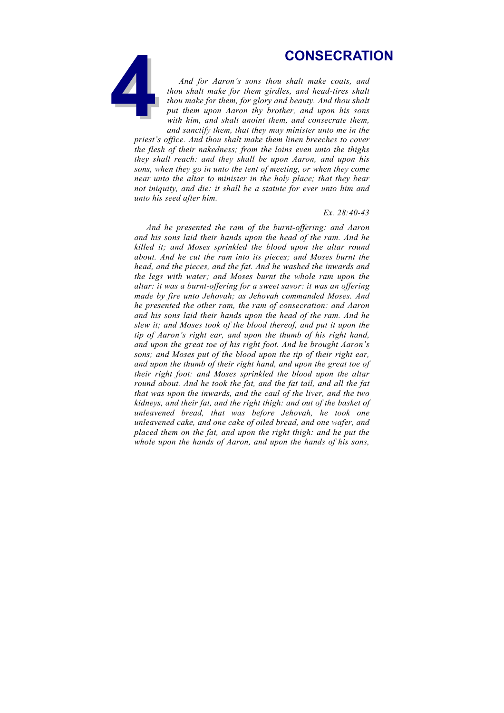**4D.** And for Agron's sons thou shalt make coats, and thou shalt make for them girdles, and head-tires shalt thou make for them, for glory and beauty. And thou shalt put them upon Agron thy brother, and upon his sons with *And for Aaron's sons thou shalt make coats, and thou shalt make for them girdles, and head-tires shalt thou make for them, for glory and beauty. And thou shalt put them upon Aaron thy brother, and upon his sons with him, and shalt anoint them, and consecrate them, and sanctify them, that they may minister unto me in the priest's office. And thou shalt make them linen breeches to cover the flesh of their nakedness; from the loins even unto the thighs they shall reach: and they shall be upon Aaron, and upon his sons, when they go in unto the tent of meeting, or when they come near unto the altar to minister in the holy place; that they bear not iniquity, and die: it shall be a statute for ever unto him and unto his seed after him.* 

#### *Ex. 28:40-43*

*And he presented the ram of the burnt-offering: and Aaron and his sons laid their hands upon the head of the ram. And he killed it; and Moses sprinkled the blood upon the altar round about. And he cut the ram into its pieces; and Moses burnt the head, and the pieces, and the fat. And he washed the inwards and the legs with water; and Moses burnt the whole ram upon the altar: it was a burnt-offering for a sweet savor: it was an offering made by fire unto Jehovah; as Jehovah commanded Moses. And he presented the other ram, the ram of consecration: and Aaron and his sons laid their hands upon the head of the ram. And he slew it; and Moses took of the blood thereof, and put it upon the tip of Aaron's right ear, and upon the thumb of his right hand, and upon the great toe of his right foot. And he brought Aaron's sons; and Moses put of the blood upon the tip of their right ear, and upon the thumb of their right hand, and upon the great toe of their right foot: and Moses sprinkled the blood upon the altar round about. And he took the fat, and the fat tail, and all the fat that was upon the inwards, and the caul of the liver, and the two kidneys, and their fat, and the right thigh: and out of the basket of unleavened bread, that was before Jehovah, he took one unleavened cake, and one cake of oiled bread, and one wafer, and placed them on the fat, and upon the right thigh: and he put the whole upon the hands of Aaron, and upon the hands of his sons,*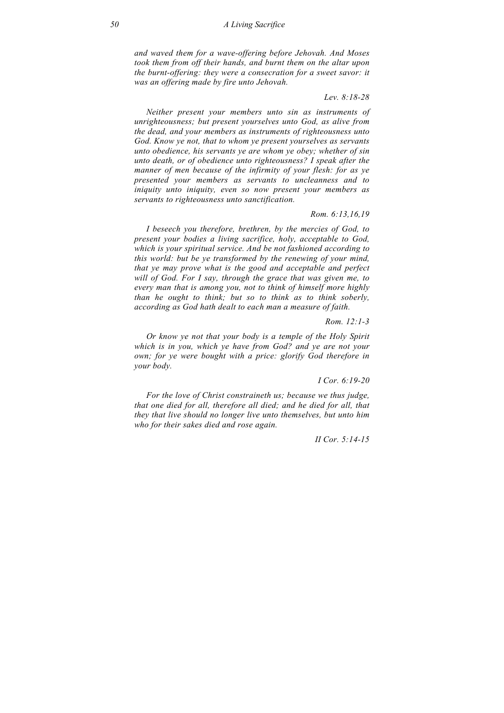*and waved them for a wave-offering before Jehovah. And Moses took them from off their hands, and burnt them on the altar upon the burnt-offering: they were a consecration for a sweet savor: it was an offering made by fire unto Jehovah.* 

*Lev. 8:18-28* 

*Neither present your members unto sin as instruments of unrighteousness; but present yourselves unto God, as alive from the dead, and your members as instruments of righteousness unto God. Know ye not, that to whom ye present yourselves as servants unto obedience, his servants ye are whom ye obey; whether of sin unto death, or of obedience unto righteousness? I speak after the manner of men because of the infirmity of your flesh: for as ye presented your members as servants to uncleanness and to iniquity unto iniquity, even so now present your members as servants to righteousness unto sanctification.* 

*Rom. 6:13,16,19* 

*I beseech you therefore, brethren, by the mercies of God, to present your bodies a living sacrifice, holy, acceptable to God, which is your spiritual service. And be not fashioned according to this world: but be ye transformed by the renewing of your mind, that ye may prove what is the good and acceptable and perfect*  will of God. For I say, through the grace that was given me, to *every man that is among you, not to think of himself more highly than he ought to think; but so to think as to think soberly, according as God hath dealt to each man a measure of faith.* 

*Rom. 12:1-3* 

*Or know ye not that your body is a temple of the Holy Spirit which is in you, which ye have from God? and ye are not your own; for ye were bought with a price: glorify God therefore in your body.* 

*I Cor. 6:19-20* 

*For the love of Christ constraineth us; because we thus judge, that one died for all, therefore all died; and he died for all, that they that live should no longer live unto themselves, but unto him who for their sakes died and rose again.* 

*II Cor. 5:14-15*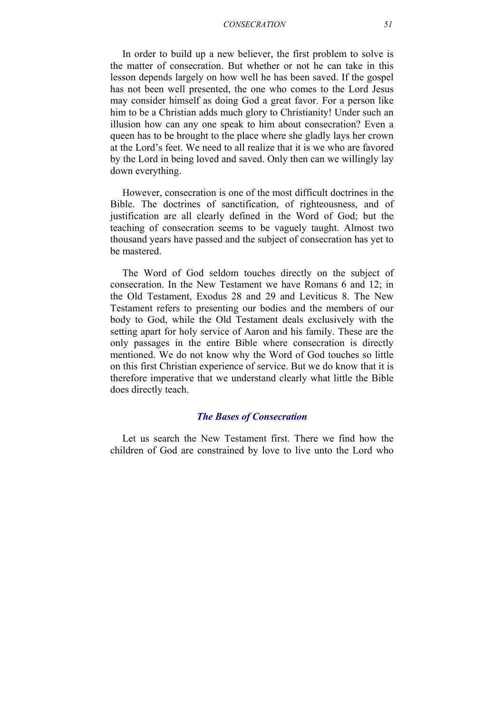In order to build up a new believer, the first problem to solve is the matter of consecration. But whether or not he can take in this lesson depends largely on how well he has been saved. If the gospel has not been well presented, the one who comes to the Lord Jesus may consider himself as doing God a great favor. For a person like him to be a Christian adds much glory to Christianity! Under such an illusion how can any one speak to him about consecration? Even a queen has to be brought to the place where she gladly lays her crown at the Lord's feet. We need to all realize that it is we who are favored by the Lord in being loved and saved. Only then can we willingly lay down everything.

However, consecration is one of the most difficult doctrines in the Bible. The doctrines of sanctification, of righteousness, and of justification are all clearly defined in the Word of God; but the teaching of consecration seems to be vaguely taught. Almost two thousand years have passed and the subject of consecration has yet to be mastered.

The Word of God seldom touches directly on the subject of consecration. In the New Testament we have Romans 6 and 12; in the Old Testament, Exodus 28 and 29 and Leviticus 8. The New Testament refers to presenting our bodies and the members of our body to God, while the Old Testament deals exclusively with the setting apart for holy service of Aaron and his family. These are the only passages in the entire Bible where consecration is directly mentioned. We do not know why the Word of God touches so little on this first Christian experience of service. But we do know that it is therefore imperative that we understand clearly what little the Bible does directly teach.

# *The Bases of Consecration*

Let us search the New Testament first. There we find how the children of God are constrained by love to live unto the Lord who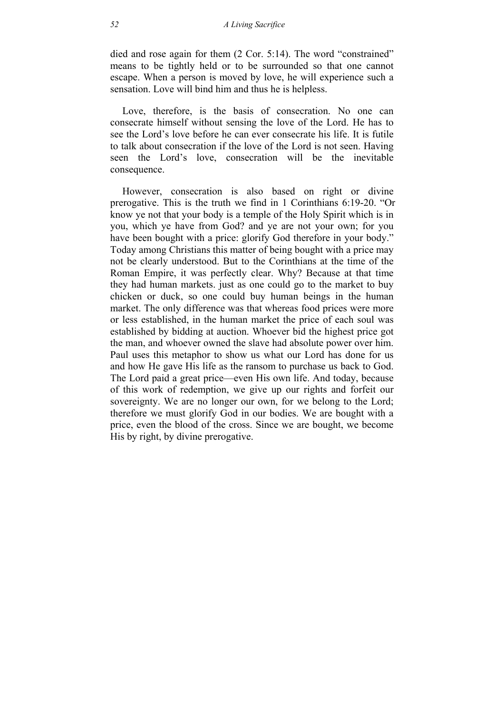died and rose again for them (2 Cor. 5:14). The word "constrained" means to be tightly held or to be surrounded so that one cannot escape. When a person is moved by love, he will experience such a sensation. Love will bind him and thus he is helpless.

Love, therefore, is the basis of consecration. No one can consecrate himself without sensing the love of the Lord. He has to see the Lord's love before he can ever consecrate his life. It is futile to talk about consecration if the love of the Lord is not seen. Having seen the Lord's love, consecration will be the inevitable consequence.

However, consecration is also based on right or divine prerogative. This is the truth we find in 1 Corinthians 6:19-20. "Or know ye not that your body is a temple of the Holy Spirit which is in you, which ye have from God? and ye are not your own; for you have been bought with a price: glorify God therefore in your body." Today among Christians this matter of being bought with a price may not be clearly understood. But to the Corinthians at the time of the Roman Empire, it was perfectly clear. Why? Because at that time they had human markets. just as one could go to the market to buy chicken or duck, so one could buy human beings in the human market. The only difference was that whereas food prices were more or less established, in the human market the price of each soul was established by bidding at auction. Whoever bid the highest price got the man, and whoever owned the slave had absolute power over him. Paul uses this metaphor to show us what our Lord has done for us and how He gave His life as the ransom to purchase us back to God. The Lord paid a great price—even His own life. And today, because of this work of redemption, we give up our rights and forfeit our sovereignty. We are no longer our own, for we belong to the Lord; therefore we must glorify God in our bodies. We are bought with a price, even the blood of the cross. Since we are bought, we become His by right, by divine prerogative.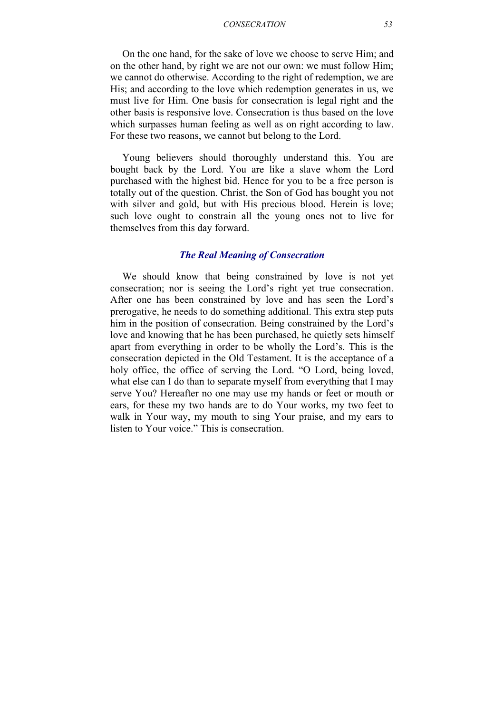On the one hand, for the sake of love we choose to serve Him; and on the other hand, by right we are not our own: we must follow Him; we cannot do otherwise. According to the right of redemption, we are His; and according to the love which redemption generates in us, we must live for Him. One basis for consecration is legal right and the other basis is responsive love. Consecration is thus based on the love which surpasses human feeling as well as on right according to law. For these two reasons, we cannot but belong to the Lord.

Young believers should thoroughly understand this. You are bought back by the Lord. You are like a slave whom the Lord purchased with the highest bid. Hence for you to be a free person is totally out of the question. Christ, the Son of God has bought you not with silver and gold, but with His precious blood. Herein is love; such love ought to constrain all the young ones not to live for themselves from this day forward.

# *The Real Meaning of Consecration*

We should know that being constrained by love is not yet consecration; nor is seeing the Lord's right yet true consecration. After one has been constrained by love and has seen the Lord's prerogative, he needs to do something additional. This extra step puts him in the position of consecration. Being constrained by the Lord's love and knowing that he has been purchased, he quietly sets himself apart from everything in order to be wholly the Lord's. This is the consecration depicted in the Old Testament. It is the acceptance of a holy office, the office of serving the Lord. "O Lord, being loved, what else can I do than to separate myself from everything that I may serve You? Hereafter no one may use my hands or feet or mouth or ears, for these my two hands are to do Your works, my two feet to walk in Your way, my mouth to sing Your praise, and my ears to listen to Your voice." This is consecration.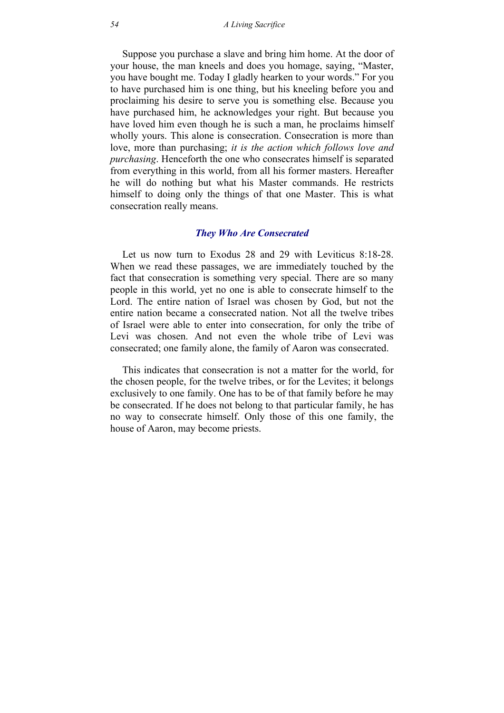Suppose you purchase a slave and bring him home. At the door of your house, the man kneels and does you homage, saying, "Master, you have bought me. Today I gladly hearken to your words." For you to have purchased him is one thing, but his kneeling before you and proclaiming his desire to serve you is something else. Because you have purchased him, he acknowledges your right. But because you have loved him even though he is such a man, he proclaims himself wholly yours. This alone is consecration. Consecration is more than love, more than purchasing; *it is the action which follows love and purchasing*. Henceforth the one who consecrates himself is separated from everything in this world, from all his former masters. Hereafter he will do nothing but what his Master commands. He restricts himself to doing only the things of that one Master. This is what consecration really means.

# *They Who Are Consecrated*

Let us now turn to Exodus 28 and 29 with Leviticus 8:18-28. When we read these passages, we are immediately touched by the fact that consecration is something very special. There are so many people in this world, yet no one is able to consecrate himself to the Lord. The entire nation of Israel was chosen by God, but not the entire nation became a consecrated nation. Not all the twelve tribes of Israel were able to enter into consecration, for only the tribe of Levi was chosen. And not even the whole tribe of Levi was consecrated; one family alone, the family of Aaron was consecrated.

This indicates that consecration is not a matter for the world, for the chosen people, for the twelve tribes, or for the Levites; it belongs exclusively to one family. One has to be of that family before he may be consecrated. If he does not belong to that particular family, he has no way to consecrate himself. Only those of this one family, the house of Aaron, may become priests.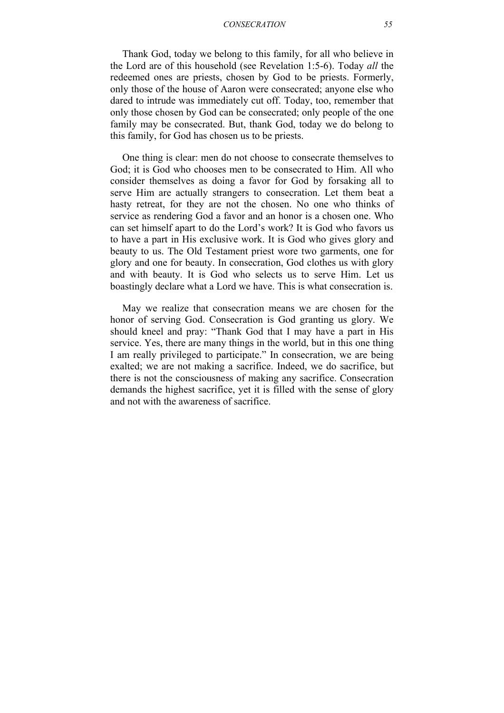Thank God, today we belong to this family, for all who believe in the Lord are of this household (see Revelation 1:5-6). Today *all* the redeemed ones are priests, chosen by God to be priests. Formerly, only those of the house of Aaron were consecrated; anyone else who dared to intrude was immediately cut off. Today, too, remember that only those chosen by God can be consecrated; only people of the one family may be consecrated. But, thank God, today we do belong to this family, for God has chosen us to be priests.

One thing is clear: men do not choose to consecrate themselves to God; it is God who chooses men to be consecrated to Him. All who consider themselves as doing a favor for God by forsaking all to serve Him are actually strangers to consecration. Let them beat a hasty retreat, for they are not the chosen. No one who thinks of service as rendering God a favor and an honor is a chosen one. Who can set himself apart to do the Lord's work? It is God who favors us to have a part in His exclusive work. It is God who gives glory and beauty to us. The Old Testament priest wore two garments, one for glory and one for beauty. In consecration, God clothes us with glory and with beauty. It is God who selects us to serve Him. Let us boastingly declare what a Lord we have. This is what consecration is.

May we realize that consecration means we are chosen for the honor of serving God. Consecration is God granting us glory. We should kneel and pray: "Thank God that I may have a part in His service. Yes, there are many things in the world, but in this one thing I am really privileged to participate." In consecration, we are being exalted; we are not making a sacrifice. Indeed, we do sacrifice, but there is not the consciousness of making any sacrifice. Consecration demands the highest sacrifice, yet it is filled with the sense of glory and not with the awareness of sacrifice.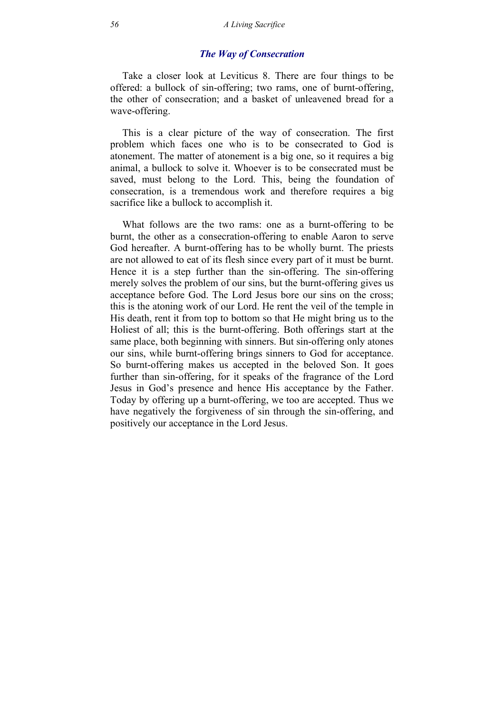# *The Way of Consecration*

Take a closer look at Leviticus 8. There are four things to be offered: a bullock of sin-offering; two rams, one of burnt-offering, the other of consecration; and a basket of unleavened bread for a wave-offering.

This is a clear picture of the way of consecration. The first problem which faces one who is to be consecrated to God is atonement. The matter of atonement is a big one, so it requires a big animal, a bullock to solve it. Whoever is to be consecrated must be saved, must belong to the Lord. This, being the foundation of consecration, is a tremendous work and therefore requires a big sacrifice like a bullock to accomplish it.

What follows are the two rams: one as a burnt-offering to be burnt, the other as a consecration-offering to enable Aaron to serve God hereafter. A burnt-offering has to be wholly burnt. The priests are not allowed to eat of its flesh since every part of it must be burnt. Hence it is a step further than the sin-offering. The sin-offering merely solves the problem of our sins, but the burnt-offering gives us acceptance before God. The Lord Jesus bore our sins on the cross; this is the atoning work of our Lord. He rent the veil of the temple in His death, rent it from top to bottom so that He might bring us to the Holiest of all; this is the burnt-offering. Both offerings start at the same place, both beginning with sinners. But sin-offering only atones our sins, while burnt-offering brings sinners to God for acceptance. So burnt-offering makes us accepted in the beloved Son. It goes further than sin-offering, for it speaks of the fragrance of the Lord Jesus in God's presence and hence His acceptance by the Father. Today by offering up a burnt-offering, we too are accepted. Thus we have negatively the forgiveness of sin through the sin-offering, and positively our acceptance in the Lord Jesus.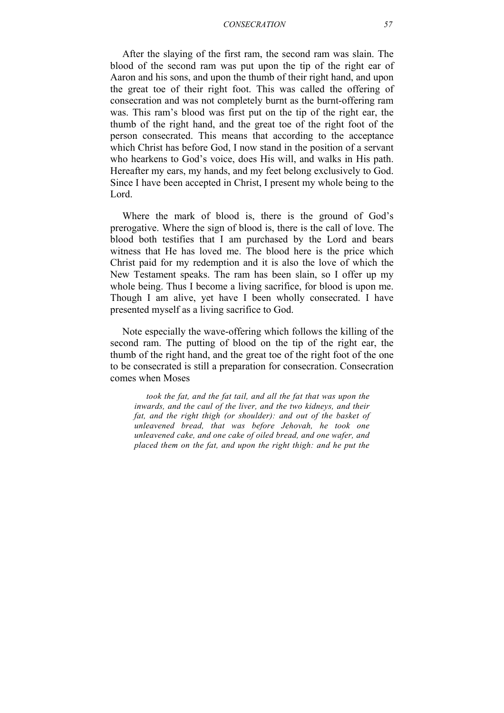After the slaying of the first ram, the second ram was slain. The blood of the second ram was put upon the tip of the right ear of Aaron and his sons, and upon the thumb of their right hand, and upon the great toe of their right foot. This was called the offering of consecration and was not completely burnt as the burnt-offering ram was. This ram's blood was first put on the tip of the right ear, the thumb of the right hand, and the great toe of the right foot of the person consecrated. This means that according to the acceptance which Christ has before God, I now stand in the position of a servant who hearkens to God's voice, does His will, and walks in His path. Hereafter my ears, my hands, and my feet belong exclusively to God. Since I have been accepted in Christ, I present my whole being to the Lord.

Where the mark of blood is, there is the ground of God's prerogative. Where the sign of blood is, there is the call of love. The blood both testifies that I am purchased by the Lord and bears witness that He has loved me. The blood here is the price which Christ paid for my redemption and it is also the love of which the New Testament speaks. The ram has been slain, so I offer up my whole being. Thus I become a living sacrifice, for blood is upon me. Though I am alive, yet have I been wholly consecrated. I have presented myself as a living sacrifice to God.

Note especially the wave-offering which follows the killing of the second ram. The putting of blood on the tip of the right ear, the thumb of the right hand, and the great toe of the right foot of the one to be consecrated is still a preparation for consecration. Consecration comes when Moses

*took the fat, and the fat tail, and all the fat that was upon the inwards, and the caul of the liver, and the two kidneys, and their fat, and the right thigh (or shoulder): and out of the basket of unleavened bread, that was before Jehovah, he took one unleavened cake, and one cake of oiled bread, and one wafer, and placed them on the fat, and upon the right thigh: and he put the*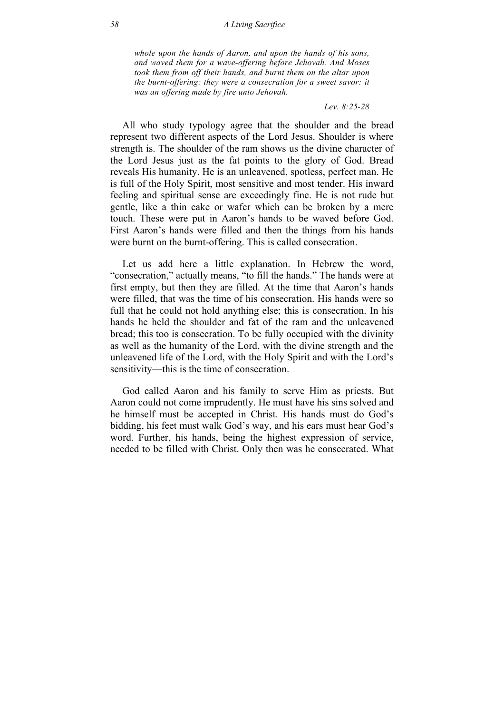*whole upon the hands of Aaron, and upon the hands of his sons, and waved them for a wave-offering before Jehovah. And Moses took them from off their hands, and burnt them on the altar upon the burnt-offering: they were a consecration for a sweet savor: it was an offering made by fire unto Jehovah.* 

*Lev. 8:25-28* 

All who study typology agree that the shoulder and the bread represent two different aspects of the Lord Jesus. Shoulder is where strength is. The shoulder of the ram shows us the divine character of the Lord Jesus just as the fat points to the glory of God. Bread reveals His humanity. He is an unleavened, spotless, perfect man. He is full of the Holy Spirit, most sensitive and most tender. His inward feeling and spiritual sense are exceedingly fine. He is not rude but gentle, like a thin cake or wafer which can be broken by a mere touch. These were put in Aaron's hands to be waved before God. First Aaron's hands were filled and then the things from his hands were burnt on the burnt-offering. This is called consecration.

Let us add here a little explanation. In Hebrew the word, "consecration," actually means, "to fill the hands." The hands were at first empty, but then they are filled. At the time that Aaron's hands were filled, that was the time of his consecration. His hands were so full that he could not hold anything else; this is consecration. In his hands he held the shoulder and fat of the ram and the unleavened bread; this too is consecration. To be fully occupied with the divinity as well as the humanity of the Lord, with the divine strength and the unleavened life of the Lord, with the Holy Spirit and with the Lord's sensitivity—this is the time of consecration.

God called Aaron and his family to serve Him as priests. But Aaron could not come imprudently. He must have his sins solved and he himself must be accepted in Christ. His hands must do God's bidding, his feet must walk God's way, and his ears must hear God's word. Further, his hands, being the highest expression of service, needed to be filled with Christ. Only then was he consecrated. What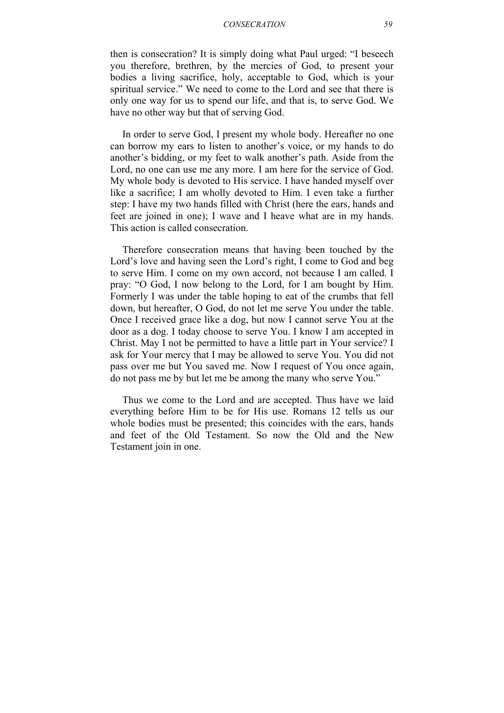then is consecration? It is simply doing what Paul urged: "I beseech you therefore, brethren, by the mercies of God, to present your bodies a living sacrifice, holy, acceptable to God, which is your spiritual service." We need to come to the Lord and see that there is only one way for us to spend our life, and that is, to serve God. We have no other way but that of serving God.

In order to serve God, I present my whole body. Hereafter no one can borrow my ears to listen to another's voice, or my hands to do another's bidding, or my feet to walk another's path. Aside from the Lord, no one can use me any more. I am here for the service of God. My whole body is devoted to His service. I have handed myself over like a sacrifice; I am wholly devoted to Him. I even take a further step: I have my two hands filled with Christ (here the ears, hands and feet are joined in one); I wave and I heave what are in my hands. This action is called consecration.

Therefore consecration means that having been touched by the Lord's love and having seen the Lord's right, I come to God and beg to serve Him. I come on my own accord, not because I am called. I pray: "O God, I now belong to the Lord, for I am bought by Him. Formerly I was under the table hoping to eat of the crumbs that fell down, but hereafter, O God, do not let me serve You under the table. Once I received grace like a dog, but now I cannot serve You at the door as a dog. I today choose to serve You. I know I am accepted in Christ. May I not be permitted to have a little part in Your service? I ask for Your mercy that I may be allowed to serve You. You did not pass over me but You saved me. Now I request of You once again, do not pass me by but let me be among the many who serve You."

Thus we come to the Lord and are accepted. Thus have we laid everything before Him to be for His use. Romans 12 tells us our whole bodies must be presented; this coincides with the ears, hands and feet of the Old Testament. So now the Old and the New Testament join in one.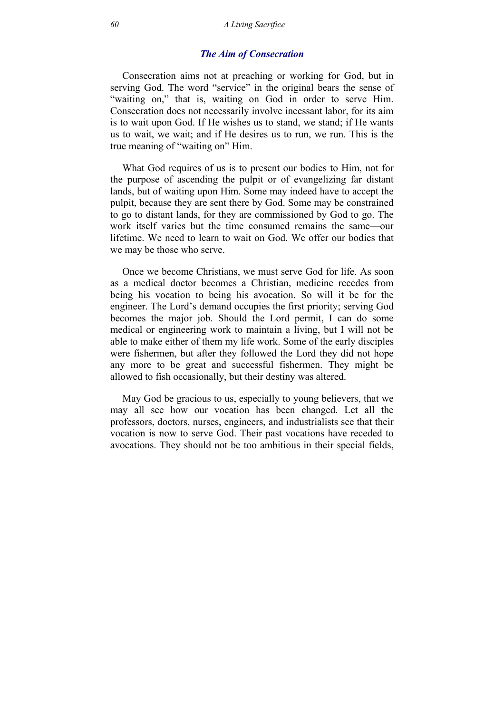# *The Aim of Consecration*

Consecration aims not at preaching or working for God, but in serving God. The word "service" in the original bears the sense of "waiting on," that is, waiting on God in order to serve Him. Consecration does not necessarily involve incessant labor, for its aim is to wait upon God. If He wishes us to stand, we stand; if He wants us to wait, we wait; and if He desires us to run, we run. This is the true meaning of "waiting on" Him.

What God requires of us is to present our bodies to Him, not for the purpose of ascending the pulpit or of evangelizing far distant lands, but of waiting upon Him. Some may indeed have to accept the pulpit, because they are sent there by God. Some may be constrained to go to distant lands, for they are commissioned by God to go. The work itself varies but the time consumed remains the same—our lifetime. We need to learn to wait on God. We offer our bodies that we may be those who serve.

Once we become Christians, we must serve God for life. As soon as a medical doctor becomes a Christian, medicine recedes from being his vocation to being his avocation. So will it be for the engineer. The Lord's demand occupies the first priority; serving God becomes the major job. Should the Lord permit, I can do some medical or engineering work to maintain a living, but I will not be able to make either of them my life work. Some of the early disciples were fishermen, but after they followed the Lord they did not hope any more to be great and successful fishermen. They might be allowed to fish occasionally, but their destiny was altered.

May God be gracious to us, especially to young believers, that we may all see how our vocation has been changed. Let all the professors, doctors, nurses, engineers, and industrialists see that their vocation is now to serve God. Their past vocations have receded to avocations. They should not be too ambitious in their special fields,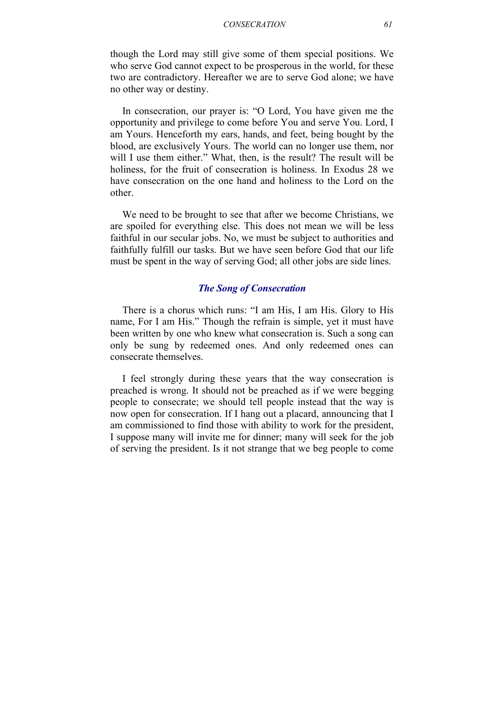though the Lord may still give some of them special positions. We who serve God cannot expect to be prosperous in the world, for these two are contradictory. Hereafter we are to serve God alone; we have no other way or destiny.

In consecration, our prayer is: "O Lord, You have given me the opportunity and privilege to come before You and serve You. Lord, I am Yours. Henceforth my ears, hands, and feet, being bought by the blood, are exclusively Yours. The world can no longer use them, nor will I use them either." What, then, is the result? The result will be holiness, for the fruit of consecration is holiness. In Exodus 28 we have consecration on the one hand and holiness to the Lord on the other.

We need to be brought to see that after we become Christians, we are spoiled for everything else. This does not mean we will be less faithful in our secular jobs. No, we must be subject to authorities and faithfully fulfill our tasks. But we have seen before God that our life must be spent in the way of serving God; all other jobs are side lines.

# *The Song of Consecration*

There is a chorus which runs: "I am His, I am His. Glory to His name, For I am His." Though the refrain is simple, yet it must have been written by one who knew what consecration is. Such a song can only be sung by redeemed ones. And only redeemed ones can consecrate themselves.

I feel strongly during these years that the way consecration is preached is wrong. It should not be preached as if we were begging people to consecrate; we should tell people instead that the way is now open for consecration. If I hang out a placard, announcing that I am commissioned to find those with ability to work for the president, I suppose many will invite me for dinner; many will seek for the job of serving the president. Is it not strange that we beg people to come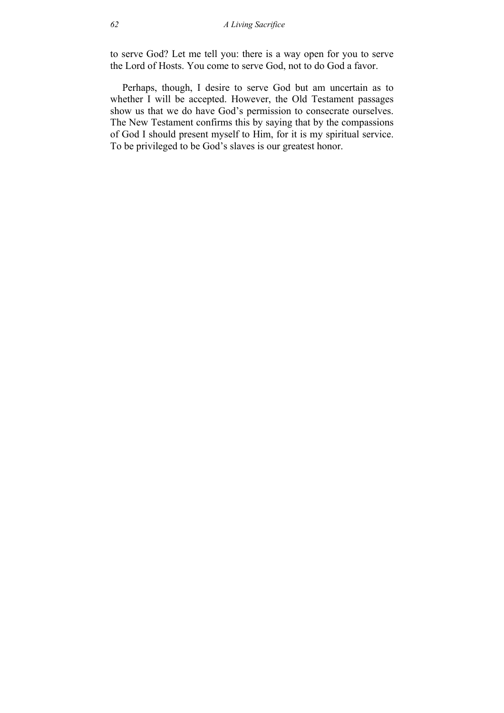to serve God? Let me tell you: there is a way open for you to serve the Lord of Hosts. You come to serve God, not to do God a favor.

Perhaps, though, I desire to serve God but am uncertain as to whether I will be accepted. However, the Old Testament passages show us that we do have God's permission to consecrate ourselves. The New Testament confirms this by saying that by the compassions of God I should present myself to Him, for it is my spiritual service. To be privileged to be God's slaves is our greatest honor.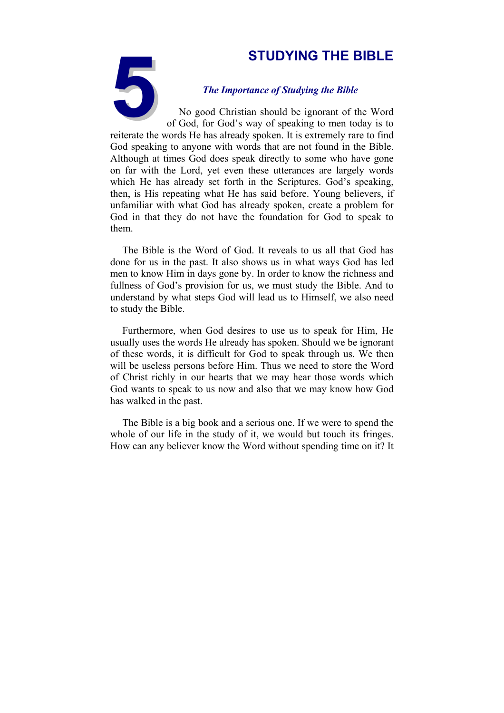

# *The Importance of Studying the Bible*

**STUDYING THE BIBLE**<br> *The Importance of Studying the Bible*<br>
No good Christian should be ignorant of the Word<br>
of God, for God's way of speaking to men today is to No good Christian should be ignorant of the Word of God, for God's way of speaking to men today is to reiterate the words He has already spoken. It is extremely rare to find God speaking to anyone with words that are not found in the Bible. Although at times God does speak directly to some who have gone on far with the Lord, yet even these utterances are largely words which He has already set forth in the Scriptures. God's speaking, then, is His repeating what He has said before. Young believers, if unfamiliar with what God has already spoken, create a problem for God in that they do not have the foundation for God to speak to them.

The Bible is the Word of God. It reveals to us all that God has done for us in the past. It also shows us in what ways God has led men to know Him in days gone by. In order to know the richness and fullness of God's provision for us, we must study the Bible. And to understand by what steps God will lead us to Himself, we also need to study the Bible.

Furthermore, when God desires to use us to speak for Him, He usually uses the words He already has spoken. Should we be ignorant of these words, it is difficult for God to speak through us. We then will be useless persons before Him. Thus we need to store the Word of Christ richly in our hearts that we may hear those words which God wants to speak to us now and also that we may know how God has walked in the past.

The Bible is a big book and a serious one. If we were to spend the whole of our life in the study of it, we would but touch its fringes. How can any believer know the Word without spending time on it? It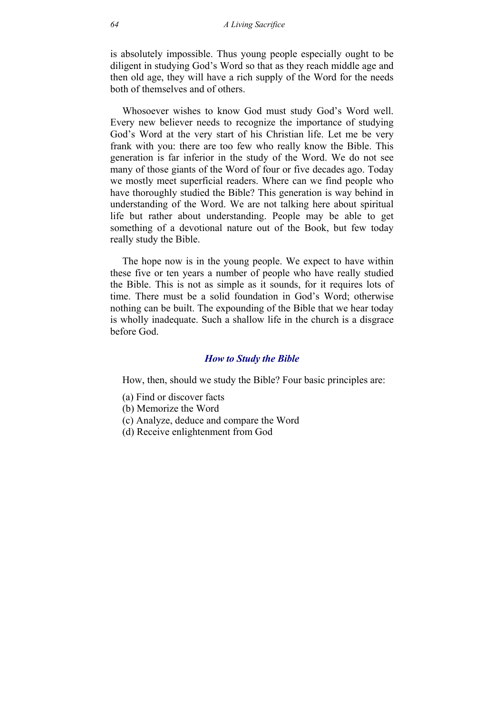is absolutely impossible. Thus young people especially ought to be diligent in studying God's Word so that as they reach middle age and then old age, they will have a rich supply of the Word for the needs both of themselves and of others.

Whosoever wishes to know God must study God's Word well. Every new believer needs to recognize the importance of studying God's Word at the very start of his Christian life. Let me be very frank with you: there are too few who really know the Bible. This generation is far inferior in the study of the Word. We do not see many of those giants of the Word of four or five decades ago. Today we mostly meet superficial readers. Where can we find people who have thoroughly studied the Bible? This generation is way behind in understanding of the Word. We are not talking here about spiritual life but rather about understanding. People may be able to get something of a devotional nature out of the Book, but few today really study the Bible.

The hope now is in the young people. We expect to have within these five or ten years a number of people who have really studied the Bible. This is not as simple as it sounds, for it requires lots of time. There must be a solid foundation in God's Word; otherwise nothing can be built. The expounding of the Bible that we hear today is wholly inadequate. Such a shallow life in the church is a disgrace before God.

# *How to Study the Bible*

How, then, should we study the Bible? Four basic principles are:

- (a) Find or discover facts
- (b) Memorize the Word
- (c) Analyze, deduce and compare the Word
- (d) Receive enlightenment from God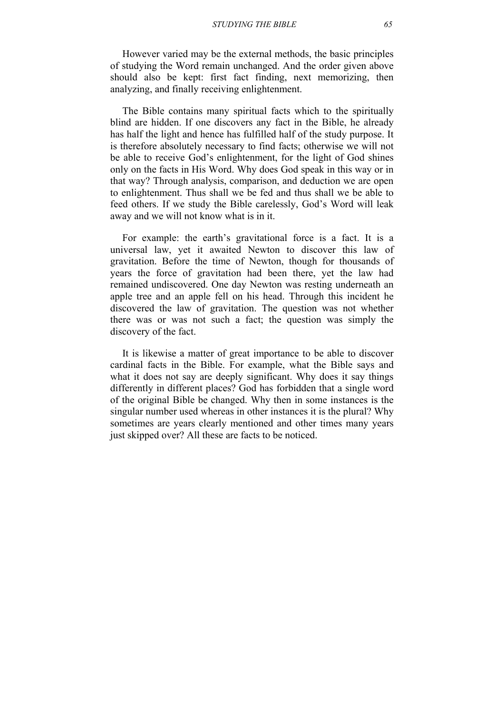However varied may be the external methods, the basic principles of studying the Word remain unchanged. And the order given above should also be kept: first fact finding, next memorizing, then analyzing, and finally receiving enlightenment.

The Bible contains many spiritual facts which to the spiritually blind are hidden. If one discovers any fact in the Bible, he already has half the light and hence has fulfilled half of the study purpose. It is therefore absolutely necessary to find facts; otherwise we will not be able to receive God's enlightenment, for the light of God shines only on the facts in His Word. Why does God speak in this way or in that way? Through analysis, comparison, and deduction we are open to enlightenment. Thus shall we be fed and thus shall we be able to feed others. If we study the Bible carelessly, God's Word will leak away and we will not know what is in it.

For example: the earth's gravitational force is a fact. It is a universal law, yet it awaited Newton to discover this law of gravitation. Before the time of Newton, though for thousands of years the force of gravitation had been there, yet the law had remained undiscovered. One day Newton was resting underneath an apple tree and an apple fell on his head. Through this incident he discovered the law of gravitation. The question was not whether there was or was not such a fact; the question was simply the discovery of the fact.

It is likewise a matter of great importance to be able to discover cardinal facts in the Bible. For example, what the Bible says and what it does not say are deeply significant. Why does it say things differently in different places? God has forbidden that a single word of the original Bible be changed. Why then in some instances is the singular number used whereas in other instances it is the plural? Why sometimes are years clearly mentioned and other times many years just skipped over? All these are facts to be noticed.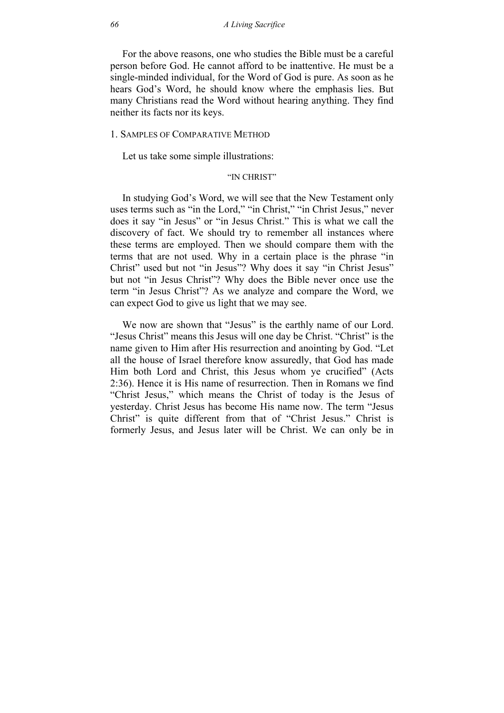For the above reasons, one who studies the Bible must be a careful person before God. He cannot afford to be inattentive. He must be a single-minded individual, for the Word of God is pure. As soon as he hears God's Word, he should know where the emphasis lies. But many Christians read the Word without hearing anything. They find neither its facts nor its keys.

#### 1. SAMPLES OF COMPARATIVE METHOD

Let us take some simple illustrations:

#### "IN CHRIST"

In studying God's Word, we will see that the New Testament only uses terms such as "in the Lord," "in Christ," "in Christ Jesus," never does it say "in Jesus" or "in Jesus Christ." This is what we call the discovery of fact. We should try to remember all instances where these terms are employed. Then we should compare them with the terms that are not used. Why in a certain place is the phrase "in Christ" used but not "in Jesus"? Why does it say "in Christ Jesus" but not "in Jesus Christ"? Why does the Bible never once use the term "in Jesus Christ"? As we analyze and compare the Word, we can expect God to give us light that we may see.

We now are shown that "Jesus" is the earthly name of our Lord. "Jesus Christ" means this Jesus will one day be Christ. "Christ" is the name given to Him after His resurrection and anointing by God. "Let all the house of Israel therefore know assuredly, that God has made Him both Lord and Christ, this Jesus whom ye crucified" (Acts 2:36). Hence it is His name of resurrection. Then in Romans we find "Christ Jesus," which means the Christ of today is the Jesus of yesterday. Christ Jesus has become His name now. The term "Jesus Christ" is quite different from that of "Christ Jesus." Christ is formerly Jesus, and Jesus later will be Christ. We can only be in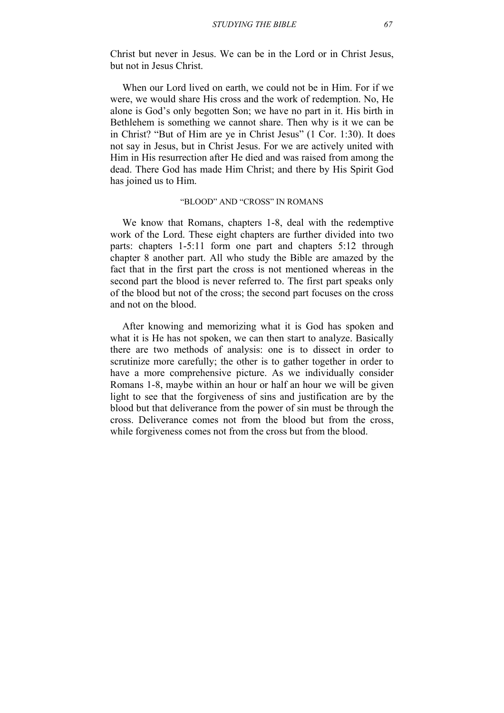Christ but never in Jesus. We can be in the Lord or in Christ Jesus, but not in Jesus Christ.

When our Lord lived on earth, we could not be in Him. For if we were, we would share His cross and the work of redemption. No, He alone is God's only begotten Son; we have no part in it. His birth in Bethlehem is something we cannot share. Then why is it we can be in Christ? "But of Him are ye in Christ Jesus" (1 Cor. 1:30). It does not say in Jesus, but in Christ Jesus. For we are actively united with Him in His resurrection after He died and was raised from among the dead. There God has made Him Christ; and there by His Spirit God has joined us to Him.

#### "BLOOD" AND "CROSS" IN ROMANS

We know that Romans, chapters 1-8, deal with the redemptive work of the Lord. These eight chapters are further divided into two parts: chapters 1-5:11 form one part and chapters 5:12 through chapter 8 another part. All who study the Bible are amazed by the fact that in the first part the cross is not mentioned whereas in the second part the blood is never referred to. The first part speaks only of the blood but not of the cross; the second part focuses on the cross and not on the blood.

After knowing and memorizing what it is God has spoken and what it is He has not spoken, we can then start to analyze. Basically there are two methods of analysis: one is to dissect in order to scrutinize more carefully; the other is to gather together in order to have a more comprehensive picture. As we individually consider Romans 1-8, maybe within an hour or half an hour we will be given light to see that the forgiveness of sins and justification are by the blood but that deliverance from the power of sin must be through the cross. Deliverance comes not from the blood but from the cross, while forgiveness comes not from the cross but from the blood.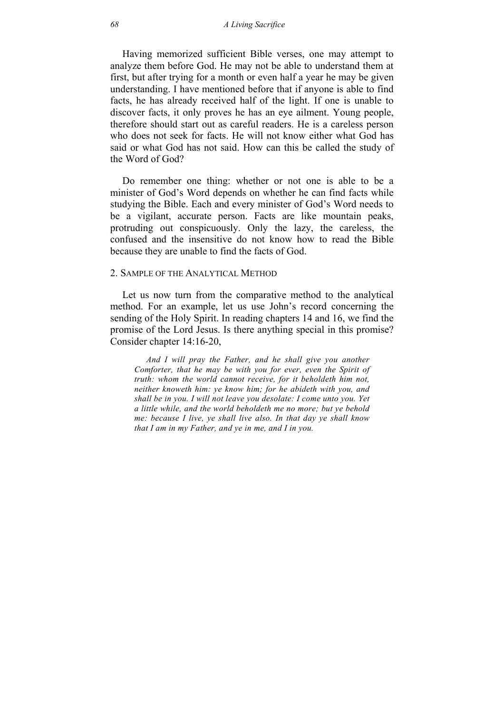Having memorized sufficient Bible verses, one may attempt to analyze them before God. He may not be able to understand them at first, but after trying for a month or even half a year he may be given understanding. I have mentioned before that if anyone is able to find facts, he has already received half of the light. If one is unable to discover facts, it only proves he has an eye ailment. Young people, therefore should start out as careful readers. He is a careless person who does not seek for facts. He will not know either what God has said or what God has not said. How can this be called the study of the Word of God?

Do remember one thing: whether or not one is able to be a minister of God's Word depends on whether he can find facts while studying the Bible. Each and every minister of God's Word needs to be a vigilant, accurate person. Facts are like mountain peaks, protruding out conspicuously. Only the lazy, the careless, the confused and the insensitive do not know how to read the Bible because they are unable to find the facts of God.

#### 2. SAMPLE OF THE ANALYTICAL METHOD

Let us now turn from the comparative method to the analytical method. For an example, let us use John's record concerning the sending of the Holy Spirit. In reading chapters 14 and 16, we find the promise of the Lord Jesus. Is there anything special in this promise? Consider chapter 14:16-20,

*And I will pray the Father, and he shall give you another Comforter, that he may be with you for ever, even the Spirit of truth: whom the world cannot receive, for it beholdeth him not, neither knoweth him: ye know him; for he abideth with you, and shall be in you. I will not leave you desolate: I come unto you. Yet a little while, and the world beholdeth me no more; but ye behold me: because I live, ye shall live also. In that day ye shall know that I am in my Father, and ye in me, and I in you.*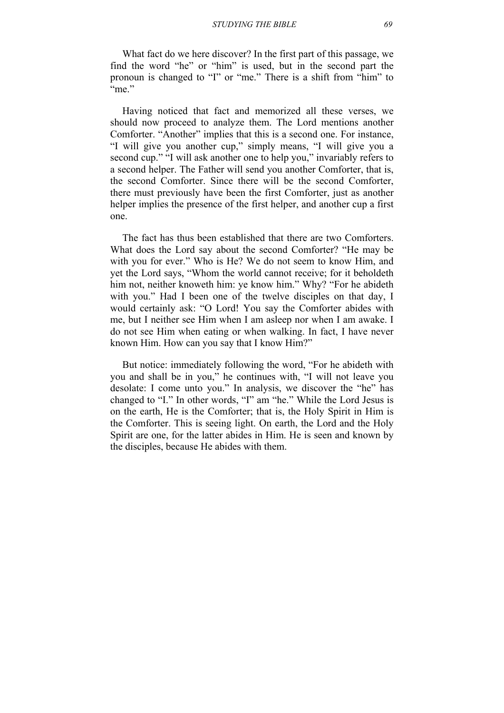What fact do we here discover? In the first part of this passage, we find the word "he" or "him" is used, but in the second part the pronoun is changed to "I" or "me." There is a shift from "him" to  $\cdot$ "me"

Having noticed that fact and memorized all these verses, we should now proceed to analyze them. The Lord mentions another Comforter. "Another" implies that this is a second one. For instance, "I will give you another cup," simply means, "I will give you a second cup." "I will ask another one to help you," invariably refers to a second helper. The Father will send you another Comforter, that is, the second Comforter. Since there will be the second Comforter, there must previously have been the first Comforter, just as another helper implies the presence of the first helper, and another cup a first one.

The fact has thus been established that there are two Comforters. What does the Lord say about the second Comforter? "He may be with you for ever." Who is He? We do not seem to know Him, and yet the Lord says, "Whom the world cannot receive; for it beholdeth him not, neither knoweth him: ye know him." Why? "For he abideth with you." Had I been one of the twelve disciples on that day, I would certainly ask: "O Lord! You say the Comforter abides with me, but I neither see Him when I am asleep nor when I am awake. I do not see Him when eating or when walking. In fact, I have never known Him. How can you say that I know Him?"

But notice: immediately following the word, "For he abideth with you and shall be in you," he continues with, "I will not leave you desolate: I come unto you." In analysis, we discover the "he" has changed to "I." In other words, "I" am "he." While the Lord Jesus is on the earth, He is the Comforter; that is, the Holy Spirit in Him is the Comforter. This is seeing light. On earth, the Lord and the Holy Spirit are one, for the latter abides in Him. He is seen and known by the disciples, because He abides with them.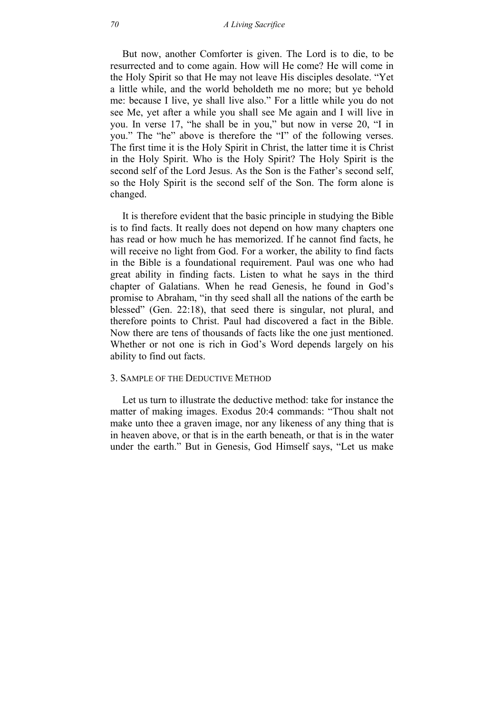But now, another Comforter is given. The Lord is to die, to be resurrected and to come again. How will He come? He will come in the Holy Spirit so that He may not leave His disciples desolate. "Yet a little while, and the world beholdeth me no more; but ye behold me: because I live, ye shall live also." For a little while you do not see Me, yet after a while you shall see Me again and I will live in you. In verse 17, "he shall be in you," but now in verse 20, "I in you." The "he" above is therefore the "I" of the following verses. The first time it is the Holy Spirit in Christ, the latter time it is Christ in the Holy Spirit. Who is the Holy Spirit? The Holy Spirit is the second self of the Lord Jesus. As the Son is the Father's second self, so the Holy Spirit is the second self of the Son. The form alone is changed.

It is therefore evident that the basic principle in studying the Bible is to find facts. It really does not depend on how many chapters one has read or how much he has memorized. If he cannot find facts, he will receive no light from God. For a worker, the ability to find facts in the Bible is a foundational requirement. Paul was one who had great ability in finding facts. Listen to what he says in the third chapter of Galatians. When he read Genesis, he found in God's promise to Abraham, "in thy seed shall all the nations of the earth be blessed" (Gen. 22:18), that seed there is singular, not plural, and therefore points to Christ. Paul had discovered a fact in the Bible. Now there are tens of thousands of facts like the one just mentioned. Whether or not one is rich in God's Word depends largely on his ability to find out facts.

## 3. SAMPLE OF THE DEDUCTIVE METHOD

Let us turn to illustrate the deductive method: take for instance the matter of making images. Exodus 20:4 commands: "Thou shalt not make unto thee a graven image, nor any likeness of any thing that is in heaven above, or that is in the earth beneath, or that is in the water under the earth." But in Genesis, God Himself says, "Let us make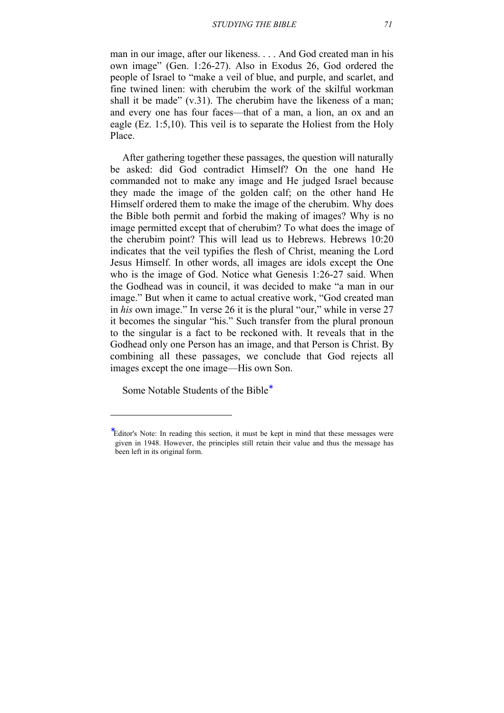man in our image, after our likeness. . . . And God created man in his own image" (Gen. 1:26-27). Also in Exodus 26, God ordered the people of Israel to "make a veil of blue, and purple, and scarlet, and fine twined linen: with cherubim the work of the skilful workman shall it be made"  $(v, 31)$ . The cherubim have the likeness of a man: and every one has four faces—that of a man, a lion, an ox and an eagle (Ez. 1:5,10). This veil is to separate the Holiest from the Holy Place.

After gathering together these passages, the question will naturally be asked: did God contradict Himself? On the one hand He commanded not to make any image and He judged Israel because they made the image of the golden calf; on the other hand He Himself ordered them to make the image of the cherubim. Why does the Bible both permit and forbid the making of images? Why is no image permitted except that of cherubim? To what does the image of the cherubim point? This will lead us to Hebrews. Hebrews 10:20 indicates that the veil typifies the flesh of Christ, meaning the Lord Jesus Himself. In other words, all images are idols except the One who is the image of God. Notice what Genesis 1:26-27 said. When the Godhead was in council, it was decided to make "a man in our image." But when it came to actual creative work, "God created man in *his* own image." In verse 26 it is the plural "our," while in verse 27 it becomes the singular "his." Such transfer from the plural pronoun to the singular is a fact to be reckoned with. It reveals that in the Godhead only one Person has an image, and that Person is Christ. By combining all these passages, we conclude that God rejects all images except the one image—His own Son.

Some Notable Students of the Bible<sup>∗</sup>

-

<sup>∗</sup> Editor's Note: In reading this section, it must be kept in mind that these messages were given in 1948. However, the principles still retain their value and thus the message has been left in its original form.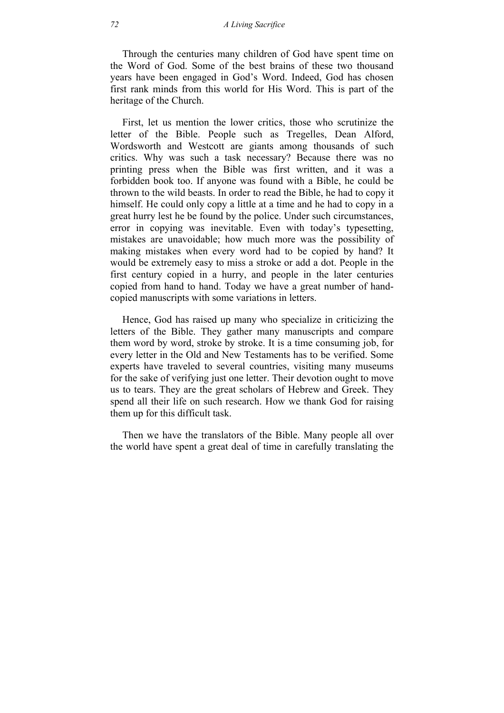Through the centuries many children of God have spent time on the Word of God. Some of the best brains of these two thousand years have been engaged in God's Word. Indeed, God has chosen first rank minds from this world for His Word. This is part of the heritage of the Church.

First, let us mention the lower critics, those who scrutinize the letter of the Bible. People such as Tregelles, Dean Alford, Wordsworth and Westcott are giants among thousands of such critics. Why was such a task necessary? Because there was no printing press when the Bible was first written, and it was a forbidden book too. If anyone was found with a Bible, he could be thrown to the wild beasts. In order to read the Bible, he had to copy it himself. He could only copy a little at a time and he had to copy in a great hurry lest he be found by the police. Under such circumstances, error in copying was inevitable. Even with today's typesetting, mistakes are unavoidable; how much more was the possibility of making mistakes when every word had to be copied by hand? It would be extremely easy to miss a stroke or add a dot. People in the first century copied in a hurry, and people in the later centuries copied from hand to hand. Today we have a great number of handcopied manuscripts with some variations in letters.

Hence, God has raised up many who specialize in criticizing the letters of the Bible. They gather many manuscripts and compare them word by word, stroke by stroke. It is a time consuming job, for every letter in the Old and New Testaments has to be verified. Some experts have traveled to several countries, visiting many museums for the sake of verifying just one letter. Their devotion ought to move us to tears. They are the great scholars of Hebrew and Greek. They spend all their life on such research. How we thank God for raising them up for this difficult task.

Then we have the translators of the Bible. Many people all over the world have spent a great deal of time in carefully translating the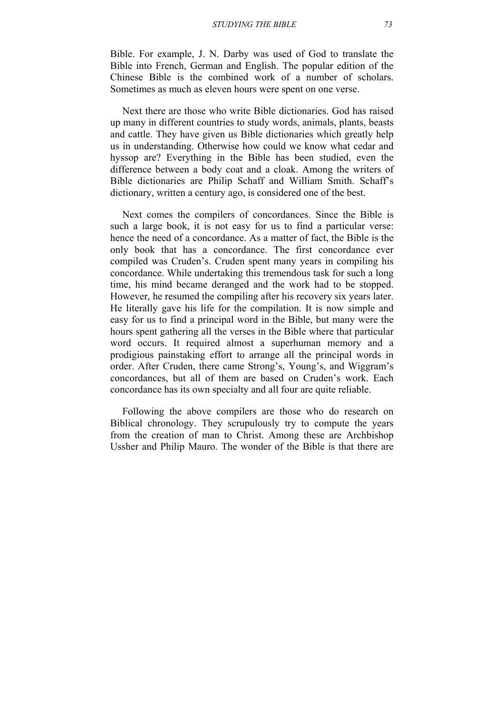Bible. For example, J. N. Darby was used of God to translate the Bible into French, German and English. The popular edition of the Chinese Bible is the combined work of a number of scholars. Sometimes as much as eleven hours were spent on one verse.

Next there are those who write Bible dictionaries. God has raised up many in different countries to study words, animals, plants, beasts and cattle. They have given us Bible dictionaries which greatly help us in understanding. Otherwise how could we know what cedar and hyssop are? Everything in the Bible has been studied, even the difference between a body coat and a cloak. Among the writers of Bible dictionaries are Philip Schaff and William Smith. Schaff's dictionary, written a century ago, is considered one of the best.

Next comes the compilers of concordances. Since the Bible is such a large book, it is not easy for us to find a particular verse: hence the need of a concordance. As a matter of fact, the Bible is the only book that has a concordance. The first concordance ever compiled was Cruden's. Cruden spent many years in compiling his concordance. While undertaking this tremendous task for such a long time, his mind became deranged and the work had to be stopped. However, he resumed the compiling after his recovery six years later. He literally gave his life for the compilation. It is now simple and easy for us to find a principal word in the Bible, but many were the hours spent gathering all the verses in the Bible where that particular word occurs. It required almost a superhuman memory and a prodigious painstaking effort to arrange all the principal words in order. After Cruden, there came Strong's, Young's, and Wiggram's concordances, but all of them are based on Cruden's work. Each concordance has its own specialty and all four are quite reliable.

Following the above compilers are those who do research on Biblical chronology. They scrupulously try to compute the years from the creation of man to Christ. Among these are Archbishop Ussher and Philip Mauro. The wonder of the Bible is that there are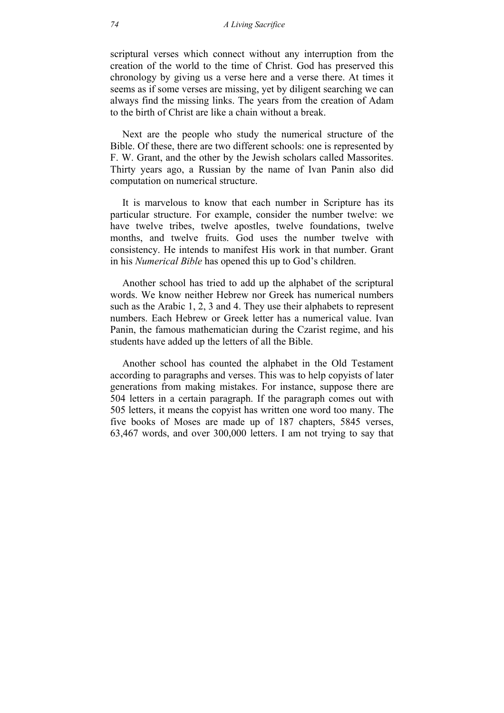scriptural verses which connect without any interruption from the creation of the world to the time of Christ. God has preserved this chronology by giving us a verse here and a verse there. At times it seems as if some verses are missing, yet by diligent searching we can always find the missing links. The years from the creation of Adam to the birth of Christ are like a chain without a break.

Next are the people who study the numerical structure of the Bible. Of these, there are two different schools: one is represented by F. W. Grant, and the other by the Jewish scholars called Massorites. Thirty years ago, a Russian by the name of Ivan Panin also did computation on numerical structure.

It is marvelous to know that each number in Scripture has its particular structure. For example, consider the number twelve: we have twelve tribes, twelve apostles, twelve foundations, twelve months, and twelve fruits. God uses the number twelve with consistency. He intends to manifest His work in that number. Grant in his *Numerical Bible* has opened this up to God's children.

Another school has tried to add up the alphabet of the scriptural words. We know neither Hebrew nor Greek has numerical numbers such as the Arabic 1, 2, 3 and 4. They use their alphabets to represent numbers. Each Hebrew or Greek letter has a numerical value. Ivan Panin, the famous mathematician during the Czarist regime, and his students have added up the letters of all the Bible.

Another school has counted the alphabet in the Old Testament according to paragraphs and verses. This was to help copyists of later generations from making mistakes. For instance, suppose there are 504 letters in a certain paragraph. If the paragraph comes out with 505 letters, it means the copyist has written one word too many. The five books of Moses are made up of 187 chapters, 5845 verses, 63,467 words, and over 300,000 letters. I am not trying to say that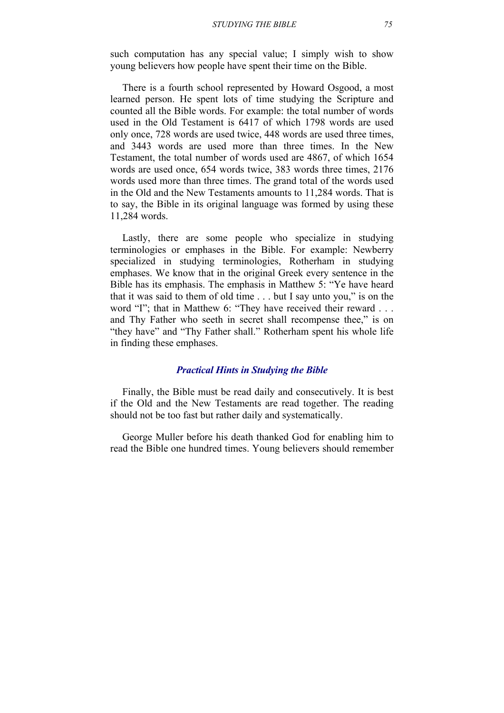such computation has any special value; I simply wish to show young believers how people have spent their time on the Bible.

There is a fourth school represented by Howard Osgood, a most learned person. He spent lots of time studying the Scripture and counted all the Bible words. For example: the total number of words used in the Old Testament is 6417 of which 1798 words are used only once, 728 words are used twice, 448 words are used three times, and 3443 words are used more than three times. In the New Testament, the total number of words used are 4867, of which 1654 words are used once, 654 words twice, 383 words three times, 2176 words used more than three times. The grand total of the words used in the Old and the New Testaments amounts to 11,284 words. That is to say, the Bible in its original language was formed by using these 11,284 words.

Lastly, there are some people who specialize in studying terminologies or emphases in the Bible. For example: Newberry specialized in studying terminologies, Rotherham in studying emphases. We know that in the original Greek every sentence in the Bible has its emphasis. The emphasis in Matthew 5: "Ye have heard that it was said to them of old time . . . but I say unto you," is on the word "I"; that in Matthew 6: "They have received their reward . . . and Thy Father who seeth in secret shall recompense thee," is on "they have" and "Thy Father shall." Rotherham spent his whole life in finding these emphases.

## *Practical Hints in Studying the Bible*

Finally, the Bible must be read daily and consecutively. It is best if the Old and the New Testaments are read together. The reading should not be too fast but rather daily and systematically.

George Muller before his death thanked God for enabling him to read the Bible one hundred times. Young believers should remember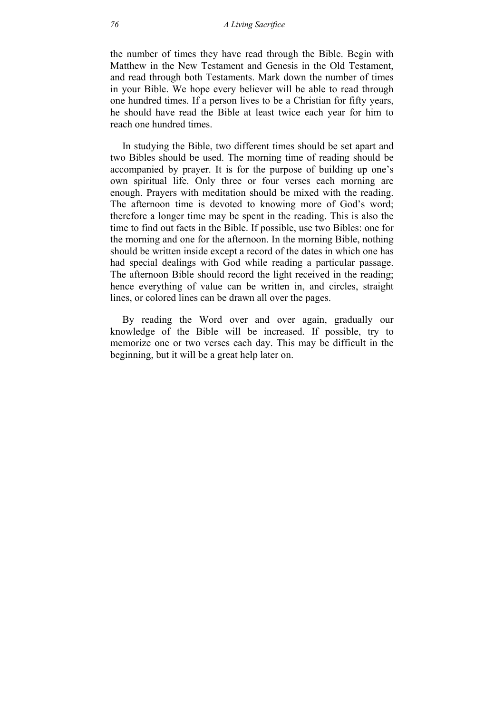the number of times they have read through the Bible. Begin with Matthew in the New Testament and Genesis in the Old Testament, and read through both Testaments. Mark down the number of times in your Bible. We hope every believer will be able to read through one hundred times. If a person lives to be a Christian for fifty years, he should have read the Bible at least twice each year for him to reach one hundred times.

In studying the Bible, two different times should be set apart and two Bibles should be used. The morning time of reading should be accompanied by prayer. It is for the purpose of building up one's own spiritual life. Only three or four verses each morning are enough. Prayers with meditation should be mixed with the reading. The afternoon time is devoted to knowing more of God's word; therefore a longer time may be spent in the reading. This is also the time to find out facts in the Bible. If possible, use two Bibles: one for the morning and one for the afternoon. In the morning Bible, nothing should be written inside except a record of the dates in which one has had special dealings with God while reading a particular passage. The afternoon Bible should record the light received in the reading; hence everything of value can be written in, and circles, straight lines, or colored lines can be drawn all over the pages.

By reading the Word over and over again, gradually our knowledge of the Bible will be increased. If possible, try to memorize one or two verses each day. This may be difficult in the beginning, but it will be a great help later on.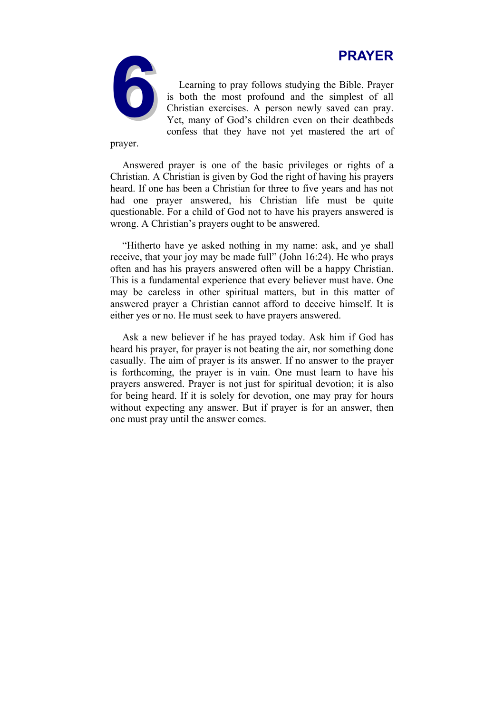



**FRAYER**<br>
Learning to pray follows studying the Bible. Prayer<br>
is both the most profound and the simplest of all<br>
Christian exercises. A person newly saved can pray.<br>
Yet, many of God's children even on their deathbeds<br>
co Learning to pray follows studying the Bible. Prayer is both the most profound and the simplest of all Christian exercises. A person newly saved can pray. Yet, many of God's children even on their deathbeds confess that they have not yet mastered the art of

prayer.

Answered prayer is one of the basic privileges or rights of a Christian. A Christian is given by God the right of having his prayers heard. If one has been a Christian for three to five years and has not had one prayer answered, his Christian life must be quite questionable. For a child of God not to have his prayers answered is wrong. A Christian's prayers ought to be answered.

"Hitherto have ye asked nothing in my name: ask, and ye shall receive, that your joy may be made full" (John 16:24). He who prays often and has his prayers answered often will be a happy Christian. This is a fundamental experience that every believer must have. One may be careless in other spiritual matters, but in this matter of answered prayer a Christian cannot afford to deceive himself. It is either yes or no. He must seek to have prayers answered.

Ask a new believer if he has prayed today. Ask him if God has heard his prayer, for prayer is not beating the air, nor something done casually. The aim of prayer is its answer. If no answer to the prayer is forthcoming, the prayer is in vain. One must learn to have his prayers answered. Prayer is not just for spiritual devotion; it is also for being heard. If it is solely for devotion, one may pray for hours without expecting any answer. But if prayer is for an answer, then one must pray until the answer comes.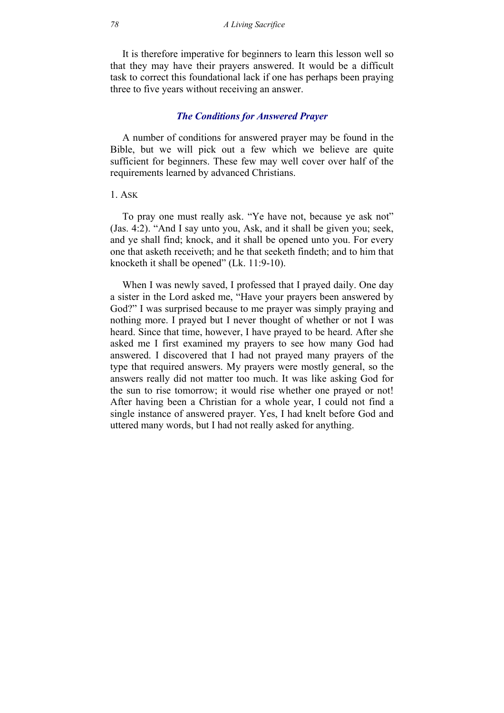It is therefore imperative for beginners to learn this lesson well so that they may have their prayers answered. It would be a difficult task to correct this foundational lack if one has perhaps been praying three to five years without receiving an answer.

## *The Conditions for Answered Prayer*

A number of conditions for answered prayer may be found in the Bible, but we will pick out a few which we believe are quite sufficient for beginners. These few may well cover over half of the requirements learned by advanced Christians.

1. ASK

To pray one must really ask. "Ye have not, because ye ask not" (Jas. 4:2). "And I say unto you, Ask, and it shall be given you; seek, and ye shall find; knock, and it shall be opened unto you. For every one that asketh receiveth; and he that seeketh findeth; and to him that knocketh it shall be opened" (Lk. 11:9-10).

When I was newly saved, I professed that I prayed daily. One day a sister in the Lord asked me, "Have your prayers been answered by God?" I was surprised because to me prayer was simply praying and nothing more. I prayed but I never thought of whether or not I was heard. Since that time, however, I have prayed to be heard. After she asked me I first examined my prayers to see how many God had answered. I discovered that I had not prayed many prayers of the type that required answers. My prayers were mostly general, so the answers really did not matter too much. It was like asking God for the sun to rise tomorrow; it would rise whether one prayed or not! After having been a Christian for a whole year, I could not find a single instance of answered prayer. Yes, I had knelt before God and uttered many words, but I had not really asked for anything.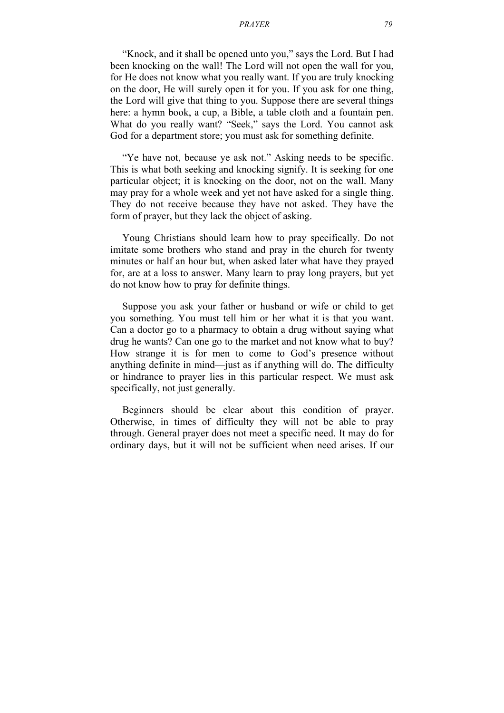"Knock, and it shall be opened unto you," says the Lord. But I had been knocking on the wall! The Lord will not open the wall for you, for He does not know what you really want. If you are truly knocking on the door, He will surely open it for you. If you ask for one thing, the Lord will give that thing to you. Suppose there are several things here: a hymn book, a cup, a Bible, a table cloth and a fountain pen. What do you really want? "Seek," says the Lord. You cannot ask God for a department store; you must ask for something definite.

"Ye have not, because ye ask not." Asking needs to be specific. This is what both seeking and knocking signify. It is seeking for one particular object; it is knocking on the door, not on the wall. Many may pray for a whole week and yet not have asked for a single thing. They do not receive because they have not asked. They have the form of prayer, but they lack the object of asking.

Young Christians should learn how to pray specifically. Do not imitate some brothers who stand and pray in the church for twenty minutes or half an hour but, when asked later what have they prayed for, are at a loss to answer. Many learn to pray long prayers, but yet do not know how to pray for definite things.

Suppose you ask your father or husband or wife or child to get you something. You must tell him or her what it is that you want. Can a doctor go to a pharmacy to obtain a drug without saying what drug he wants? Can one go to the market and not know what to buy? How strange it is for men to come to God's presence without anything definite in mind—just as if anything will do. The difficulty or hindrance to prayer lies in this particular respect. We must ask specifically, not just generally.

Beginners should be clear about this condition of prayer. Otherwise, in times of difficulty they will not be able to pray through. General prayer does not meet a specific need. It may do for ordinary days, but it will not be sufficient when need arises. If our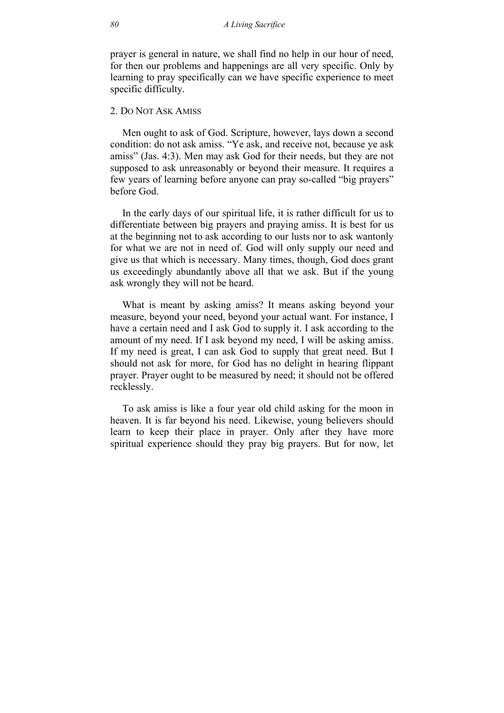prayer is general in nature, we shall find no help in our hour of need, for then our problems and happenings are all very specific. Only by learning to pray specifically can we have specific experience to meet specific difficulty.

### 2. DO NOT ASK AMISS

Men ought to ask of God. Scripture, however, lays down a second condition: do not ask amiss. "Ye ask, and receive not, because ye ask amiss" (Jas. 4:3). Men may ask God for their needs, but they are not supposed to ask unreasonably or beyond their measure. It requires a few years of learning before anyone can pray so-called "big prayers" before God.

In the early days of our spiritual life, it is rather difficult for us to differentiate between big prayers and praying amiss. It is best for us at the beginning not to ask according to our lusts nor to ask wantonly for what we are not in need of. God will only supply our need and give us that which is necessary. Many times, though, God does grant us exceedingly abundantly above all that we ask. But if the young ask wrongly they will not be heard.

What is meant by asking amiss? It means asking beyond your measure, beyond your need, beyond your actual want. For instance, I have a certain need and I ask God to supply it. I ask according to the amount of my need. If I ask beyond my need, I will be asking amiss. If my need is great, I can ask God to supply that great need. But I should not ask for more, for God has no delight in hearing flippant prayer. Prayer ought to be measured by need; it should not be offered recklessly.

To ask amiss is like a four year old child asking for the moon in heaven. It is far beyond his need. Likewise, young believers should learn to keep their place in prayer. Only after they have more spiritual experience should they pray big prayers. But for now, let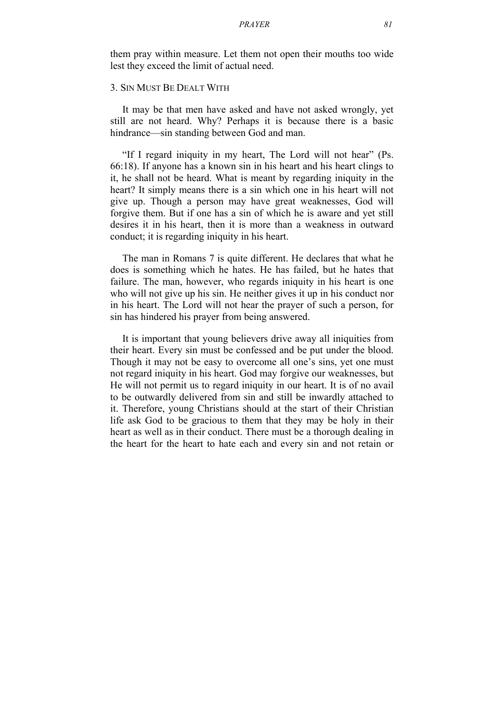them pray within measure. Let them not open their mouths too wide lest they exceed the limit of actual need.

#### 3. SIN MUST BE DEALT WITH

It may be that men have asked and have not asked wrongly, yet still are not heard. Why? Perhaps it is because there is a basic hindrance—sin standing between God and man.

"If I regard iniquity in my heart, The Lord will not hear" (Ps. 66:18). If anyone has a known sin in his heart and his heart clings to it, he shall not be heard. What is meant by regarding iniquity in the heart? It simply means there is a sin which one in his heart will not give up. Though a person may have great weaknesses, God will forgive them. But if one has a sin of which he is aware and yet still desires it in his heart, then it is more than a weakness in outward conduct; it is regarding iniquity in his heart.

The man in Romans 7 is quite different. He declares that what he does is something which he hates. He has failed, but he hates that failure. The man, however, who regards iniquity in his heart is one who will not give up his sin. He neither gives it up in his conduct nor in his heart. The Lord will not hear the prayer of such a person, for sin has hindered his prayer from being answered.

It is important that young believers drive away all iniquities from their heart. Every sin must be confessed and be put under the blood. Though it may not be easy to overcome all one's sins, yet one must not regard iniquity in his heart. God may forgive our weaknesses, but He will not permit us to regard iniquity in our heart. It is of no avail to be outwardly delivered from sin and still be inwardly attached to it. Therefore, young Christians should at the start of their Christian life ask God to be gracious to them that they may be holy in their heart as well as in their conduct. There must be a thorough dealing in the heart for the heart to hate each and every sin and not retain or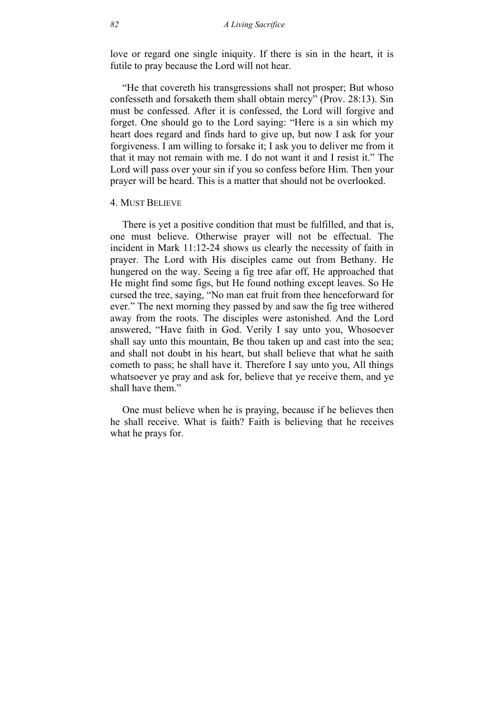love or regard one single iniquity. If there is sin in the heart, it is futile to pray because the Lord will not hear.

"He that covereth his transgressions shall not prosper; But whoso confesseth and forsaketh them shall obtain mercy" (Prov. 28:13). Sin must be confessed. After it is confessed, the Lord will forgive and forget. One should go to the Lord saying: "Here is a sin which my heart does regard and finds hard to give up, but now I ask for your forgiveness. I am willing to forsake it; I ask you to deliver me from it that it may not remain with me. I do not want it and I resist it." The Lord will pass over your sin if you so confess before Him. Then your prayer will be heard. This is a matter that should not be overlooked.

#### 4. MUST BELIEVE

There is yet a positive condition that must be fulfilled, and that is, one must believe. Otherwise prayer will not be effectual. The incident in Mark 11:12-24 shows us clearly the necessity of faith in prayer. The Lord with His disciples came out from Bethany. He hungered on the way. Seeing a fig tree afar off, He approached that He might find some figs, but He found nothing except leaves. So He cursed the tree, saying, "No man eat fruit from thee henceforward for ever." The next morning they passed by and saw the fig tree withered away from the roots. The disciples were astonished. And the Lord answered, "Have faith in God. Verily I say unto you, Whosoever shall say unto this mountain, Be thou taken up and cast into the sea; and shall not doubt in his heart, but shall believe that what he saith cometh to pass; he shall have it. Therefore I say unto you, All things whatsoever ye pray and ask for, believe that ye receive them, and ye shall have them."

One must believe when he is praying, because if he believes then he shall receive. What is faith? Faith is believing that he receives what he prays for.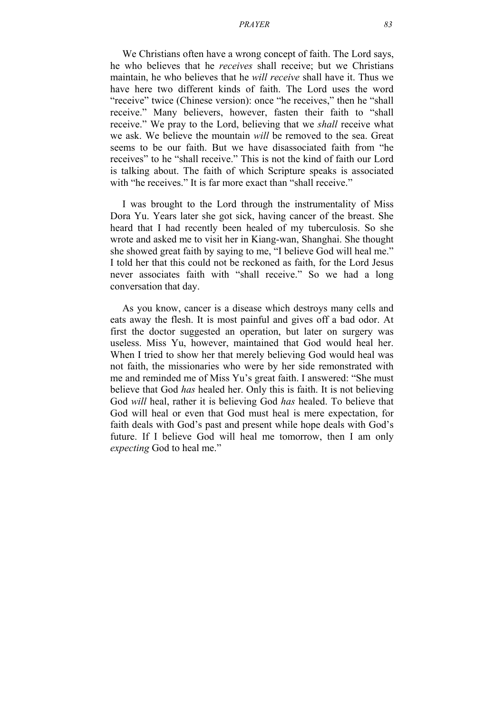#### *PRAYER 83*

We Christians often have a wrong concept of faith. The Lord says, he who believes that he *receives* shall receive; but we Christians maintain, he who believes that he *will receive* shall have it. Thus we have here two different kinds of faith. The Lord uses the word "receive" twice (Chinese version): once "he receives," then he "shall receive." Many believers, however, fasten their faith to "shall receive." We pray to the Lord, believing that we *shall* receive what we ask. We believe the mountain *will* be removed to the sea. Great seems to be our faith. But we have disassociated faith from "he receives" to he "shall receive." This is not the kind of faith our Lord is talking about. The faith of which Scripture speaks is associated with "he receives." It is far more exact than "shall receive."

I was brought to the Lord through the instrumentality of Miss Dora Yu. Years later she got sick, having cancer of the breast. She heard that I had recently been healed of my tuberculosis. So she wrote and asked me to visit her in Kiang-wan, Shanghai. She thought she showed great faith by saying to me, "I believe God will heal me." I told her that this could not be reckoned as faith, for the Lord Jesus never associates faith with "shall receive." So we had a long conversation that day.

As you know, cancer is a disease which destroys many cells and eats away the flesh. It is most painful and gives off a bad odor. At first the doctor suggested an operation, but later on surgery was useless. Miss Yu, however, maintained that God would heal her. When I tried to show her that merely believing God would heal was not faith, the missionaries who were by her side remonstrated with me and reminded me of Miss Yu's great faith. I answered: "She must believe that God *has* healed her. Only this is faith. It is not believing God *will* heal, rather it is believing God *has* healed. To believe that God will heal or even that God must heal is mere expectation, for faith deals with God's past and present while hope deals with God's future. If I believe God will heal me tomorrow, then I am only *expecting* God to heal me."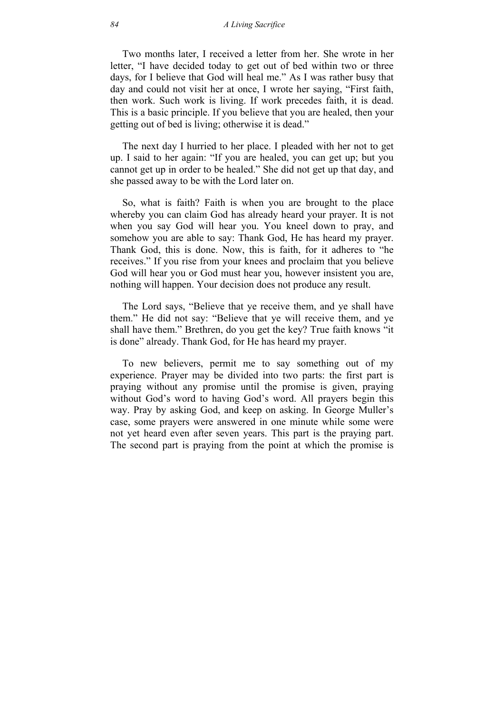Two months later, I received a letter from her. She wrote in her letter, "I have decided today to get out of bed within two or three days, for I believe that God will heal me." As I was rather busy that day and could not visit her at once, I wrote her saying, "First faith, then work. Such work is living. If work precedes faith, it is dead. This is a basic principle. If you believe that you are healed, then your getting out of bed is living; otherwise it is dead."

The next day I hurried to her place. I pleaded with her not to get up. I said to her again: "If you are healed, you can get up; but you cannot get up in order to be healed." She did not get up that day, and she passed away to be with the Lord later on.

So, what is faith? Faith is when you are brought to the place whereby you can claim God has already heard your prayer. It is not when you say God will hear you. You kneel down to pray, and somehow you are able to say: Thank God, He has heard my prayer. Thank God, this is done. Now, this is faith, for it adheres to "he receives." If you rise from your knees and proclaim that you believe God will hear you or God must hear you, however insistent you are, nothing will happen. Your decision does not produce any result.

The Lord says, "Believe that ye receive them, and ye shall have them." He did not say: "Believe that ye will receive them, and ye shall have them." Brethren, do you get the key? True faith knows "it is done" already. Thank God, for He has heard my prayer.

To new believers, permit me to say something out of my experience. Prayer may be divided into two parts: the first part is praying without any promise until the promise is given, praying without God's word to having God's word. All prayers begin this way. Pray by asking God, and keep on asking. In George Muller's case, some prayers were answered in one minute while some were not yet heard even after seven years. This part is the praying part. The second part is praying from the point at which the promise is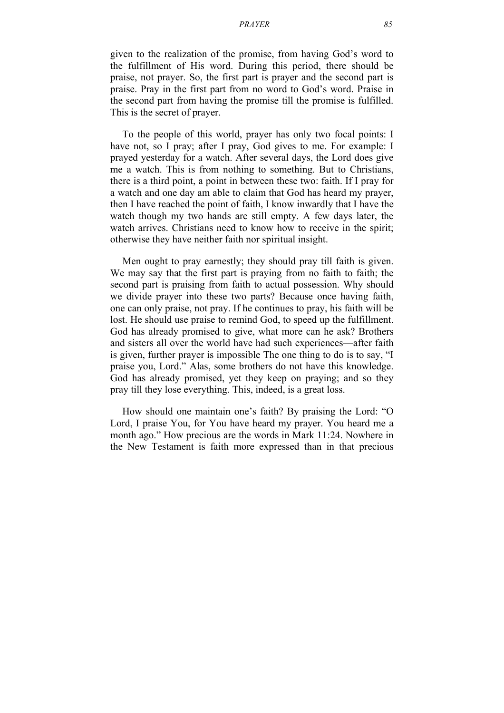#### *PRAYER 85*

given to the realization of the promise, from having God's word to the fulfillment of His word. During this period, there should be praise, not prayer. So, the first part is prayer and the second part is praise. Pray in the first part from no word to God's word. Praise in the second part from having the promise till the promise is fulfilled. This is the secret of prayer.

To the people of this world, prayer has only two focal points: I have not, so I pray; after I pray, God gives to me. For example: I prayed yesterday for a watch. After several days, the Lord does give me a watch. This is from nothing to something. But to Christians, there is a third point, a point in between these two: faith. If I pray for a watch and one day am able to claim that God has heard my prayer, then I have reached the point of faith, I know inwardly that I have the watch though my two hands are still empty. A few days later, the watch arrives. Christians need to know how to receive in the spirit; otherwise they have neither faith nor spiritual insight.

Men ought to pray earnestly; they should pray till faith is given. We may say that the first part is praying from no faith to faith; the second part is praising from faith to actual possession. Why should we divide prayer into these two parts? Because once having faith, one can only praise, not pray. If he continues to pray, his faith will be lost. He should use praise to remind God, to speed up the fulfillment. God has already promised to give, what more can he ask? Brothers and sisters all over the world have had such experiences—after faith is given, further prayer is impossible The one thing to do is to say, "I praise you, Lord." Alas, some brothers do not have this knowledge. God has already promised, yet they keep on praying; and so they pray till they lose everything. This, indeed, is a great loss.

How should one maintain one's faith? By praising the Lord: "O Lord, I praise You, for You have heard my prayer. You heard me a month ago." How precious are the words in Mark 11:24. Nowhere in the New Testament is faith more expressed than in that precious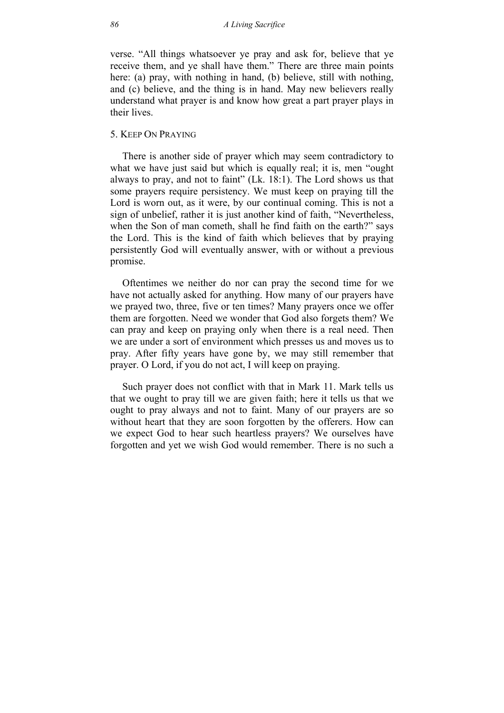verse. "All things whatsoever ye pray and ask for, believe that ye receive them, and ye shall have them." There are three main points here: (a) pray, with nothing in hand, (b) believe, still with nothing, and (c) believe, and the thing is in hand. May new believers really understand what prayer is and know how great a part prayer plays in their lives.

#### 5. KEEP ON PRAYING

There is another side of prayer which may seem contradictory to what we have just said but which is equally real; it is, men "ought always to pray, and not to faint" (Lk. 18:1). The Lord shows us that some prayers require persistency. We must keep on praying till the Lord is worn out, as it were, by our continual coming. This is not a sign of unbelief, rather it is just another kind of faith, "Nevertheless, when the Son of man cometh, shall he find faith on the earth?" says the Lord. This is the kind of faith which believes that by praying persistently God will eventually answer, with or without a previous promise.

Oftentimes we neither do nor can pray the second time for we have not actually asked for anything. How many of our prayers have we prayed two, three, five or ten times? Many prayers once we offer them are forgotten. Need we wonder that God also forgets them? We can pray and keep on praying only when there is a real need. Then we are under a sort of environment which presses us and moves us to pray. After fifty years have gone by, we may still remember that prayer. O Lord, if you do not act, I will keep on praying.

Such prayer does not conflict with that in Mark 11. Mark tells us that we ought to pray till we are given faith; here it tells us that we ought to pray always and not to faint. Many of our prayers are so without heart that they are soon forgotten by the offerers. How can we expect God to hear such heartless prayers? We ourselves have forgotten and yet we wish God would remember. There is no such a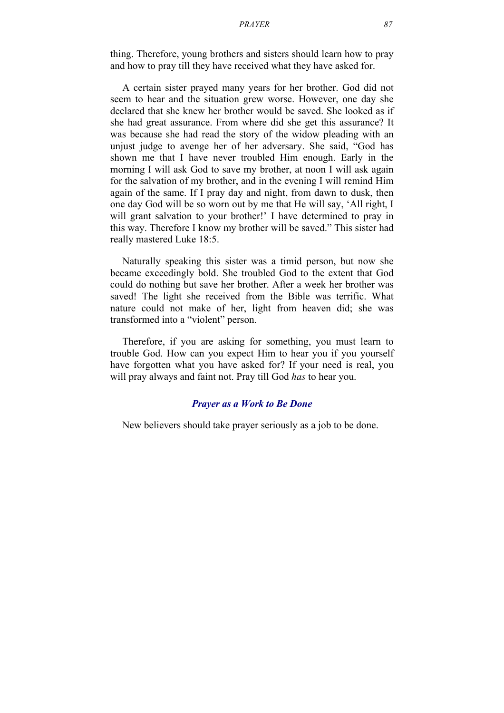#### *PRAYER 87*

thing. Therefore, young brothers and sisters should learn how to pray and how to pray till they have received what they have asked for.

A certain sister prayed many years for her brother. God did not seem to hear and the situation grew worse. However, one day she declared that she knew her brother would be saved. She looked as if she had great assurance. From where did she get this assurance? It was because she had read the story of the widow pleading with an unjust judge to avenge her of her adversary. She said, "God has shown me that I have never troubled Him enough. Early in the morning I will ask God to save my brother, at noon I will ask again for the salvation of my brother, and in the evening I will remind Him again of the same. If I pray day and night, from dawn to dusk, then one day God will be so worn out by me that He will say, 'All right, I will grant salvation to your brother!' I have determined to pray in this way. Therefore I know my brother will be saved." This sister had really mastered Luke 18:5.

Naturally speaking this sister was a timid person, but now she became exceedingly bold. She troubled God to the extent that God could do nothing but save her brother. After a week her brother was saved! The light she received from the Bible was terrific. What nature could not make of her, light from heaven did; she was transformed into a "violent" person.

Therefore, if you are asking for something, you must learn to trouble God. How can you expect Him to hear you if you yourself have forgotten what you have asked for? If your need is real, you will pray always and faint not. Pray till God *has* to hear you.

## *Prayer as a Work to Be Done*

New believers should take prayer seriously as a job to be done.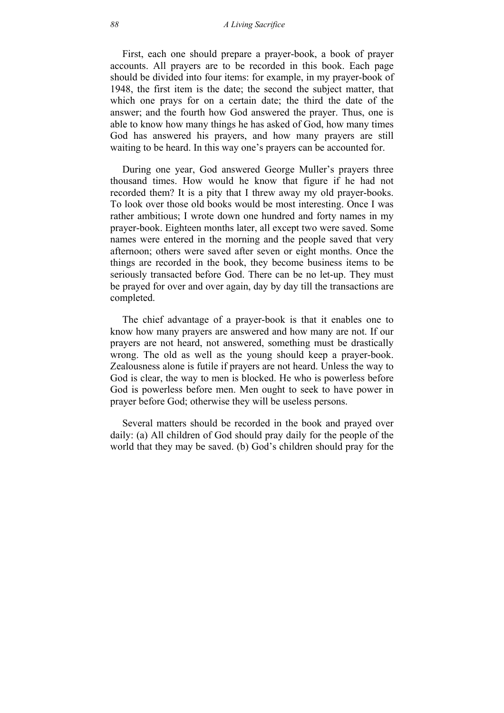First, each one should prepare a prayer-book, a book of prayer accounts. All prayers are to be recorded in this book. Each page should be divided into four items: for example, in my prayer-book of 1948, the first item is the date; the second the subject matter, that which one prays for on a certain date; the third the date of the answer; and the fourth how God answered the prayer. Thus, one is able to know how many things he has asked of God, how many times God has answered his prayers, and how many prayers are still waiting to be heard. In this way one's prayers can be accounted for.

During one year, God answered George Muller's prayers three thousand times. How would he know that figure if he had not recorded them? It is a pity that I threw away my old prayer-books. To look over those old books would be most interesting. Once I was rather ambitious; I wrote down one hundred and forty names in my prayer-book. Eighteen months later, all except two were saved. Some names were entered in the morning and the people saved that very afternoon; others were saved after seven or eight months. Once the things are recorded in the book, they become business items to be seriously transacted before God. There can be no let-up. They must be prayed for over and over again, day by day till the transactions are completed.

The chief advantage of a prayer-book is that it enables one to know how many prayers are answered and how many are not. If our prayers are not heard, not answered, something must be drastically wrong. The old as well as the young should keep a prayer-book. Zealousness alone is futile if prayers are not heard. Unless the way to God is clear, the way to men is blocked. He who is powerless before God is powerless before men. Men ought to seek to have power in prayer before God; otherwise they will be useless persons.

Several matters should be recorded in the book and prayed over daily: (a) All children of God should pray daily for the people of the world that they may be saved. (b) God's children should pray for the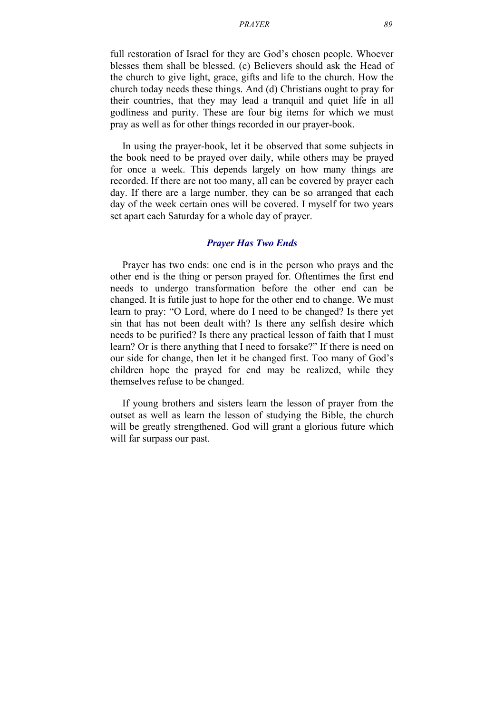full restoration of Israel for they are God's chosen people. Whoever blesses them shall be blessed. (c) Believers should ask the Head of the church to give light, grace, gifts and life to the church. How the church today needs these things. And (d) Christians ought to pray for their countries, that they may lead a tranquil and quiet life in all godliness and purity. These are four big items for which we must pray as well as for other things recorded in our prayer-book.

In using the prayer-book, let it be observed that some subjects in the book need to be prayed over daily, while others may be prayed for once a week. This depends largely on how many things are recorded. If there are not too many, all can be covered by prayer each day. If there are a large number, they can be so arranged that each day of the week certain ones will be covered. I myself for two years set apart each Saturday for a whole day of prayer.

#### *Prayer Has Two Ends*

Prayer has two ends: one end is in the person who prays and the other end is the thing or person prayed for. Oftentimes the first end needs to undergo transformation before the other end can be changed. It is futile just to hope for the other end to change. We must learn to pray: "O Lord, where do I need to be changed? Is there yet sin that has not been dealt with? Is there any selfish desire which needs to be purified? Is there any practical lesson of faith that I must learn? Or is there anything that I need to forsake?" If there is need on our side for change, then let it be changed first. Too many of God's children hope the prayed for end may be realized, while they themselves refuse to be changed.

If young brothers and sisters learn the lesson of prayer from the outset as well as learn the lesson of studying the Bible, the church will be greatly strengthened. God will grant a glorious future which will far surpass our past.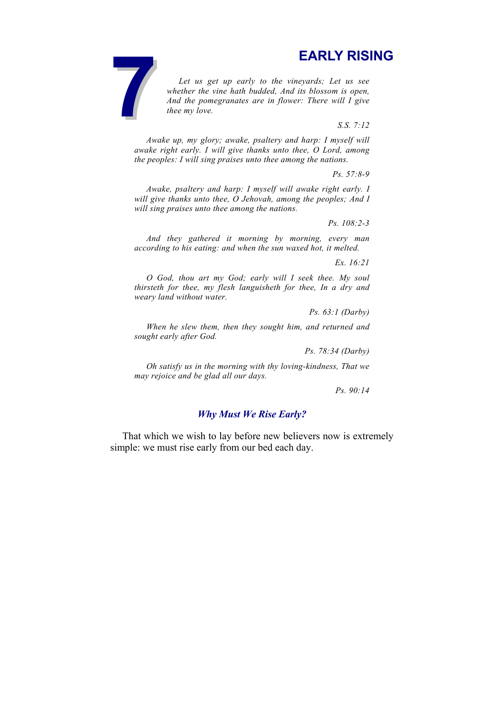**1989**<br> **1989**<br> **1989**<br> **1989**<br> **1989**<br> **1989**<br> **1989**<br> **1989**<br> **1989**<br> **1989**<br> **1989**<br> **1989**<br> **1989**<br> **1989**<br> **1989**<br> **1989**<br> **1989**<br> **1989**<br> **1989**<br> **1989**<br> **1989**<br> **1989**<br> **1989**<br> **1989**<br> **1989**<br> **1989**<br> **1989**<br> **1989** *Let us get up early to the vineyards; Let us see whether the vine hath budded, And its blossom is open, And the pomegranates are in flower: There will I give thee my love.* 

*S.S. 7:12* 

*Awake up, my glory; awake, psaltery and harp: I myself will awake right early. I will give thanks unto thee, O Lord, among the peoples: I will sing praises unto thee among the nations.* 

*Ps. 57:8-9* 

*Awake, psaltery and harp: I myself will awake right early. I will give thanks unto thee, O Jehovah, among the peoples; And I will sing praises unto thee among the nations.* 

*Ps. 108:2-3* 

*And they gathered it morning by morning, every man according to his eating: and when the sun waxed hot, it melted.* 

*Ex. 16:21* 

*O God, thou art my God; early will I seek thee. My soul thirsteth for thee, my flesh languisheth for thee, In a dry and weary land without water.* 

*Ps. 63:1 (Darby)*

*When he slew them, then they sought him, and returned and sought early after God.* 

*Ps. 78:34 (Darby)*

*Oh satisfy us in the morning with thy loving-kindness, That we may rejoice and be glad all our days.* 

*Ps. 90:14* 

# *Why Must We Rise Early?*

That which we wish to lay before new believers now is extremely simple: we must rise early from our bed each day.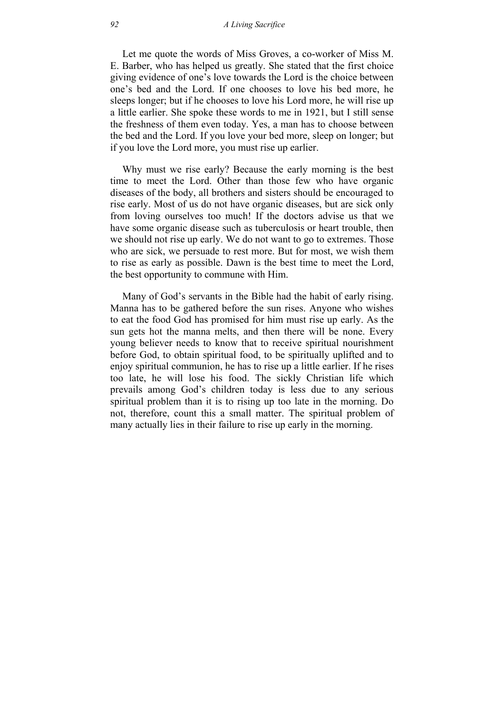Let me quote the words of Miss Groves, a co-worker of Miss M. E. Barber, who has helped us greatly. She stated that the first choice giving evidence of one's love towards the Lord is the choice between one's bed and the Lord. If one chooses to love his bed more, he sleeps longer; but if he chooses to love his Lord more, he will rise up a little earlier. She spoke these words to me in 1921, but I still sense the freshness of them even today. Yes, a man has to choose between the bed and the Lord. If you love your bed more, sleep on longer; but if you love the Lord more, you must rise up earlier.

Why must we rise early? Because the early morning is the best time to meet the Lord. Other than those few who have organic diseases of the body, all brothers and sisters should be encouraged to rise early. Most of us do not have organic diseases, but are sick only from loving ourselves too much! If the doctors advise us that we have some organic disease such as tuberculosis or heart trouble, then we should not rise up early. We do not want to go to extremes. Those who are sick, we persuade to rest more. But for most, we wish them to rise as early as possible. Dawn is the best time to meet the Lord, the best opportunity to commune with Him.

Many of God's servants in the Bible had the habit of early rising. Manna has to be gathered before the sun rises. Anyone who wishes to eat the food God has promised for him must rise up early. As the sun gets hot the manna melts, and then there will be none. Every young believer needs to know that to receive spiritual nourishment before God, to obtain spiritual food, to be spiritually uplifted and to enjoy spiritual communion, he has to rise up a little earlier. If he rises too late, he will lose his food. The sickly Christian life which prevails among God's children today is less due to any serious spiritual problem than it is to rising up too late in the morning. Do not, therefore, count this a small matter. The spiritual problem of many actually lies in their failure to rise up early in the morning.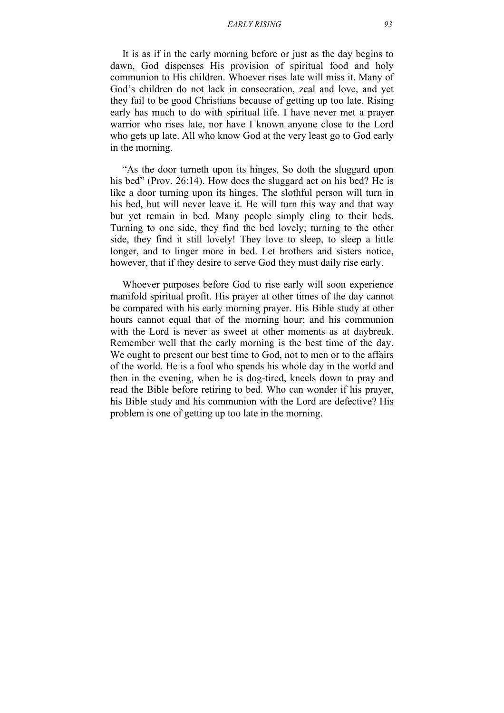#### *EARLY RISING 93*

It is as if in the early morning before or just as the day begins to dawn, God dispenses His provision of spiritual food and holy communion to His children. Whoever rises late will miss it. Many of God's children do not lack in consecration, zeal and love, and yet they fail to be good Christians because of getting up too late. Rising early has much to do with spiritual life. I have never met a prayer warrior who rises late, nor have I known anyone close to the Lord who gets up late. All who know God at the very least go to God early in the morning.

"As the door turneth upon its hinges, So doth the sluggard upon his bed" (Prov. 26:14). How does the sluggard act on his bed? He is like a door turning upon its hinges. The slothful person will turn in his bed, but will never leave it. He will turn this way and that way but yet remain in bed. Many people simply cling to their beds. Turning to one side, they find the bed lovely; turning to the other side, they find it still lovely! They love to sleep, to sleep a little longer, and to linger more in bed. Let brothers and sisters notice, however, that if they desire to serve God they must daily rise early.

Whoever purposes before God to rise early will soon experience manifold spiritual profit. His prayer at other times of the day cannot be compared with his early morning prayer. His Bible study at other hours cannot equal that of the morning hour; and his communion with the Lord is never as sweet at other moments as at daybreak. Remember well that the early morning is the best time of the day. We ought to present our best time to God, not to men or to the affairs of the world. He is a fool who spends his whole day in the world and then in the evening, when he is dog-tired, kneels down to pray and read the Bible before retiring to bed. Who can wonder if his prayer, his Bible study and his communion with the Lord are defective? His problem is one of getting up too late in the morning.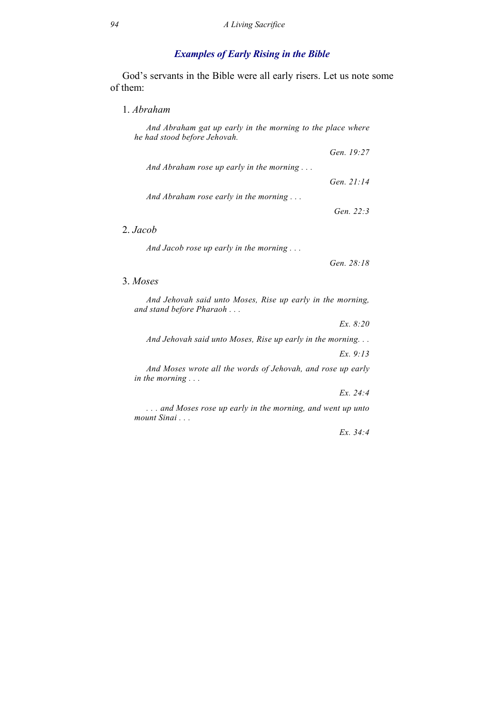# *Examples of Early Rising in the Bible*

God's servants in the Bible were all early risers. Let us note some of them:

## 1. *Abraham*

*And Abraham gat up early in the morning to the place where he had stood before Jehovah.* 

|                                                   | Gen. $19:27$ |
|---------------------------------------------------|--------------|
| And Abraham rose up early in the morning $\ldots$ |              |
|                                                   | Gen. $21:14$ |
| And Abraham rose early in the morning $\ldots$    |              |
|                                                   | Gen $22.3$   |

## 2. *Jacob*

*And Jacob rose up early in the morning . . .* 

*Gen. 28:18* 

## 3. *Moses*

*And Jehovah said unto Moses, Rise up early in the morning, and stand before Pharaoh . . .* 

*Ex. 8:20* 

*And Jehovah said unto Moses, Rise up early in the morning. . .* 

*Ex. 9:13* 

*And Moses wrote all the words of Jehovah, and rose up early in the morning . . .* 

*Ex. 24:4* 

*. . . and Moses rose up early in the morning, and went up unto mount Sinai . . .* 

*Ex. 34:4*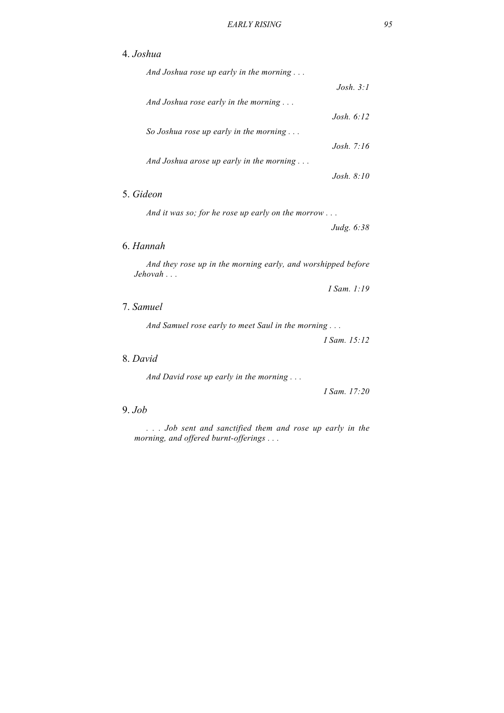#### 4. *Joshua*

| And Joshua rose up early in the morning $\ldots$  |                    |
|---------------------------------------------------|--------------------|
|                                                   | Josh 3:1           |
| And Joshua rose early in the morning $\ldots$     |                    |
|                                                   | Josh 6:12          |
| So Joshua rose up early in the morning $\ldots$   |                    |
|                                                   | $J \alpha sh$ 7:16 |
| And Joshua arose up early in the morning $\ldots$ |                    |
|                                                   | Josh 8:10          |

# 5. *Gideon*

*And it was so; for he rose up early on the morrow . . .* 

*Judg. 6:38* 

#### 6. *Hannah*

*And they rose up in the morning early, and worshipped before Jehovah . . .* 

*I Sam. 1:19* 

#### 7. *Samuel*

*And Samuel rose early to meet Saul in the morning . . .* 

*I Sam. 15:12* 

## 8. *David*

*And David rose up early in the morning . . .* 

*I Sam. 17:20* 

# 9. *Job*

*. . . Job sent and sanctified them and rose up early in the morning, and offered burnt-offerings . . .*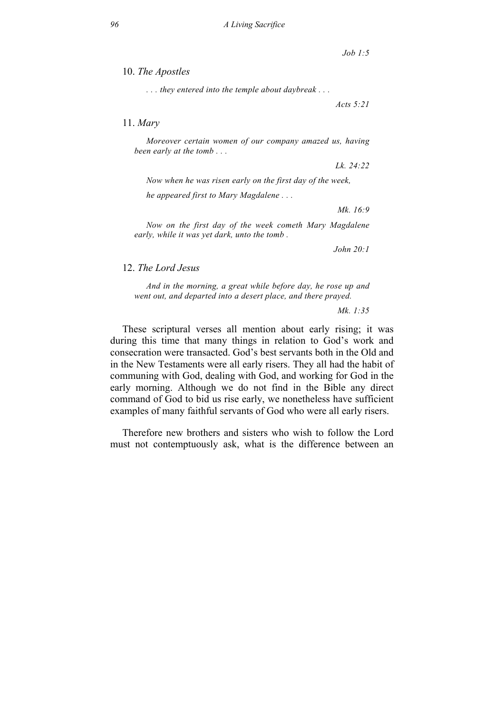*Job 1:5* 

10. *The Apostles*

*. . . they entered into the temple about daybreak . . .* 

*Acts 5:21* 

11. *Mary*

*Moreover certain women of our company amazed us, having been early at the tomb . . .* 

*Lk. 24:22* 

*Now when he was risen early on the first day of the week, he appeared first to Mary Magdalene . . .* 

*Mk. 16:9* 

*Now on the first day of the week cometh Mary Magdalene early, while it was yet dark, unto the tomb .* 

*John 20:1* 

12. *The Lord Jesus*

*And in the morning, a great while before day, he rose up and went out, and departed into a desert place, and there prayed.* 

*Mk. 1:35* 

These scriptural verses all mention about early rising; it was during this time that many things in relation to God's work and consecration were transacted. God's best servants both in the Old and in the New Testaments were all early risers. They all had the habit of communing with God, dealing with God, and working for God in the early morning. Although we do not find in the Bible any direct command of God to bid us rise early, we nonetheless have sufficient examples of many faithful servants of God who were all early risers.

Therefore new brothers and sisters who wish to follow the Lord must not contemptuously ask, what is the difference between an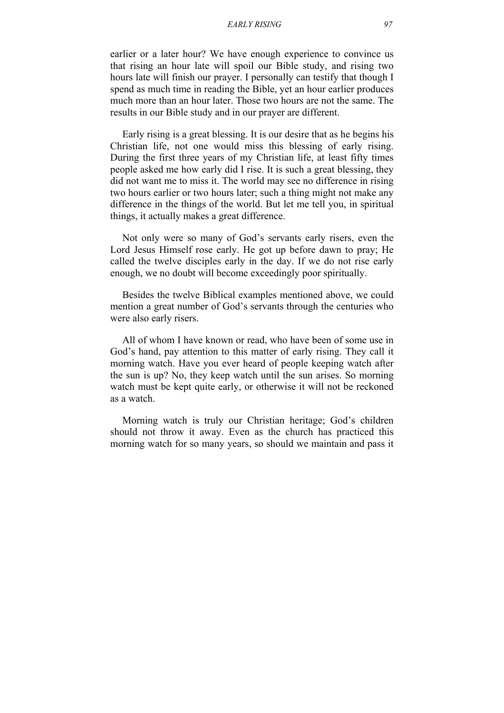#### *EARLY RISING 97*

earlier or a later hour? We have enough experience to convince us that rising an hour late will spoil our Bible study, and rising two hours late will finish our prayer. I personally can testify that though I spend as much time in reading the Bible, yet an hour earlier produces much more than an hour later. Those two hours are not the same. The results in our Bible study and in our prayer are different.

Early rising is a great blessing. It is our desire that as he begins his Christian life, not one would miss this blessing of early rising. During the first three years of my Christian life, at least fifty times people asked me how early did I rise. It is such a great blessing, they did not want me to miss it. The world may see no difference in rising two hours earlier or two hours later; such a thing might not make any difference in the things of the world. But let me tell you, in spiritual things, it actually makes a great difference.

Not only were so many of God's servants early risers, even the Lord Jesus Himself rose early. He got up before dawn to pray; He called the twelve disciples early in the day. If we do not rise early enough, we no doubt will become exceedingly poor spiritually.

Besides the twelve Biblical examples mentioned above, we could mention a great number of God's servants through the centuries who were also early risers.

All of whom I have known or read, who have been of some use in God's hand, pay attention to this matter of early rising. They call it morning watch. Have you ever heard of people keeping watch after the sun is up? No, they keep watch until the sun arises. So morning watch must be kept quite early, or otherwise it will not be reckoned as a watch.

Morning watch is truly our Christian heritage; God's children should not throw it away. Even as the church has practiced this morning watch for so many years, so should we maintain and pass it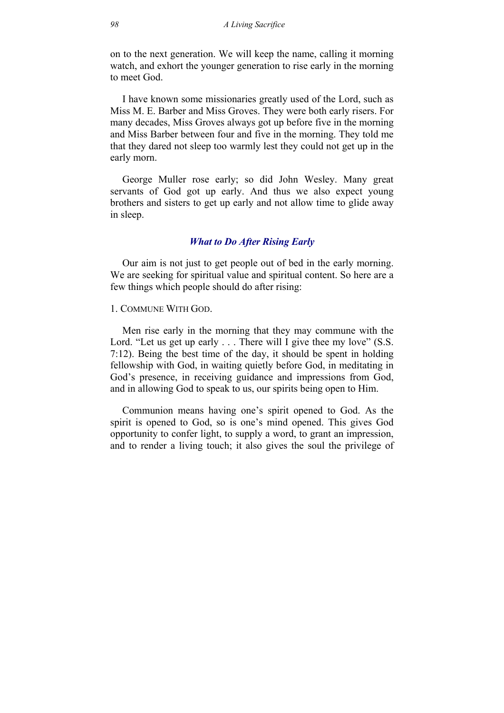on to the next generation. We will keep the name, calling it morning watch, and exhort the younger generation to rise early in the morning to meet God.

I have known some missionaries greatly used of the Lord, such as Miss M. E. Barber and Miss Groves. They were both early risers. For many decades, Miss Groves always got up before five in the morning and Miss Barber between four and five in the morning. They told me that they dared not sleep too warmly lest they could not get up in the early morn.

George Muller rose early; so did John Wesley. Many great servants of God got up early. And thus we also expect young brothers and sisters to get up early and not allow time to glide away in sleep.

## *What to Do After Rising Early*

Our aim is not just to get people out of bed in the early morning. We are seeking for spiritual value and spiritual content. So here are a few things which people should do after rising:

#### 1. COMMUNE WITH GOD.

Men rise early in the morning that they may commune with the Lord. "Let us get up early . . . There will I give thee my love" (S.S. 7:12). Being the best time of the day, it should be spent in holding fellowship with God, in waiting quietly before God, in meditating in God's presence, in receiving guidance and impressions from God, and in allowing God to speak to us, our spirits being open to Him.

Communion means having one's spirit opened to God. As the spirit is opened to God, so is one's mind opened. This gives God opportunity to confer light, to supply a word, to grant an impression, and to render a living touch; it also gives the soul the privilege of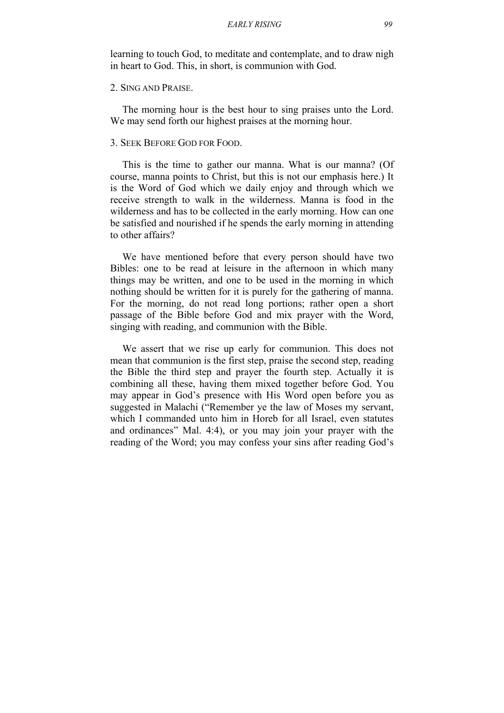learning to touch God, to meditate and contemplate, and to draw nigh in heart to God. This, in short, is communion with God.

#### 2. SING AND PRAISE.

The morning hour is the best hour to sing praises unto the Lord. We may send forth our highest praises at the morning hour.

#### 3. SEEK BEFORE GOD FOR FOOD.

This is the time to gather our manna. What is our manna? (Of course, manna points to Christ, but this is not our emphasis here.) It is the Word of God which we daily enjoy and through which we receive strength to walk in the wilderness. Manna is food in the wilderness and has to be collected in the early morning. How can one be satisfied and nourished if he spends the early morning in attending to other affairs?

We have mentioned before that every person should have two Bibles: one to be read at leisure in the afternoon in which many things may be written, and one to be used in the morning in which nothing should be written for it is purely for the gathering of manna. For the morning, do not read long portions; rather open a short passage of the Bible before God and mix prayer with the Word, singing with reading, and communion with the Bible.

We assert that we rise up early for communion. This does not mean that communion is the first step, praise the second step, reading the Bible the third step and prayer the fourth step. Actually it is combining all these, having them mixed together before God. You may appear in God's presence with His Word open before you as suggested in Malachi ("Remember ye the law of Moses my servant, which I commanded unto him in Horeb for all Israel, even statutes and ordinances" Mal. 4:4), or you may join your prayer with the reading of the Word; you may confess your sins after reading God's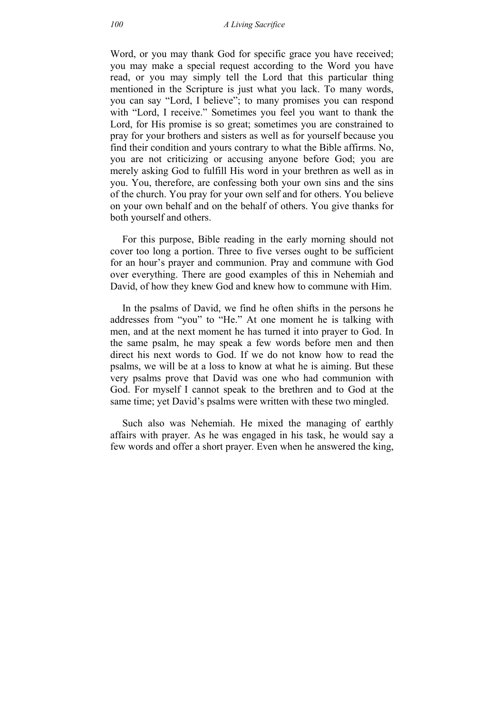Word, or you may thank God for specific grace you have received; you may make a special request according to the Word you have read, or you may simply tell the Lord that this particular thing mentioned in the Scripture is just what you lack. To many words, you can say "Lord, I believe"; to many promises you can respond with "Lord, I receive." Sometimes you feel you want to thank the Lord, for His promise is so great; sometimes you are constrained to pray for your brothers and sisters as well as for yourself because you find their condition and yours contrary to what the Bible affirms. No, you are not criticizing or accusing anyone before God; you are merely asking God to fulfill His word in your brethren as well as in you. You, therefore, are confessing both your own sins and the sins of the church. You pray for your own self and for others. You believe on your own behalf and on the behalf of others. You give thanks for both yourself and others.

For this purpose, Bible reading in the early morning should not cover too long a portion. Three to five verses ought to be sufficient for an hour's prayer and communion. Pray and commune with God over everything. There are good examples of this in Nehemiah and David, of how they knew God and knew how to commune with Him.

In the psalms of David, we find he often shifts in the persons he addresses from "you" to "He." At one moment he is talking with men, and at the next moment he has turned it into prayer to God. In the same psalm, he may speak a few words before men and then direct his next words to God. If we do not know how to read the psalms, we will be at a loss to know at what he is aiming. But these very psalms prove that David was one who had communion with God. For myself I cannot speak to the brethren and to God at the same time; yet David's psalms were written with these two mingled.

Such also was Nehemiah. He mixed the managing of earthly affairs with prayer. As he was engaged in his task, he would say a few words and offer a short prayer. Even when he answered the king,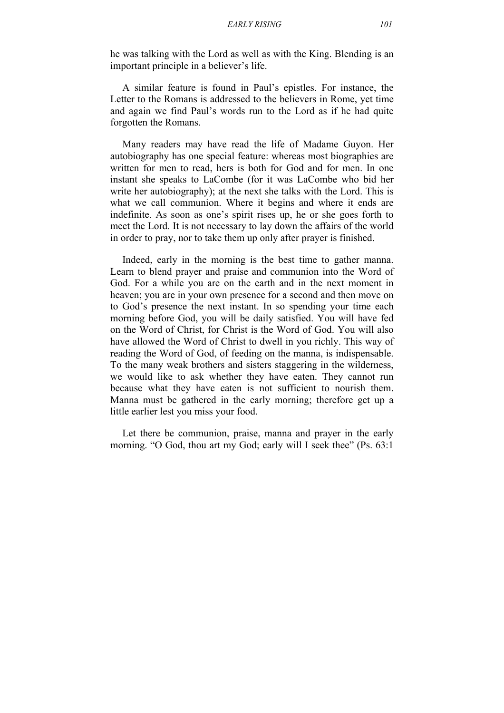he was talking with the Lord as well as with the King. Blending is an important principle in a believer's life.

A similar feature is found in Paul's epistles. For instance, the Letter to the Romans is addressed to the believers in Rome, yet time and again we find Paul's words run to the Lord as if he had quite forgotten the Romans.

Many readers may have read the life of Madame Guyon. Her autobiography has one special feature: whereas most biographies are written for men to read, hers is both for God and for men. In one instant she speaks to LaCombe (for it was LaCombe who bid her write her autobiography); at the next she talks with the Lord. This is what we call communion. Where it begins and where it ends are indefinite. As soon as one's spirit rises up, he or she goes forth to meet the Lord. It is not necessary to lay down the affairs of the world in order to pray, nor to take them up only after prayer is finished.

Indeed, early in the morning is the best time to gather manna. Learn to blend prayer and praise and communion into the Word of God. For a while you are on the earth and in the next moment in heaven; you are in your own presence for a second and then move on to God's presence the next instant. In so spending your time each morning before God, you will be daily satisfied. You will have fed on the Word of Christ, for Christ is the Word of God. You will also have allowed the Word of Christ to dwell in you richly. This way of reading the Word of God, of feeding on the manna, is indispensable. To the many weak brothers and sisters staggering in the wilderness, we would like to ask whether they have eaten. They cannot run because what they have eaten is not sufficient to nourish them. Manna must be gathered in the early morning; therefore get up a little earlier lest you miss your food.

Let there be communion, praise, manna and prayer in the early morning. "O God, thou art my God; early will I seek thee" (Ps. 63:1)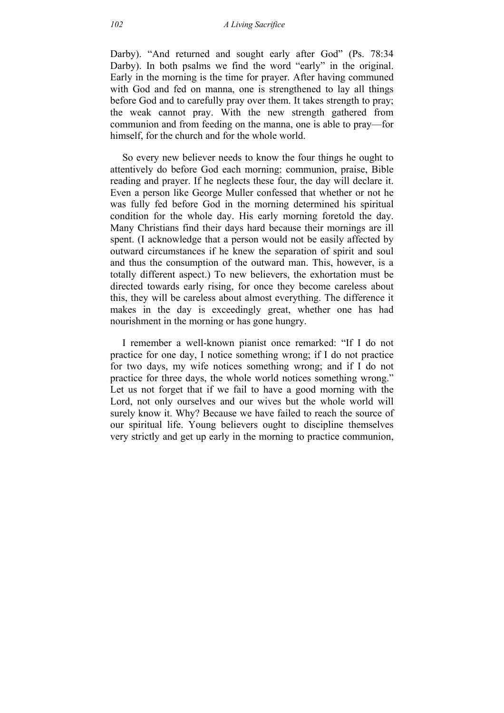Darby). "And returned and sought early after God" (Ps. 78:34) Darby). In both psalms we find the word "early" in the original. Early in the morning is the time for prayer. After having communed with God and fed on manna, one is strengthened to lay all things before God and to carefully pray over them. It takes strength to pray; the weak cannot pray. With the new strength gathered from communion and from feeding on the manna, one is able to pray—for himself, for the church and for the whole world.

So every new believer needs to know the four things he ought to attentively do before God each morning: communion, praise, Bible reading and prayer. If he neglects these four, the day will declare it. Even a person like George Muller confessed that whether or not he was fully fed before God in the morning determined his spiritual condition for the whole day. His early morning foretold the day. Many Christians find their days hard because their mornings are ill spent. (I acknowledge that a person would not be easily affected by outward circumstances if he knew the separation of spirit and soul and thus the consumption of the outward man. This, however, is a totally different aspect.) To new believers, the exhortation must be directed towards early rising, for once they become careless about this, they will be careless about almost everything. The difference it makes in the day is exceedingly great, whether one has had nourishment in the morning or has gone hungry.

I remember a well-known pianist once remarked: "If I do not practice for one day, I notice something wrong; if I do not practice for two days, my wife notices something wrong; and if I do not practice for three days, the whole world notices something wrong." Let us not forget that if we fail to have a good morning with the Lord, not only ourselves and our wives but the whole world will surely know it. Why? Because we have failed to reach the source of our spiritual life. Young believers ought to discipline themselves very strictly and get up early in the morning to practice communion,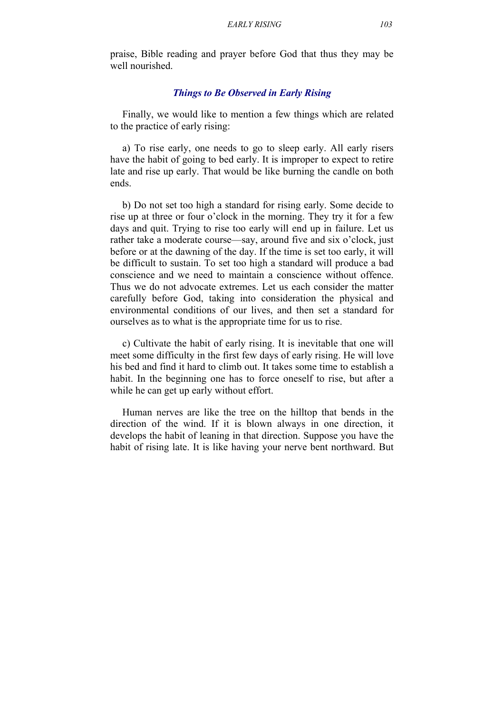praise, Bible reading and prayer before God that thus they may be well nourished.

## *Things to Be Observed in Early Rising*

Finally, we would like to mention a few things which are related to the practice of early rising:

a) To rise early, one needs to go to sleep early. All early risers have the habit of going to bed early. It is improper to expect to retire late and rise up early. That would be like burning the candle on both ends.

b) Do not set too high a standard for rising early. Some decide to rise up at three or four o'clock in the morning. They try it for a few days and quit. Trying to rise too early will end up in failure. Let us rather take a moderate course—say, around five and six o'clock, just before or at the dawning of the day. If the time is set too early, it will be difficult to sustain. To set too high a standard will produce a bad conscience and we need to maintain a conscience without offence. Thus we do not advocate extremes. Let us each consider the matter carefully before God, taking into consideration the physical and environmental conditions of our lives, and then set a standard for ourselves as to what is the appropriate time for us to rise.

c) Cultivate the habit of early rising. It is inevitable that one will meet some difficulty in the first few days of early rising. He will love his bed and find it hard to climb out. It takes some time to establish a habit. In the beginning one has to force oneself to rise, but after a while he can get up early without effort.

Human nerves are like the tree on the hilltop that bends in the direction of the wind. If it is blown always in one direction, it develops the habit of leaning in that direction. Suppose you have the habit of rising late. It is like having your nerve bent northward. But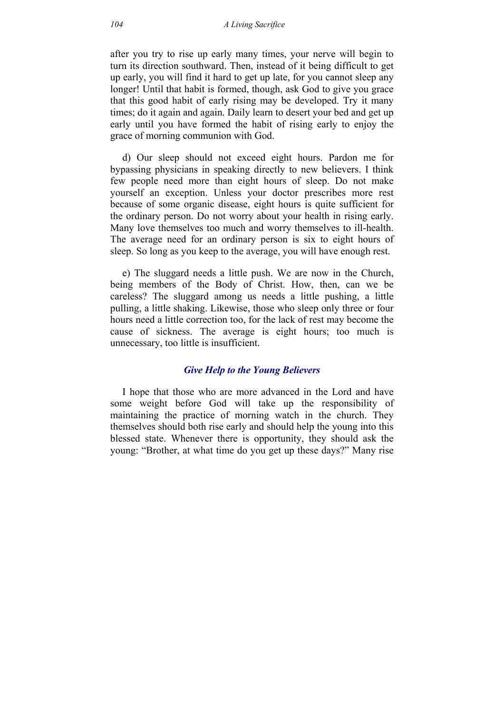after you try to rise up early many times, your nerve will begin to turn its direction southward. Then, instead of it being difficult to get up early, you will find it hard to get up late, for you cannot sleep any longer! Until that habit is formed, though, ask God to give you grace that this good habit of early rising may be developed. Try it many times; do it again and again. Daily learn to desert your bed and get up early until you have formed the habit of rising early to enjoy the grace of morning communion with God.

d) Our sleep should not exceed eight hours. Pardon me for bypassing physicians in speaking directly to new believers. I think few people need more than eight hours of sleep. Do not make yourself an exception. Unless your doctor prescribes more rest because of some organic disease, eight hours is quite sufficient for the ordinary person. Do not worry about your health in rising early. Many love themselves too much and worry themselves to ill-health. The average need for an ordinary person is six to eight hours of sleep. So long as you keep to the average, you will have enough rest.

e) The sluggard needs a little push. We are now in the Church, being members of the Body of Christ. How, then, can we be careless? The sluggard among us needs a little pushing, a little pulling, a little shaking. Likewise, those who sleep only three or four hours need a little correction too, for the lack of rest may become the cause of sickness. The average is eight hours; too much is unnecessary, too little is insufficient.

## *Give Help to the Young Believers*

I hope that those who are more advanced in the Lord and have some weight before God will take up the responsibility of maintaining the practice of morning watch in the church. They themselves should both rise early and should help the young into this blessed state. Whenever there is opportunity, they should ask the young: "Brother, at what time do you get up these days?" Many rise